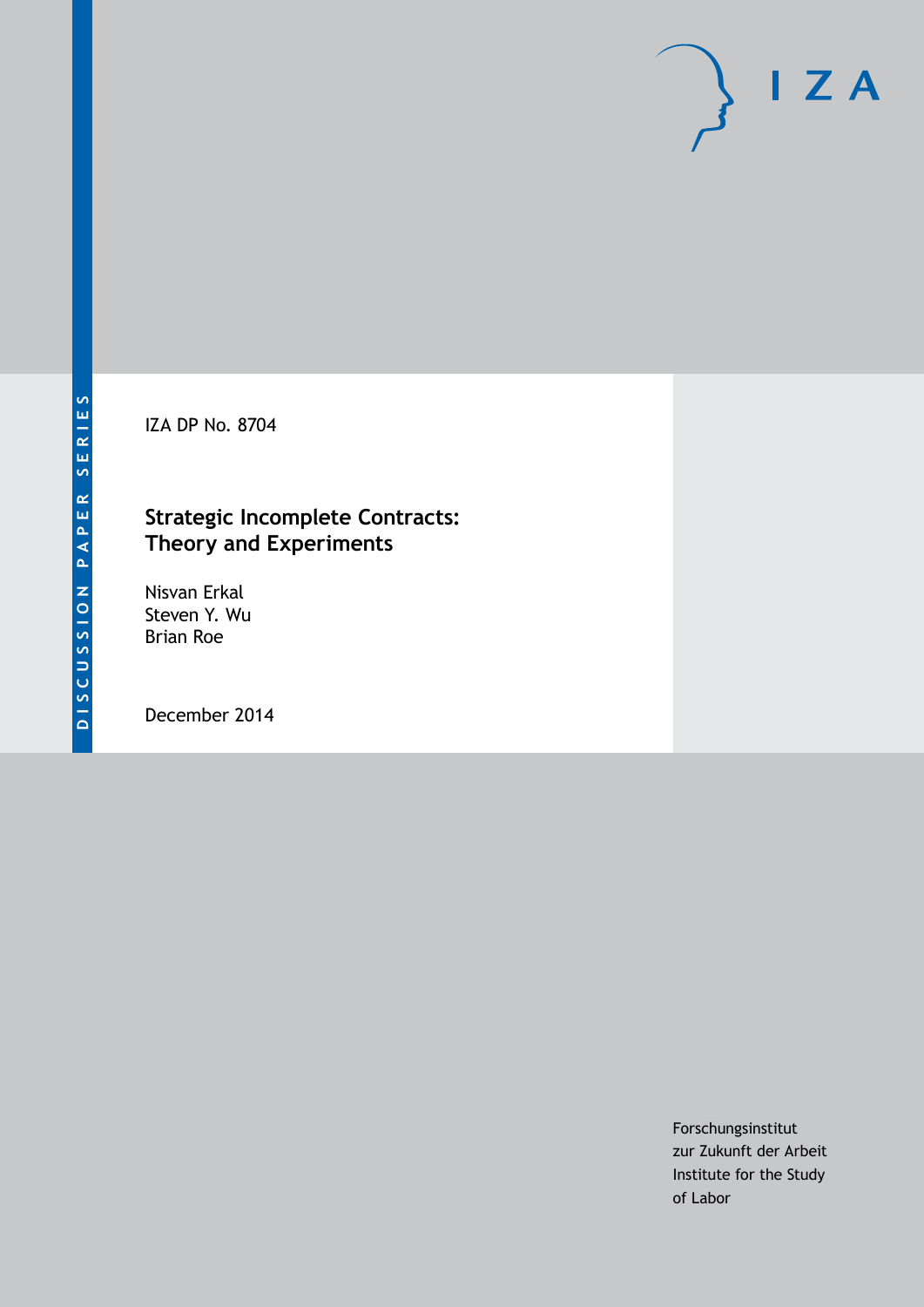IZA DP No. 8704

### **Strategic Incomplete Contracts: Theory and Experiments**

Nisvan Erkal Steven Y. Wu Brian Roe

December 2014

Forschungsinstitut zur Zukunft der Arbeit Institute for the Study of Labor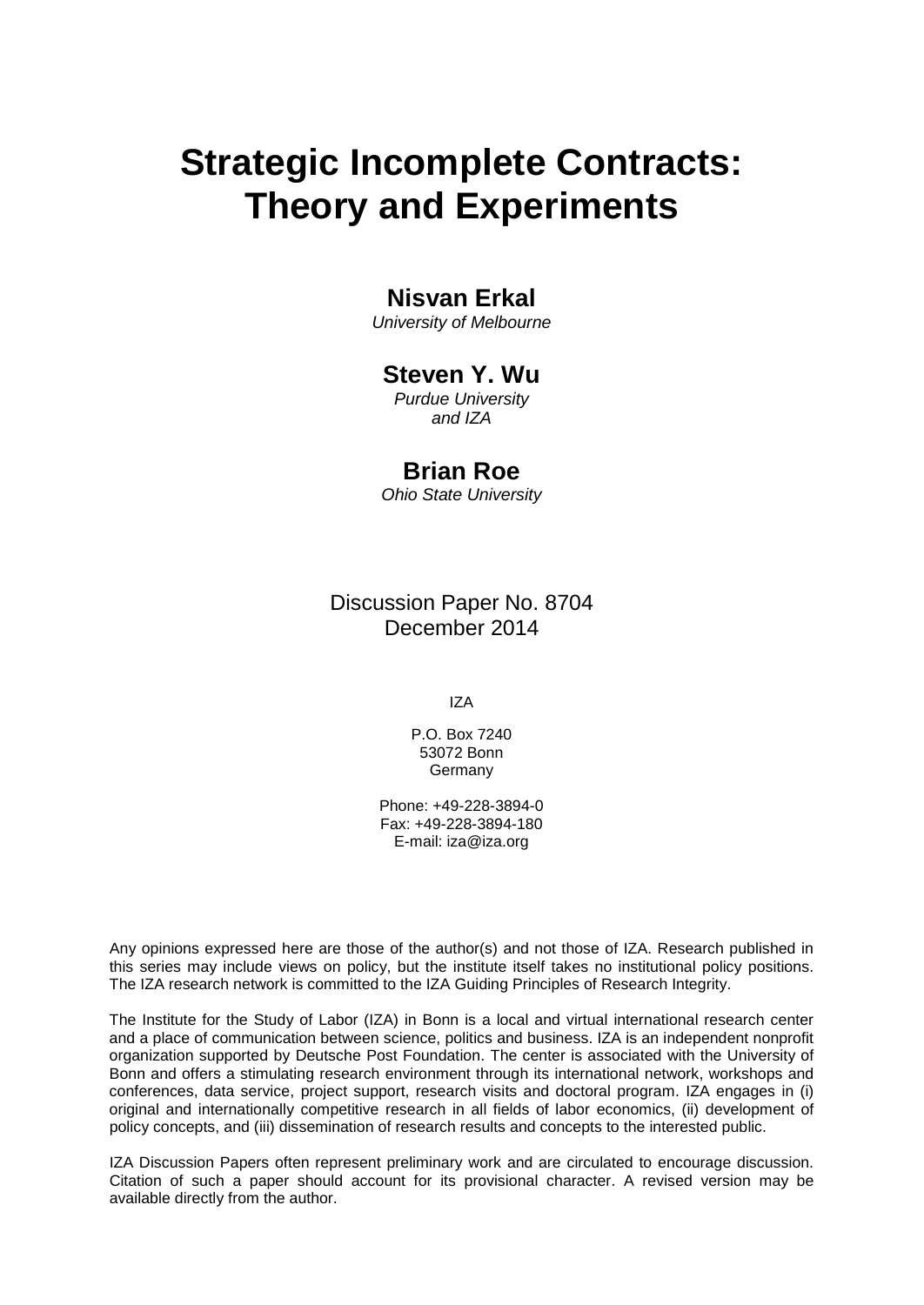# **Strategic Incomplete Contracts: Theory and Experiments**

### **Nisvan Erkal**

*University of Melbourne*

#### **Steven Y. Wu**

*Purdue University and IZA*

#### **Brian Roe**

*Ohio State University*

Discussion Paper No. 8704 December 2014

IZA

P.O. Box 7240 53072 Bonn **Germany** 

Phone: +49-228-3894-0 Fax: +49-228-3894-180 E-mail: [iza@iza.org](mailto:iza@iza.org)

Any opinions expressed here are those of the author(s) and not those of IZA. Research published in this series may include views on policy, but the institute itself takes no institutional policy positions. The IZA research network is committed to the IZA Guiding Principles of Research Integrity.

The Institute for the Study of Labor (IZA) in Bonn is a local and virtual international research center and a place of communication between science, politics and business. IZA is an independent nonprofit organization supported by Deutsche Post Foundation. The center is associated with the University of Bonn and offers a stimulating research environment through its international network, workshops and conferences, data service, project support, research visits and doctoral program. IZA engages in (i) original and internationally competitive research in all fields of labor economics, (ii) development of policy concepts, and (iii) dissemination of research results and concepts to the interested public.

<span id="page-1-0"></span>IZA Discussion Papers often represent preliminary work and are circulated to encourage discussion. Citation of such a paper should account for its provisional character. A revised version may be available directly from the author.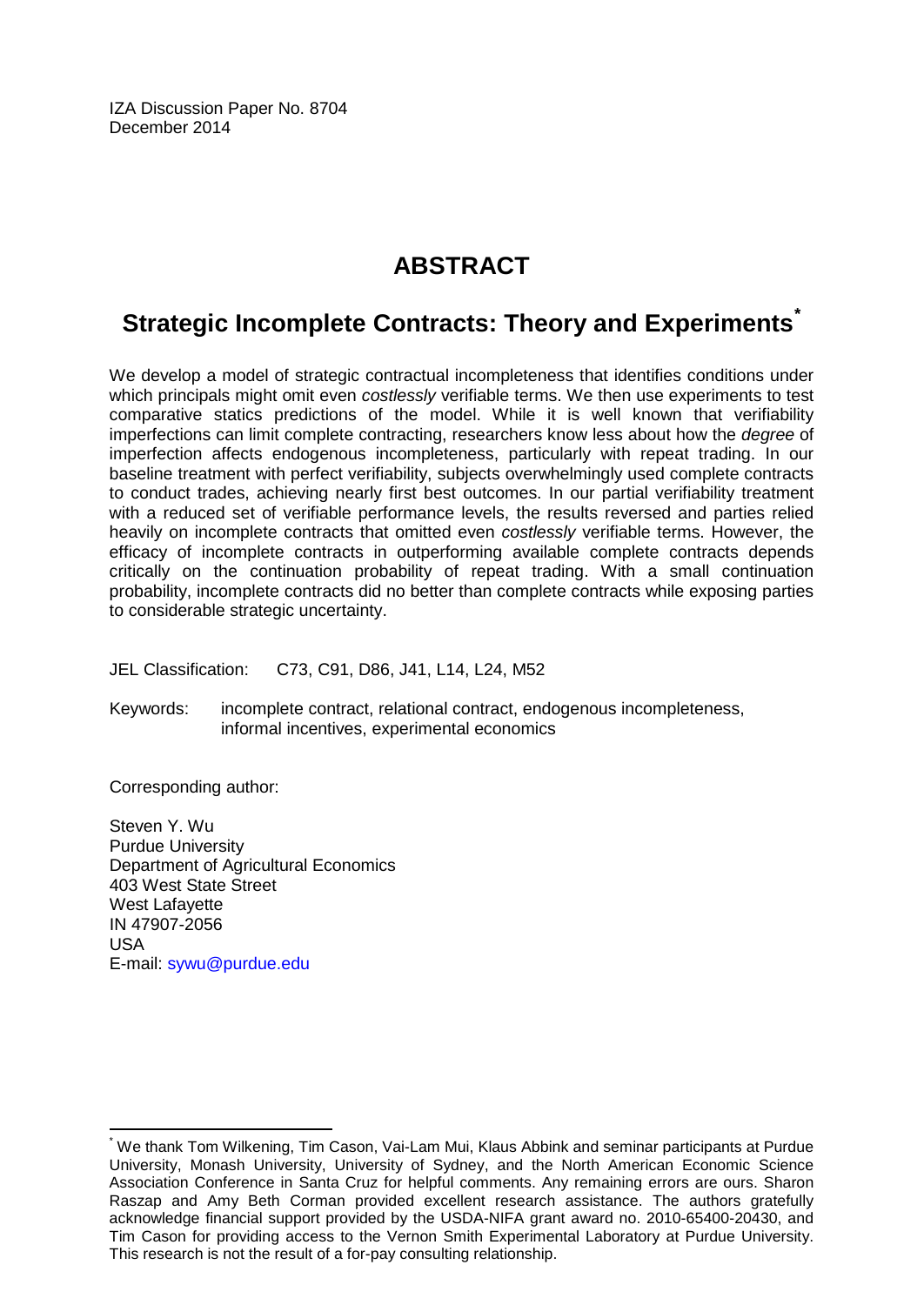IZA Discussion Paper No. 8704 December 2014

### **ABSTRACT**

### **Strategic Incomplete Contracts: Theory and Experiments[\\*](#page-1-0)**

We develop a model of strategic contractual incompleteness that identifies conditions under which principals might omit even *costlessly* verifiable terms. We then use experiments to test comparative statics predictions of the model. While it is well known that verifiability imperfections can limit complete contracting, researchers know less about how the *degree* of imperfection affects endogenous incompleteness, particularly with repeat trading. In our baseline treatment with perfect verifiability, subjects overwhelmingly used complete contracts to conduct trades, achieving nearly first best outcomes. In our partial verifiability treatment with a reduced set of verifiable performance levels, the results reversed and parties relied heavily on incomplete contracts that omitted even *costlessly* verifiable terms. However, the efficacy of incomplete contracts in outperforming available complete contracts depends critically on the continuation probability of repeat trading. With a small continuation probability, incomplete contracts did no better than complete contracts while exposing parties to considerable strategic uncertainty.

JEL Classification: C73, C91, D86, J41, L14, L24, M52

Keywords: incomplete contract, relational contract, endogenous incompleteness, informal incentives, experimental economics

Corresponding author:

Steven Y. Wu Purdue University Department of Agricultural Economics 403 West State Street West Lafayette IN 47907-2056 USA E-mail: [sywu@purdue.edu](mailto:sywu@purdue.edu)

\* We thank Tom Wilkening, Tim Cason, Vai-Lam Mui, Klaus Abbink and seminar participants at Purdue University, Monash University, University of Sydney, and the North American Economic Science Association Conference in Santa Cruz for helpful comments. Any remaining errors are ours. Sharon Raszap and Amy Beth Corman provided excellent research assistance. The authors gratefully acknowledge financial support provided by the USDA-NIFA grant award no. 2010-65400-20430, and Tim Cason for providing access to the Vernon Smith Experimental Laboratory at Purdue University. This research is not the result of a for-pay consulting relationship.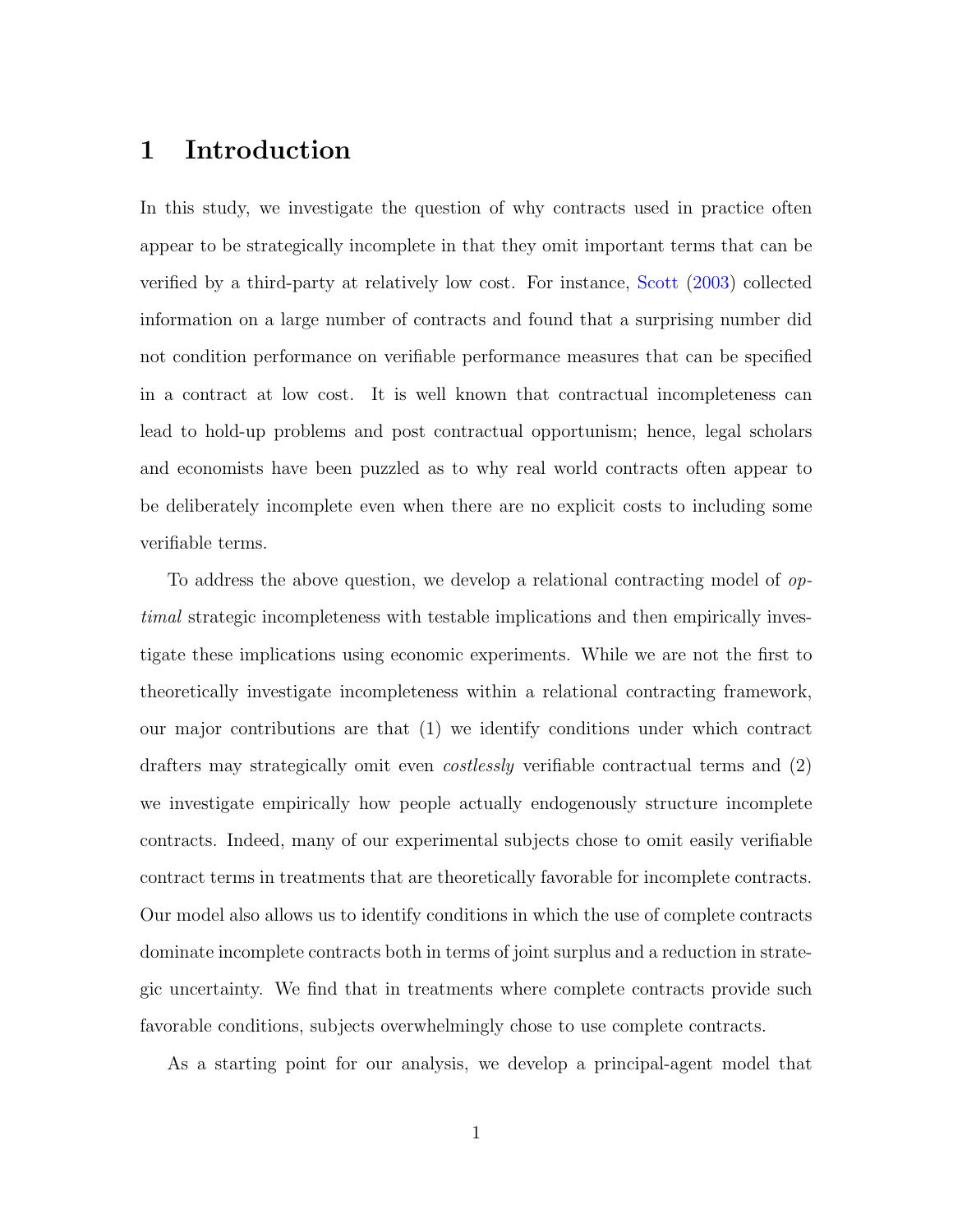### 1 Introduction

In this study, we investigate the question of why contracts used in practice often appear to be strategically incomplete in that they omit important terms that can be verified by a third-party at relatively low cost. For instance, [Scott](#page-44-0) [\(2003\)](#page-44-0) collected information on a large number of contracts and found that a surprising number did not condition performance on verifiable performance measures that can be specified in a contract at low cost. It is well known that contractual incompleteness can lead to hold-up problems and post contractual opportunism; hence, legal scholars and economists have been puzzled as to why real world contracts often appear to be deliberately incomplete even when there are no explicit costs to including some verifiable terms.

To address the above question, we develop a relational contracting model of optimal strategic incompleteness with testable implications and then empirically investigate these implications using economic experiments. While we are not the first to theoretically investigate incompleteness within a relational contracting framework, our major contributions are that (1) we identify conditions under which contract drafters may strategically omit even costlessly verifiable contractual terms and (2) we investigate empirically how people actually endogenously structure incomplete contracts. Indeed, many of our experimental subjects chose to omit easily verifiable contract terms in treatments that are theoretically favorable for incomplete contracts. Our model also allows us to identify conditions in which the use of complete contracts dominate incomplete contracts both in terms of joint surplus and a reduction in strategic uncertainty. We find that in treatments where complete contracts provide such favorable conditions, subjects overwhelmingly chose to use complete contracts.

As a starting point for our analysis, we develop a principal-agent model that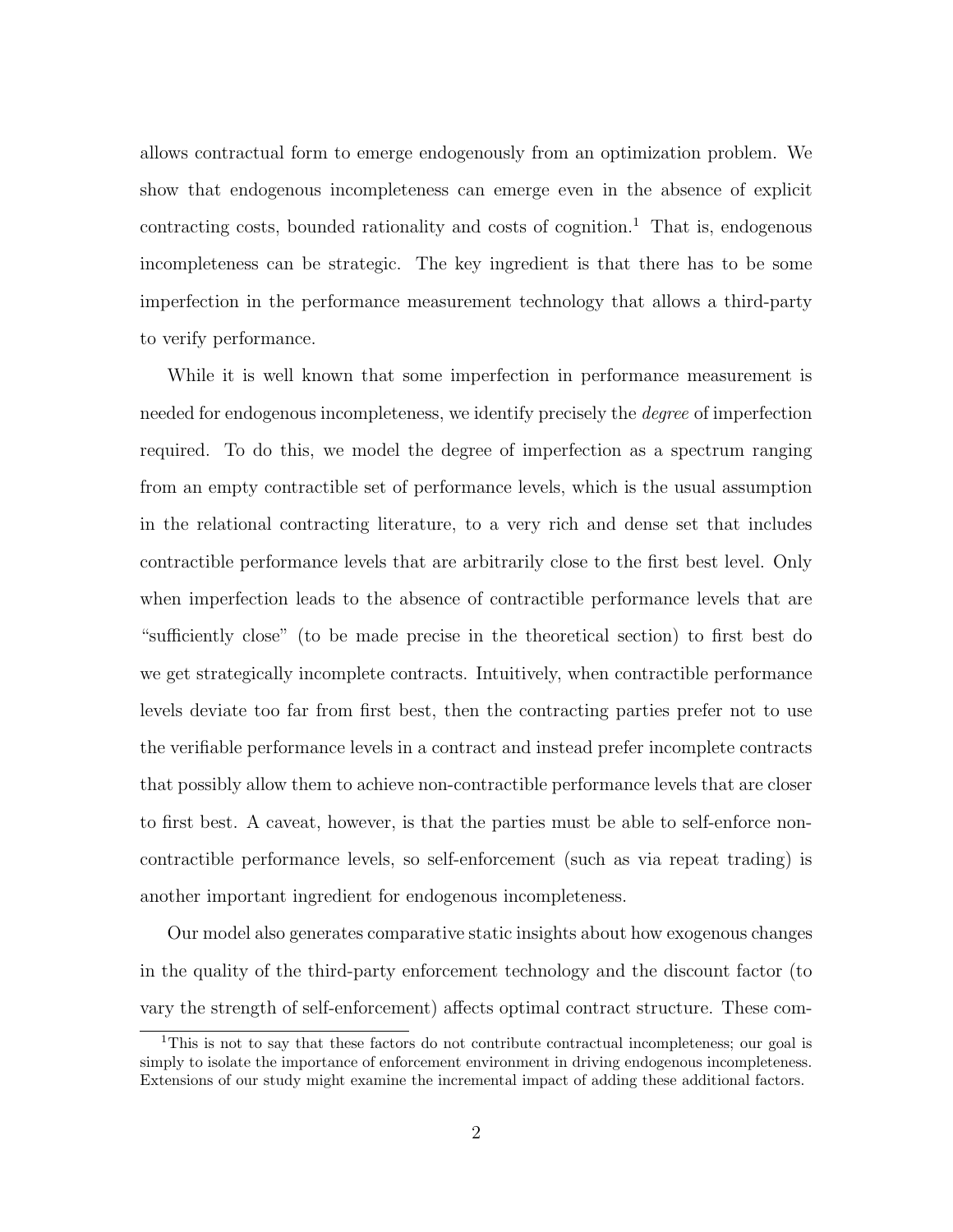allows contractual form to emerge endogenously from an optimization problem. We show that endogenous incompleteness can emerge even in the absence of explicit contracting costs, bounded rationality and costs of cognition.<sup>1</sup> That is, endogenous incompleteness can be strategic. The key ingredient is that there has to be some imperfection in the performance measurement technology that allows a third-party to verify performance.

While it is well known that some imperfection in performance measurement is needed for endogenous incompleteness, we identify precisely the *degree* of imperfection required. To do this, we model the degree of imperfection as a spectrum ranging from an empty contractible set of performance levels, which is the usual assumption in the relational contracting literature, to a very rich and dense set that includes contractible performance levels that are arbitrarily close to the first best level. Only when imperfection leads to the absence of contractible performance levels that are "sufficiently close" (to be made precise in the theoretical section) to first best do we get strategically incomplete contracts. Intuitively, when contractible performance levels deviate too far from first best, then the contracting parties prefer not to use the verifiable performance levels in a contract and instead prefer incomplete contracts that possibly allow them to achieve non-contractible performance levels that are closer to first best. A caveat, however, is that the parties must be able to self-enforce noncontractible performance levels, so self-enforcement (such as via repeat trading) is another important ingredient for endogenous incompleteness.

Our model also generates comparative static insights about how exogenous changes in the quality of the third-party enforcement technology and the discount factor (to vary the strength of self-enforcement) affects optimal contract structure. These com-

<sup>&</sup>lt;sup>1</sup>This is not to say that these factors do not contribute contractual incompleteness; our goal is simply to isolate the importance of enforcement environment in driving endogenous incompleteness. Extensions of our study might examine the incremental impact of adding these additional factors.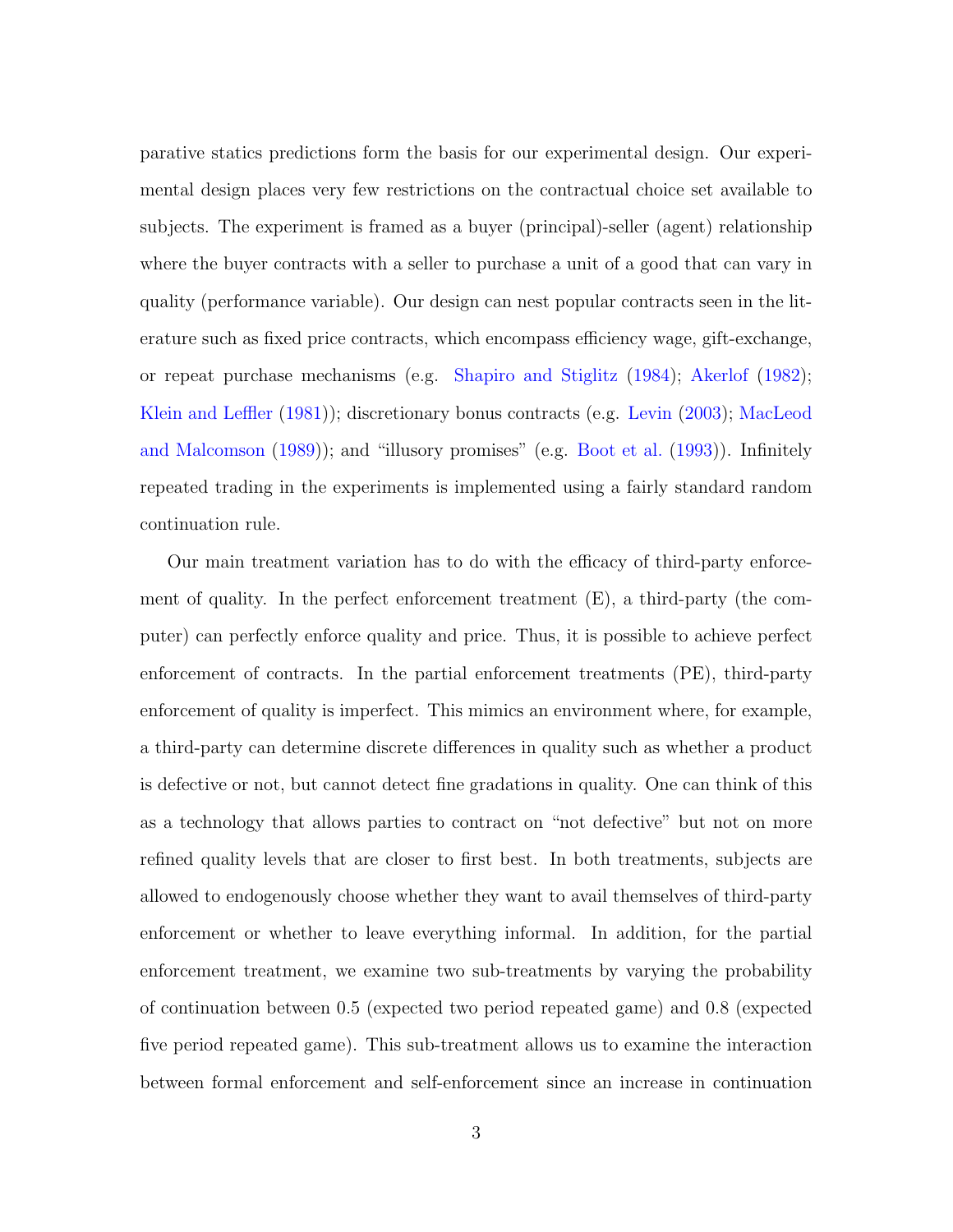parative statics predictions form the basis for our experimental design. Our experimental design places very few restrictions on the contractual choice set available to subjects. The experiment is framed as a buyer (principal)-seller (agent) relationship where the buyer contracts with a seller to purchase a unit of a good that can vary in quality (performance variable). Our design can nest popular contracts seen in the literature such as fixed price contracts, which encompass efficiency wage, gift-exchange, or repeat purchase mechanisms (e.g. [Shapiro and Stiglitz](#page-44-1) [\(1984\)](#page-44-1); [Akerlof](#page-42-0) [\(1982\)](#page-42-0); [Klein and Leffler](#page-43-0) [\(1981\)](#page-43-0)); discretionary bonus contracts (e.g. [Levin](#page-44-2) [\(2003\)](#page-44-2); [MacLeod](#page-44-3) [and Malcomson](#page-44-3) [\(1989\)](#page-44-3)); and "illusory promises" (e.g. [Boot et al.](#page-43-1) [\(1993\)](#page-43-1)). Infinitely repeated trading in the experiments is implemented using a fairly standard random continuation rule.

Our main treatment variation has to do with the efficacy of third-party enforcement of quality. In the perfect enforcement treatment (E), a third-party (the computer) can perfectly enforce quality and price. Thus, it is possible to achieve perfect enforcement of contracts. In the partial enforcement treatments (PE), third-party enforcement of quality is imperfect. This mimics an environment where, for example, a third-party can determine discrete differences in quality such as whether a product is defective or not, but cannot detect fine gradations in quality. One can think of this as a technology that allows parties to contract on "not defective" but not on more refined quality levels that are closer to first best. In both treatments, subjects are allowed to endogenously choose whether they want to avail themselves of third-party enforcement or whether to leave everything informal. In addition, for the partial enforcement treatment, we examine two sub-treatments by varying the probability of continuation between 0.5 (expected two period repeated game) and 0.8 (expected five period repeated game). This sub-treatment allows us to examine the interaction between formal enforcement and self-enforcement since an increase in continuation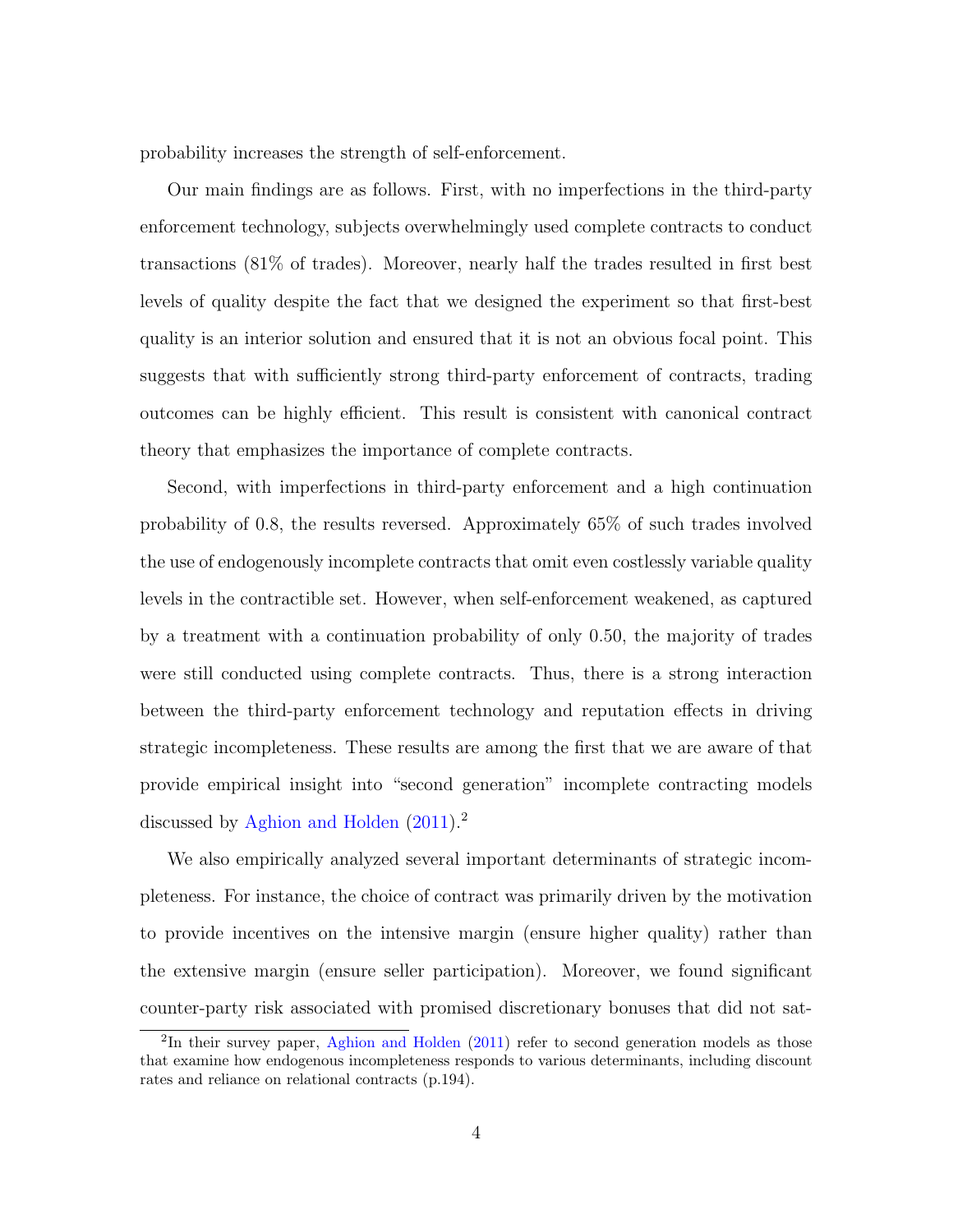probability increases the strength of self-enforcement.

Our main findings are as follows. First, with no imperfections in the third-party enforcement technology, subjects overwhelmingly used complete contracts to conduct transactions (81% of trades). Moreover, nearly half the trades resulted in first best levels of quality despite the fact that we designed the experiment so that first-best quality is an interior solution and ensured that it is not an obvious focal point. This suggests that with sufficiently strong third-party enforcement of contracts, trading outcomes can be highly efficient. This result is consistent with canonical contract theory that emphasizes the importance of complete contracts.

Second, with imperfections in third-party enforcement and a high continuation probability of 0.8, the results reversed. Approximately 65% of such trades involved the use of endogenously incomplete contracts that omit even costlessly variable quality levels in the contractible set. However, when self-enforcement weakened, as captured by a treatment with a continuation probability of only 0.50, the majority of trades were still conducted using complete contracts. Thus, there is a strong interaction between the third-party enforcement technology and reputation effects in driving strategic incompleteness. These results are among the first that we are aware of that provide empirical insight into "second generation" incomplete contracting models discussed by [Aghion and Holden](#page-42-1)  $(2011).<sup>2</sup>$  $(2011).<sup>2</sup>$ 

We also empirically analyzed several important determinants of strategic incompleteness. For instance, the choice of contract was primarily driven by the motivation to provide incentives on the intensive margin (ensure higher quality) rather than the extensive margin (ensure seller participation). Moreover, we found significant counter-party risk associated with promised discretionary bonuses that did not sat-

<sup>&</sup>lt;sup>2</sup>In their survey paper, [Aghion and Holden](#page-42-1) [\(2011\)](#page-42-1) refer to second generation models as those that examine how endogenous incompleteness responds to various determinants, including discount rates and reliance on relational contracts (p.194).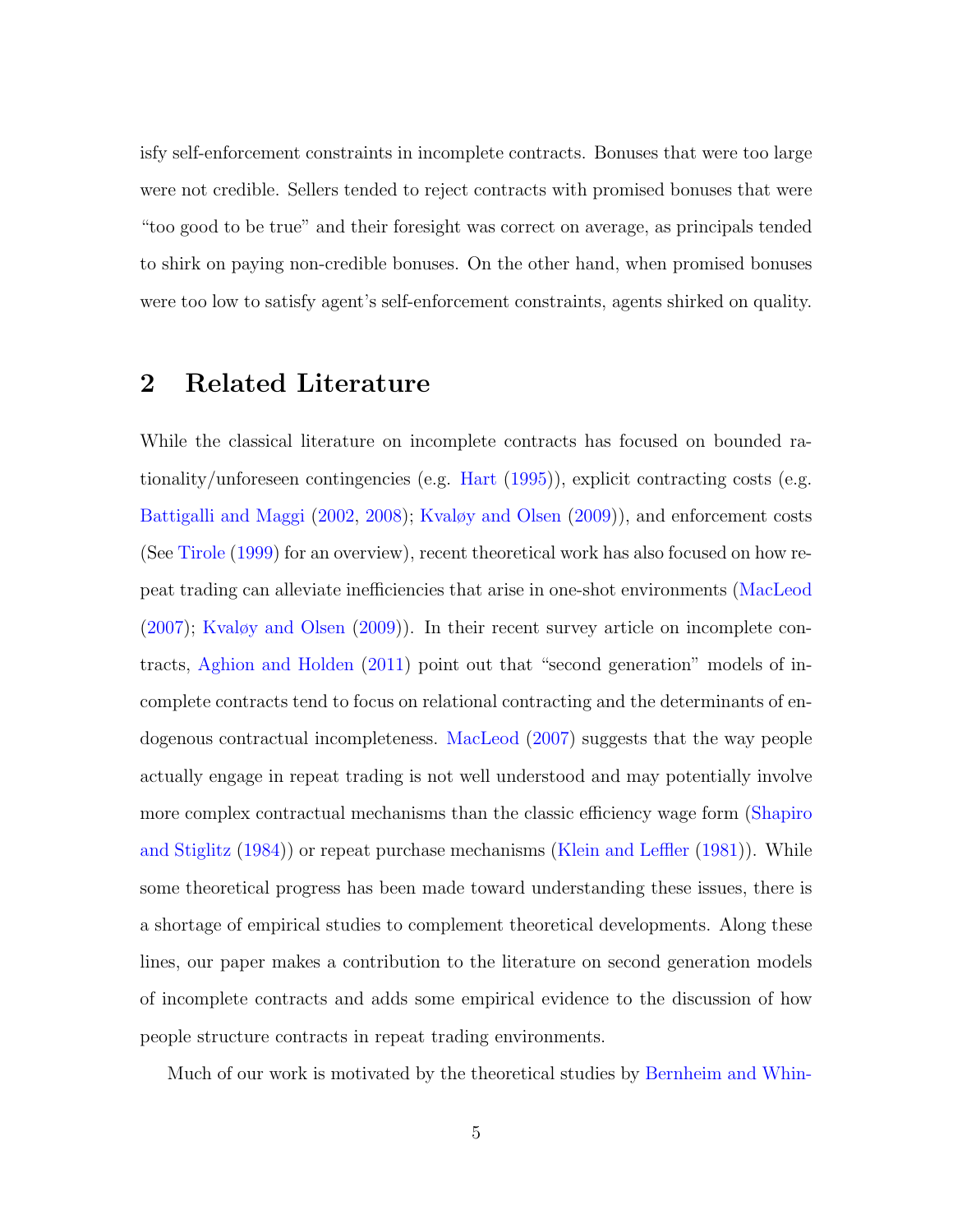isfy self-enforcement constraints in incomplete contracts. Bonuses that were too large were not credible. Sellers tended to reject contracts with promised bonuses that were "too good to be true" and their foresight was correct on average, as principals tended to shirk on paying non-credible bonuses. On the other hand, when promised bonuses were too low to satisfy agent's self-enforcement constraints, agents shirked on quality.

### 2 Related Literature

While the classical literature on incomplete contracts has focused on bounded rationality/unforeseen contingencies (e.g. [Hart](#page-43-2) [\(1995\)](#page-43-2)), explicit contracting costs (e.g. [Battigalli and Maggi](#page-42-2) [\(2002,](#page-42-2) [2008\)](#page-42-3); [Kvaløy and Olsen](#page-44-4) [\(2009\)](#page-44-4)), and enforcement costs (See [Tirole](#page-44-5) [\(1999\)](#page-44-5) for an overview), recent theoretical work has also focused on how repeat trading can alleviate inefficiencies that arise in one-shot environments [\(MacLeod](#page-44-6) [\(2007\)](#page-44-6); [Kvaløy and Olsen](#page-44-4) [\(2009\)](#page-44-4)). In their recent survey article on incomplete contracts, [Aghion and Holden](#page-42-1) [\(2011\)](#page-42-1) point out that "second generation" models of incomplete contracts tend to focus on relational contracting and the determinants of endogenous contractual incompleteness. [MacLeod](#page-44-6) [\(2007\)](#page-44-6) suggests that the way people actually engage in repeat trading is not well understood and may potentially involve more complex contractual mechanisms than the classic efficiency wage form [\(Shapiro](#page-44-1) [and Stiglitz](#page-44-1) [\(1984\)](#page-44-1)) or repeat purchase mechanisms [\(Klein and Leffler](#page-43-0) [\(1981\)](#page-43-0)). While some theoretical progress has been made toward understanding these issues, there is a shortage of empirical studies to complement theoretical developments. Along these lines, our paper makes a contribution to the literature on second generation models of incomplete contracts and adds some empirical evidence to the discussion of how people structure contracts in repeat trading environments.

Much of our work is motivated by the theoretical studies by [Bernheim and Whin-](#page-42-4)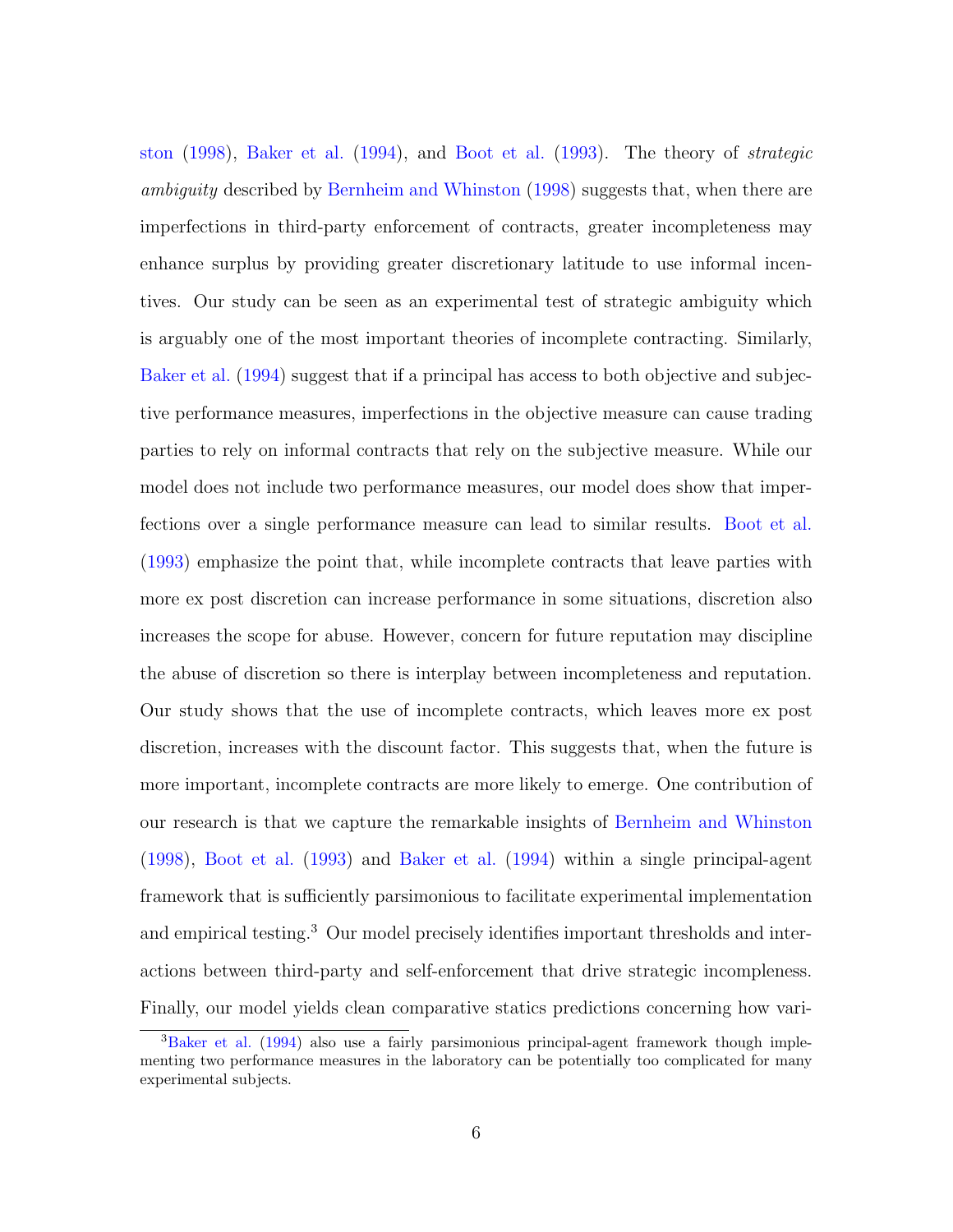[ston](#page-42-4) [\(1998\)](#page-42-4), [Baker et al.](#page-42-5) [\(1994\)](#page-42-5), and [Boot et al.](#page-43-1) [\(1993\)](#page-43-1). The theory of strategic ambiguity described by [Bernheim and Whinston](#page-42-4) [\(1998\)](#page-42-4) suggests that, when there are imperfections in third-party enforcement of contracts, greater incompleteness may enhance surplus by providing greater discretionary latitude to use informal incentives. Our study can be seen as an experimental test of strategic ambiguity which is arguably one of the most important theories of incomplete contracting. Similarly, [Baker et al.](#page-42-5) [\(1994\)](#page-42-5) suggest that if a principal has access to both objective and subjective performance measures, imperfections in the objective measure can cause trading parties to rely on informal contracts that rely on the subjective measure. While our model does not include two performance measures, our model does show that imperfections over a single performance measure can lead to similar results. [Boot et al.](#page-43-1) [\(1993\)](#page-43-1) emphasize the point that, while incomplete contracts that leave parties with more ex post discretion can increase performance in some situations, discretion also increases the scope for abuse. However, concern for future reputation may discipline the abuse of discretion so there is interplay between incompleteness and reputation. Our study shows that the use of incomplete contracts, which leaves more ex post discretion, increases with the discount factor. This suggests that, when the future is more important, incomplete contracts are more likely to emerge. One contribution of our research is that we capture the remarkable insights of [Bernheim and Whinston](#page-42-4) [\(1998\)](#page-42-4), [Boot et al.](#page-43-1) [\(1993\)](#page-43-1) and [Baker et al.](#page-42-5) [\(1994\)](#page-42-5) within a single principal-agent framework that is sufficiently parsimonious to facilitate experimental implementation and empirical testing.<sup>3</sup> Our model precisely identifies important thresholds and interactions between third-party and self-enforcement that drive strategic incompleness. Finally, our model yields clean comparative statics predictions concerning how vari-

<sup>3</sup>[Baker et al.](#page-42-5) [\(1994\)](#page-42-5) also use a fairly parsimonious principal-agent framework though implementing two performance measures in the laboratory can be potentially too complicated for many experimental subjects.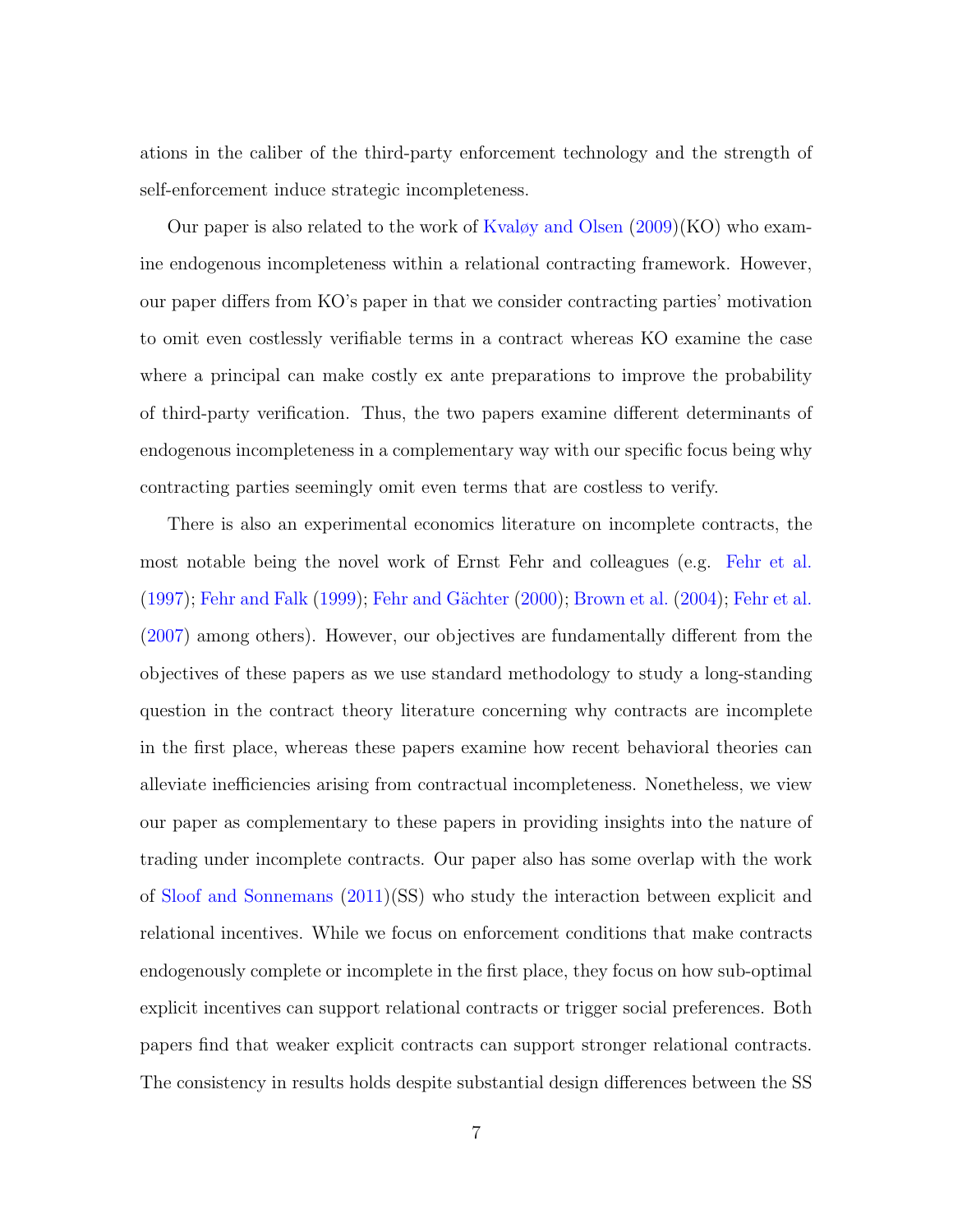ations in the caliber of the third-party enforcement technology and the strength of self-enforcement induce strategic incompleteness.

Our paper is also related to the work of [Kvaløy and Olsen](#page-44-4) [\(2009\)](#page-44-4)(KO) who examine endogenous incompleteness within a relational contracting framework. However, our paper differs from KO's paper in that we consider contracting parties' motivation to omit even costlessly verifiable terms in a contract whereas KO examine the case where a principal can make costly ex ante preparations to improve the probability of third-party verification. Thus, the two papers examine different determinants of endogenous incompleteness in a complementary way with our specific focus being why contracting parties seemingly omit even terms that are costless to verify.

There is also an experimental economics literature on incomplete contracts, the most notable being the novel work of Ernst Fehr and colleagues (e.g. [Fehr et al.](#page-43-3) [\(1997\)](#page-43-3); [Fehr and Falk](#page-43-4) [\(1999\)](#page-43-4); Fehr and Gächter [\(2000\)](#page-43-5); [Brown et al.](#page-43-6) [\(2004\)](#page-43-6); [Fehr et al.](#page-43-7) [\(2007\)](#page-43-7) among others). However, our objectives are fundamentally different from the objectives of these papers as we use standard methodology to study a long-standing question in the contract theory literature concerning why contracts are incomplete in the first place, whereas these papers examine how recent behavioral theories can alleviate inefficiencies arising from contractual incompleteness. Nonetheless, we view our paper as complementary to these papers in providing insights into the nature of trading under incomplete contracts. Our paper also has some overlap with the work of [Sloof and Sonnemans](#page-44-7) [\(2011\)](#page-44-7)(SS) who study the interaction between explicit and relational incentives. While we focus on enforcement conditions that make contracts endogenously complete or incomplete in the first place, they focus on how sub-optimal explicit incentives can support relational contracts or trigger social preferences. Both papers find that weaker explicit contracts can support stronger relational contracts. The consistency in results holds despite substantial design differences between the SS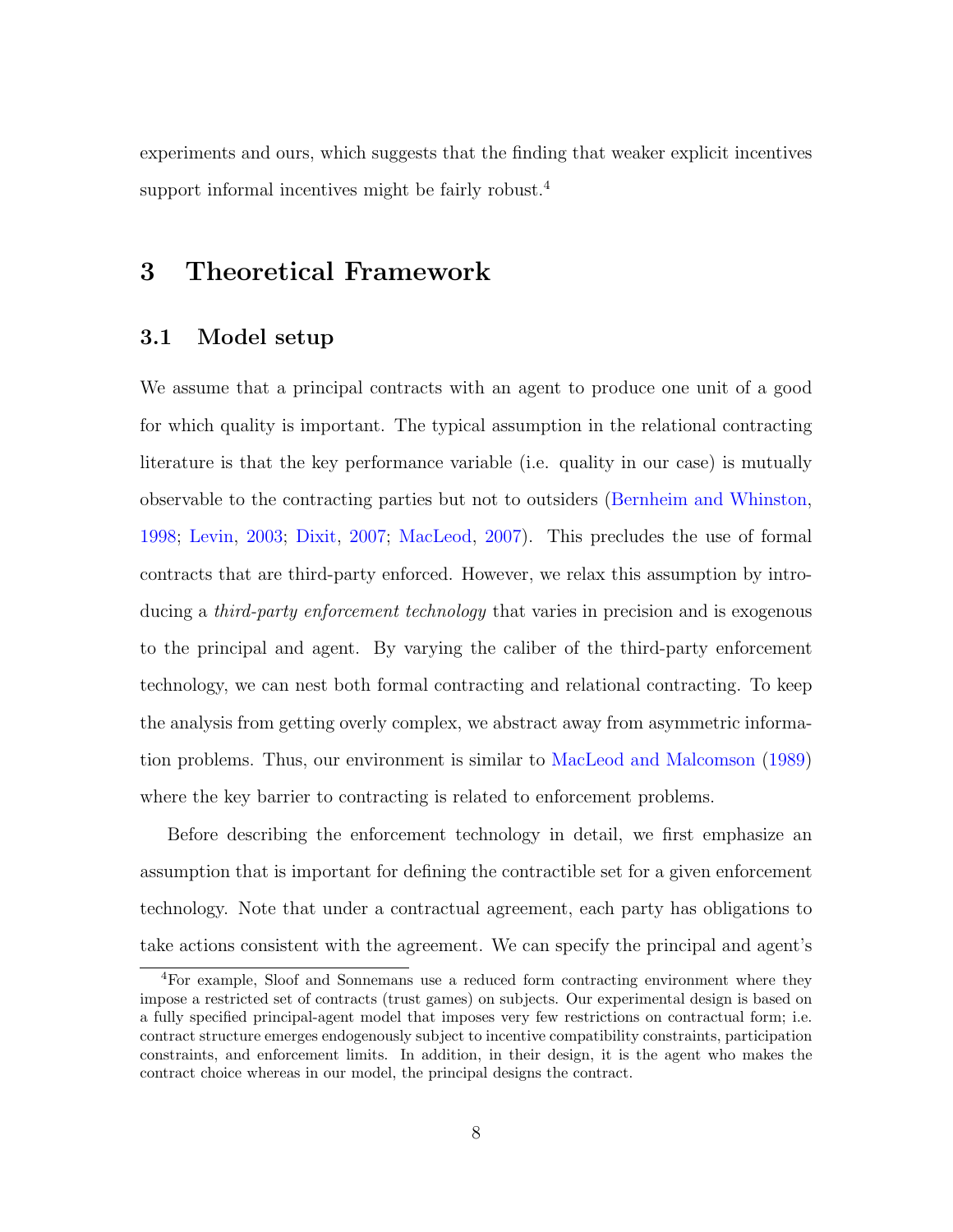experiments and ours, which suggests that the finding that weaker explicit incentives support informal incentives might be fairly robust.<sup>4</sup>

### 3 Theoretical Framework

#### 3.1 Model setup

We assume that a principal contracts with an agent to produce one unit of a good for which quality is important. The typical assumption in the relational contracting literature is that the key performance variable (i.e. quality in our case) is mutually observable to the contracting parties but not to outsiders [\(Bernheim and Whinston,](#page-42-4) [1998;](#page-42-4) [Levin,](#page-44-2) [2003;](#page-44-2) [Dixit,](#page-43-8) [2007;](#page-43-8) [MacLeod,](#page-44-6) [2007\)](#page-44-6). This precludes the use of formal contracts that are third-party enforced. However, we relax this assumption by introducing a *third-party enforcement technology* that varies in precision and is exogenous to the principal and agent. By varying the caliber of the third-party enforcement technology, we can nest both formal contracting and relational contracting. To keep the analysis from getting overly complex, we abstract away from asymmetric information problems. Thus, our environment is similar to [MacLeod and Malcomson](#page-44-3) [\(1989\)](#page-44-3) where the key barrier to contracting is related to enforcement problems.

Before describing the enforcement technology in detail, we first emphasize an assumption that is important for defining the contractible set for a given enforcement technology. Note that under a contractual agreement, each party has obligations to take actions consistent with the agreement. We can specify the principal and agent's

<sup>4</sup>For example, Sloof and Sonnemans use a reduced form contracting environment where they impose a restricted set of contracts (trust games) on subjects. Our experimental design is based on a fully specified principal-agent model that imposes very few restrictions on contractual form; i.e. contract structure emerges endogenously subject to incentive compatibility constraints, participation constraints, and enforcement limits. In addition, in their design, it is the agent who makes the contract choice whereas in our model, the principal designs the contract.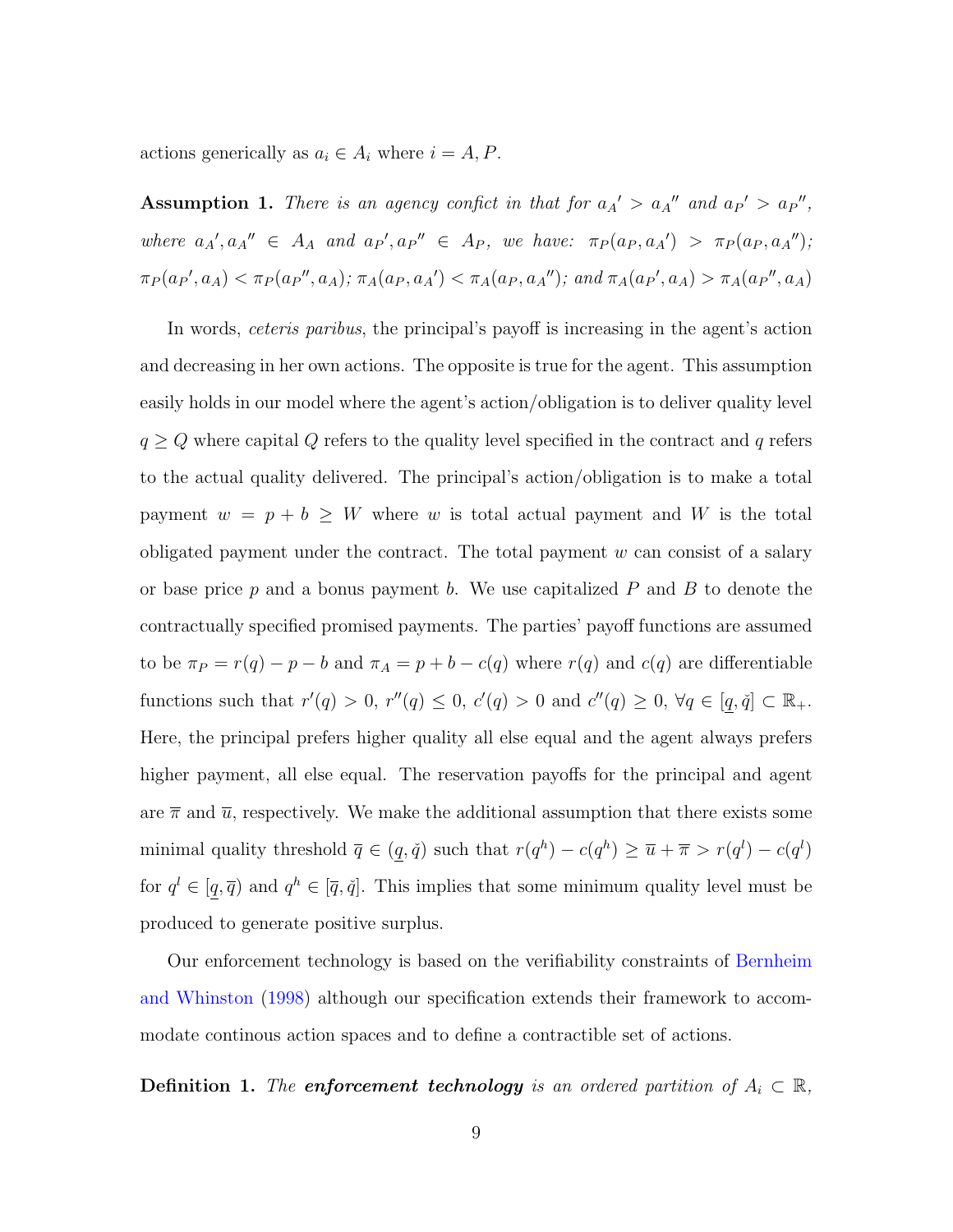actions generically as  $a_i \in A_i$  where  $i = A, P$ .

**Assumption 1.** There is an agency confict in that for  $a_A' > a_A''$  and  $a_P' > a_P''$ , where  $a_{A}$ ',  $a_{A}$ "  $\in$   $A_{A}$  and  $a_{P}$ ',  $a_{P}$ "  $\in$   $A_{P}$ , we have:  $\pi_{P}(a_{P}, a_{A}') > \pi_{P}(a_{P}, a_{A}'')$ ;  $\pi_P(a_{P}, a_A) < \pi_P(a_{P}, a_A)$ ;  $\pi_A(a_{P}, a_{A'}) < \pi_A(a_{P}, a_{A''})$ ; and  $\pi_A(a_{P'}, a_A) > \pi_A(a_{P}, a_{A})$ 

In words, ceteris paribus, the principal's payoff is increasing in the agent's action and decreasing in her own actions. The opposite is true for the agent. This assumption easily holds in our model where the agent's action/obligation is to deliver quality level  $q \geq Q$  where capital  $Q$  refers to the quality level specified in the contract and  $q$  refers to the actual quality delivered. The principal's action/obligation is to make a total payment  $w = p + b \geq W$  where w is total actual payment and W is the total obligated payment under the contract. The total payment  $w$  can consist of a salary or base price  $p$  and a bonus payment  $b$ . We use capitalized  $P$  and  $B$  to denote the contractually specified promised payments. The parties' payoff functions are assumed to be  $\pi_P = r(q) - p - b$  and  $\pi_A = p + b - c(q)$  where  $r(q)$  and  $c(q)$  are differentiable functions such that  $r'(q) > 0$ ,  $r''(q) \leq 0$ ,  $c'(q) > 0$  and  $c''(q) \geq 0$ ,  $\forall q \in [q, \check{q}] \subset \mathbb{R}_+$ . Here, the principal prefers higher quality all else equal and the agent always prefers higher payment, all else equal. The reservation payoffs for the principal and agent are  $\bar{\pi}$  and  $\bar{u}$ , respectively. We make the additional assumption that there exists some minimal quality threshold  $\overline{q} \in (q, \check{q})$  such that  $r(q^h) - c(q^h) \geq \overline{u} + \overline{\pi} > r(q^l) - c(q^l)$ for  $q^l \in [q, \overline{q}]$  and  $q^h \in [\overline{q}, \overline{q}]$ . This implies that some minimum quality level must be produced to generate positive surplus.

Our enforcement technology is based on the verifiability constraints of [Bernheim](#page-42-4) [and Whinston](#page-42-4) [\(1998\)](#page-42-4) although our specification extends their framework to accommodate continous action spaces and to define a contractible set of actions.

<span id="page-11-0"></span>**Definition 1.** The **enforcement technology** is an ordered partition of  $A_i \subset \mathbb{R}$ ,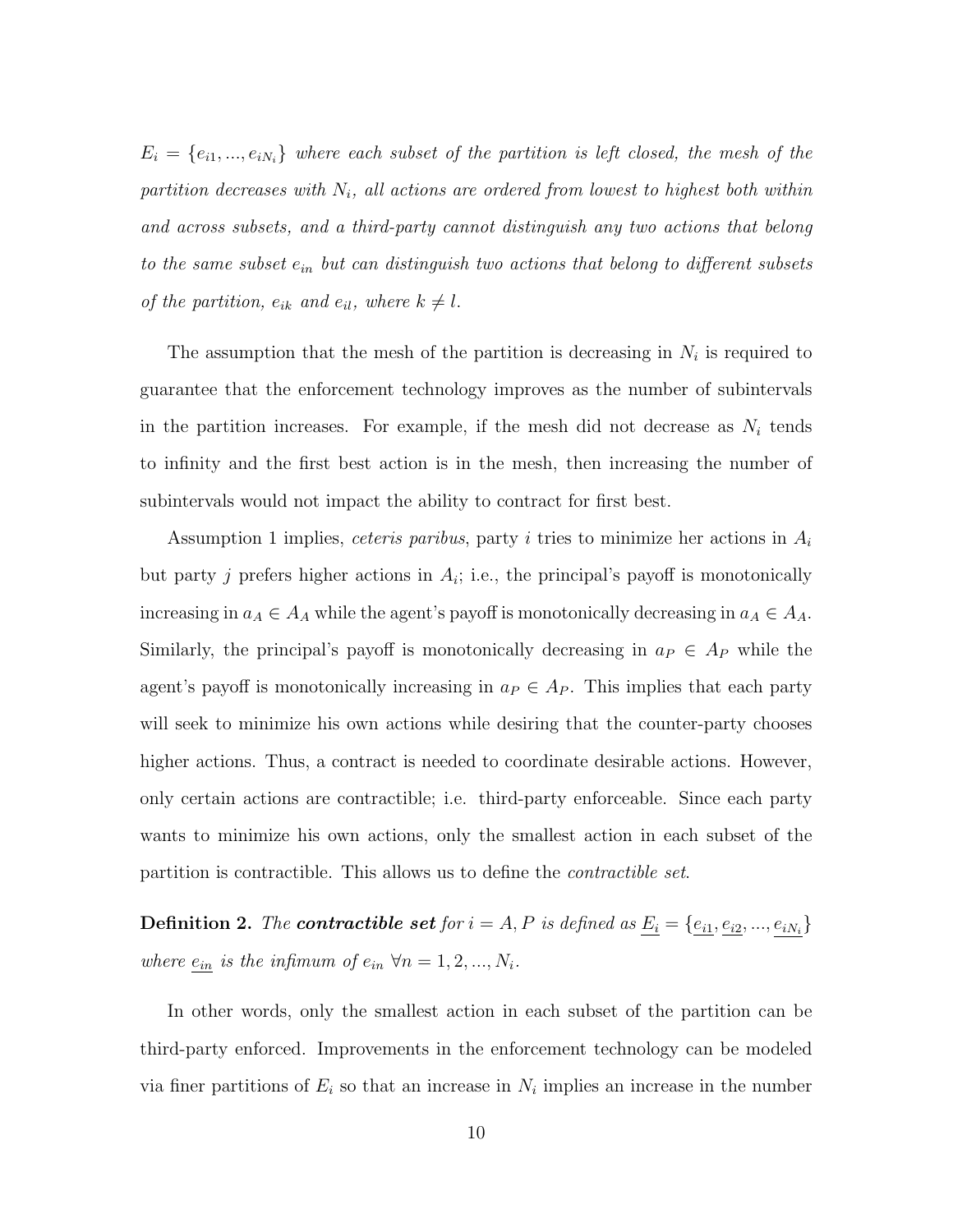$E_i = \{e_{i1},...,e_{iN_i}\}\$  where each subset of the partition is left closed, the mesh of the partition decreases with  $N_i$ , all actions are ordered from lowest to highest both within and across subsets, and a third-party cannot distinguish any two actions that belong to the same subset  $e_{in}$  but can distinguish two actions that belong to different subsets of the partition,  $e_{ik}$  and  $e_{il}$ , where  $k \neq l$ .

The assumption that the mesh of the partition is decreasing in  $N_i$  is required to guarantee that the enforcement technology improves as the number of subintervals in the partition increases. For example, if the mesh did not decrease as  $N_i$  tends to infinity and the first best action is in the mesh, then increasing the number of subintervals would not impact the ability to contract for first best.

Assumption 1 implies, *ceteris paribus*, party *i* tries to minimize her actions in  $A_i$ but party j prefers higher actions in  $A_i$ ; i.e., the principal's payoff is monotonically increasing in  $a_A \in A_A$  while the agent's payoff is monotonically decreasing in  $a_A \in A_A$ . Similarly, the principal's payoff is monotonically decreasing in  $a_P \in A_P$  while the agent's payoff is monotonically increasing in  $a_P \in A_P$ . This implies that each party will seek to minimize his own actions while desiring that the counter-party chooses higher actions. Thus, a contract is needed to coordinate desirable actions. However, only certain actions are contractible; i.e. third-party enforceable. Since each party wants to minimize his own actions, only the smallest action in each subset of the partition is contractible. This allows us to define the contractible set.

<span id="page-12-0"></span>**Definition 2.** The **contractible set** for  $i = A, P$  is defined as  $\underline{E_i} = \{ \underline{e_{i1}}, \underline{e_{i2}}, ..., \underline{e_{iN_i}} \}$ where  $\underline{e_{in}}$  is the infimum of  $e_{in} \forall n = 1, 2, ..., N_i$ .

In other words, only the smallest action in each subset of the partition can be third-party enforced. Improvements in the enforcement technology can be modeled via finer partitions of  $E_i$  so that an increase in  $N_i$  implies an increase in the number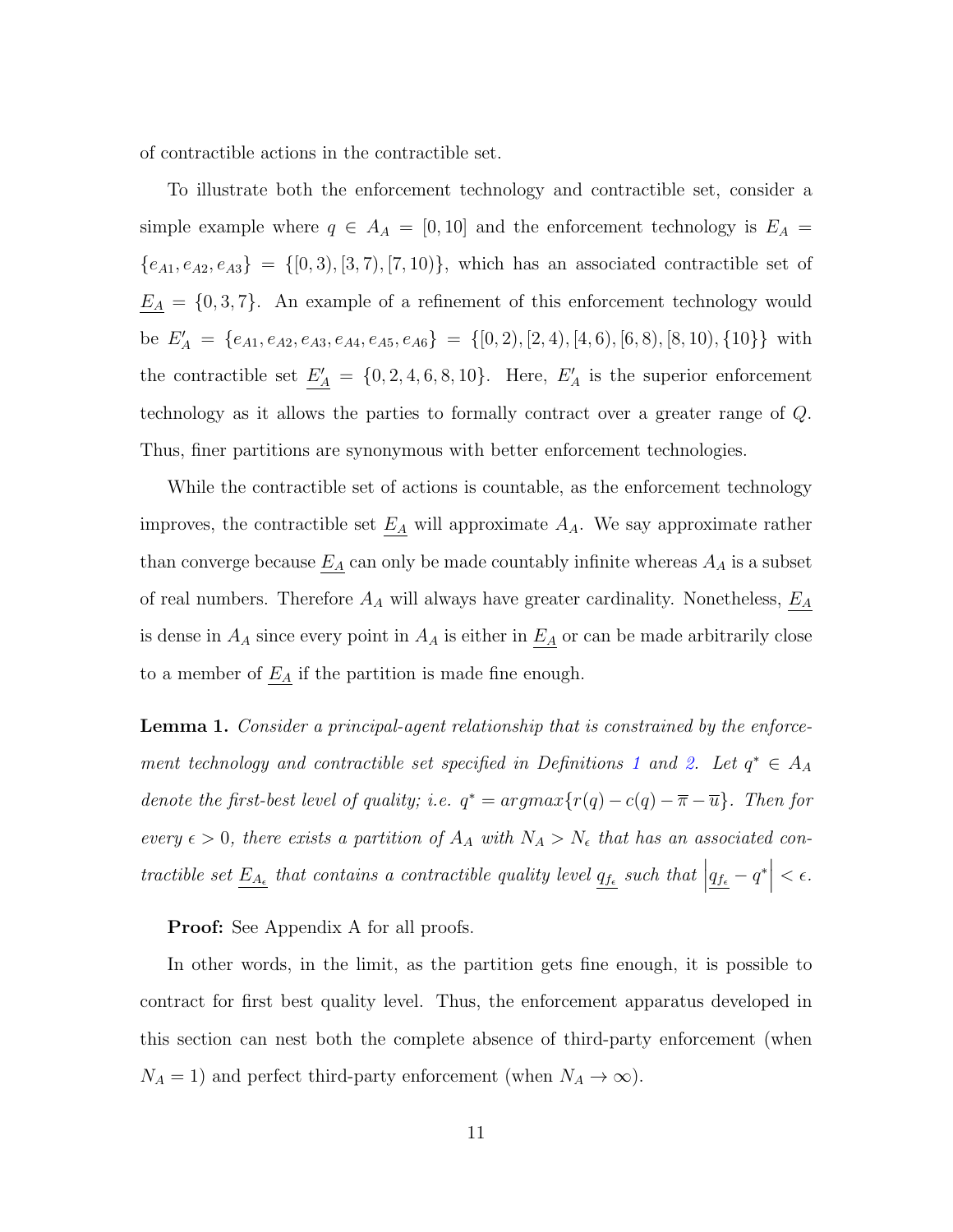of contractible actions in the contractible set.

To illustrate both the enforcement technology and contractible set, consider a simple example where  $q \in A_A = [0, 10]$  and the enforcement technology is  $E_A =$  ${e_{A1}, e_{A2}, e_{A3}} = \{ [0, 3), [3, 7), [7, 10] \}$ , which has an associated contractible set of  $\underline{E_A} = \{0, 3, 7\}$ . An example of a refinement of this enforcement technology would be  $E'_A = \{e_{A1}, e_{A2}, e_{A3}, e_{A4}, e_{A5}, e_{A6}\} = \{[0, 2), [2, 4), [4, 6), [6, 8), [8, 10), \{10\}\}\$  with the contractible set  $\underline{E'_A} = \{0, 2, 4, 6, 8, 10\}$ . Here,  $E'_A$  is the superior enforcement technology as it allows the parties to formally contract over a greater range of Q. Thus, finer partitions are synonymous with better enforcement technologies.

While the contractible set of actions is countable, as the enforcement technology improves, the contractible set  $\underline{E_A}$  will approximate  $A_A$ . We say approximate rather than converge because  $\underline{E_A}$  can only be made countably infinite whereas  $A_A$  is a subset of real numbers. Therefore  $A_A$  will always have greater cardinality. Nonetheless,  $\underline{E_A}$ is dense in  $A_A$  since every point in  $A_A$  is either in  $\underline{E_A}$  or can be made arbitrarily close to a member of  $\underline{E_A}$  if the partition is made fine enough.

<span id="page-13-0"></span>**Lemma 1.** Consider a principal-agent relationship that is constrained by the enforce-ment technology and contractible set specified in Definitions [1](#page-11-0) and [2.](#page-12-0) Let  $q^* \in A_A$ denote the first-best level of quality; i.e.  $q^* = argmax\{r(q) - c(q) - \overline{\pi} - \overline{u}\}$ . Then for every  $\epsilon > 0$ , there exists a partition of  $A_A$  with  $N_A > N_{\epsilon}$  that has an associated contractible set  $\underline{E_{A_\epsilon}}$  that contains a contractible quality level  $\underline{q_{f_\epsilon}}$  such that  $\left| \underline{q_{f_\epsilon}} - q^* \right|$  $< \epsilon$ .

Proof: See Appendix A for all proofs.

In other words, in the limit, as the partition gets fine enough, it is possible to contract for first best quality level. Thus, the enforcement apparatus developed in this section can nest both the complete absence of third-party enforcement (when  $N_A = 1$ ) and perfect third-party enforcement (when  $N_A \to \infty$ ).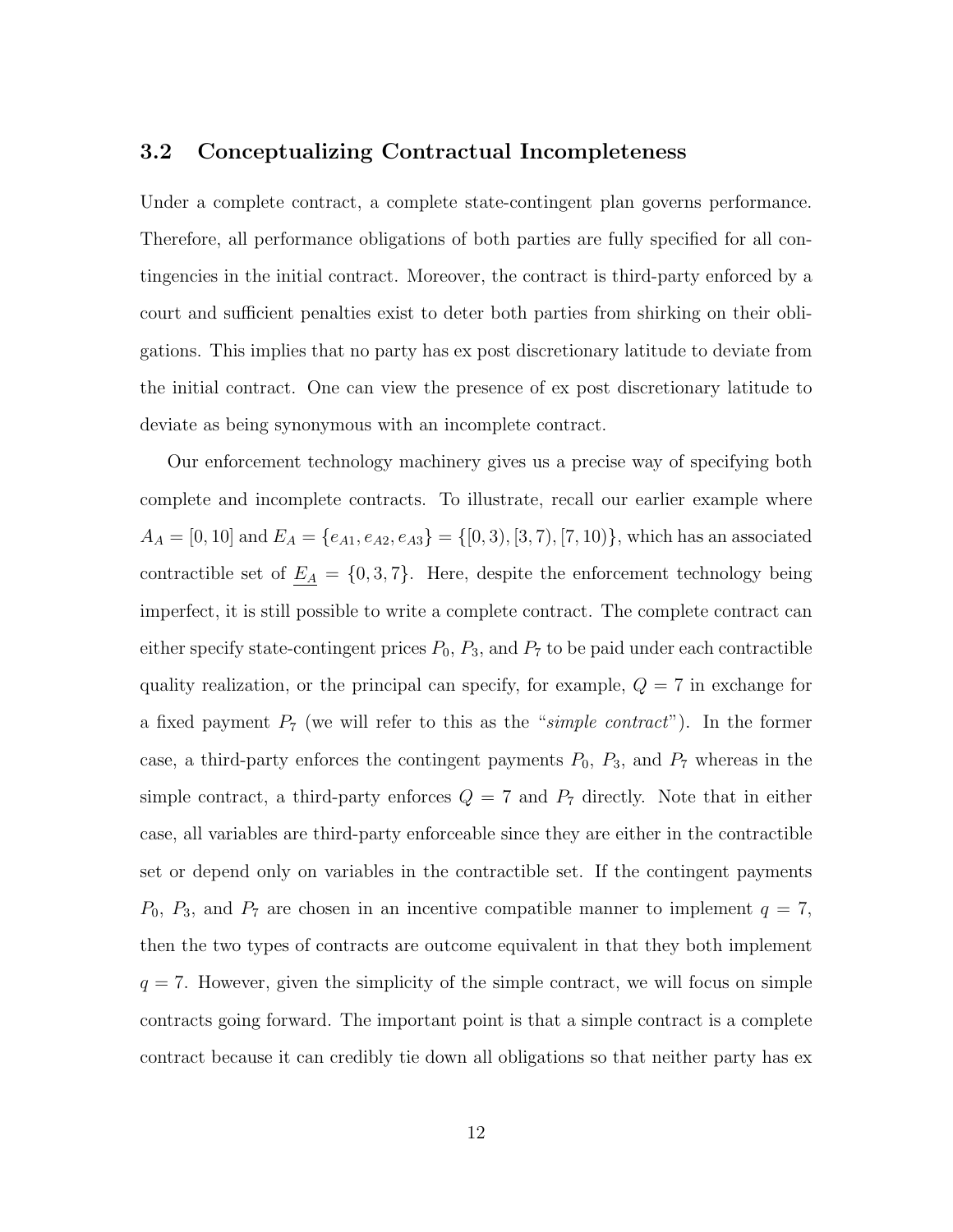#### 3.2 Conceptualizing Contractual Incompleteness

Under a complete contract, a complete state-contingent plan governs performance. Therefore, all performance obligations of both parties are fully specified for all contingencies in the initial contract. Moreover, the contract is third-party enforced by a court and sufficient penalties exist to deter both parties from shirking on their obligations. This implies that no party has ex post discretionary latitude to deviate from the initial contract. One can view the presence of ex post discretionary latitude to deviate as being synonymous with an incomplete contract.

Our enforcement technology machinery gives us a precise way of specifying both complete and incomplete contracts. To illustrate, recall our earlier example where  $A_A = [0, 10]$  and  $E_A = \{e_{A1}, e_{A2}, e_{A3}\} = \{[0, 3), [3, 7), [7, 10)\}\$ , which has an associated contractible set of  $\underline{E_A} = \{0, 3, 7\}$ . Here, despite the enforcement technology being imperfect, it is still possible to write a complete contract. The complete contract can either specify state-contingent prices  $P_0$ ,  $P_3$ , and  $P_7$  to be paid under each contractible quality realization, or the principal can specify, for example,  $Q = 7$  in exchange for a fixed payment  $P_7$  (we will refer to this as the "simple contract"). In the former case, a third-party enforces the contingent payments  $P_0$ ,  $P_3$ , and  $P_7$  whereas in the simple contract, a third-party enforces  $Q = 7$  and  $P_7$  directly. Note that in either case, all variables are third-party enforceable since they are either in the contractible set or depend only on variables in the contractible set. If the contingent payments  $P_0$ ,  $P_3$ , and  $P_7$  are chosen in an incentive compatible manner to implement  $q = 7$ , then the two types of contracts are outcome equivalent in that they both implement  $q = 7$ . However, given the simplicity of the simple contract, we will focus on simple contracts going forward. The important point is that a simple contract is a complete contract because it can credibly tie down all obligations so that neither party has ex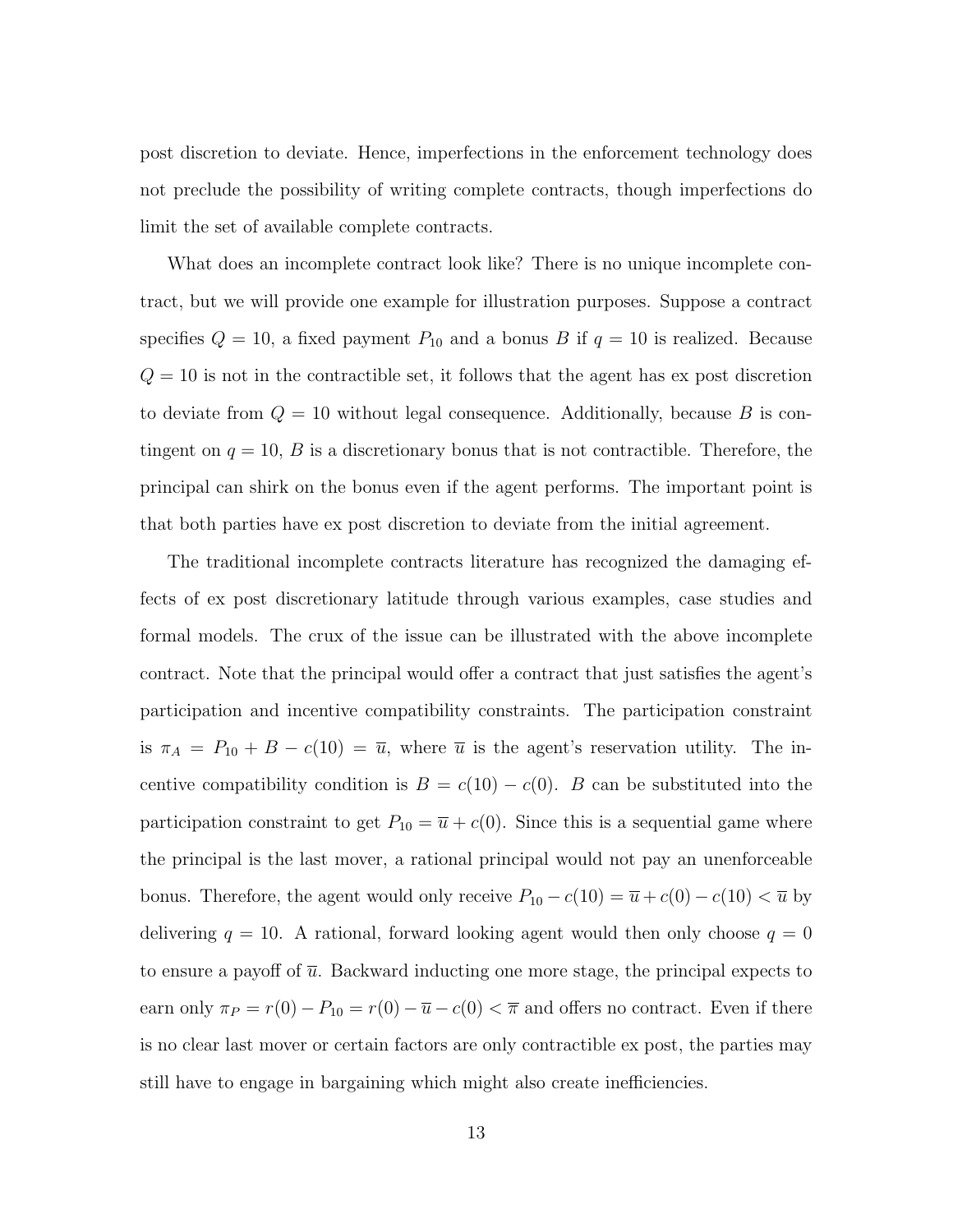post discretion to deviate. Hence, imperfections in the enforcement technology does not preclude the possibility of writing complete contracts, though imperfections do limit the set of available complete contracts.

What does an incomplete contract look like? There is no unique incomplete contract, but we will provide one example for illustration purposes. Suppose a contract specifies  $Q = 10$ , a fixed payment  $P_{10}$  and a bonus B if  $q = 10$  is realized. Because  $Q = 10$  is not in the contractible set, it follows that the agent has ex post discretion to deviate from  $Q = 10$  without legal consequence. Additionally, because B is contingent on  $q = 10$ , B is a discretionary bonus that is not contractible. Therefore, the principal can shirk on the bonus even if the agent performs. The important point is that both parties have ex post discretion to deviate from the initial agreement.

The traditional incomplete contracts literature has recognized the damaging effects of ex post discretionary latitude through various examples, case studies and formal models. The crux of the issue can be illustrated with the above incomplete contract. Note that the principal would offer a contract that just satisfies the agent's participation and incentive compatibility constraints. The participation constraint is  $\pi_A = P_{10} + B - c(10) = \overline{u}$ , where  $\overline{u}$  is the agent's reservation utility. The incentive compatibility condition is  $B = c(10) - c(0)$ . B can be substituted into the participation constraint to get  $P_{10} = \overline{u} + c(0)$ . Since this is a sequential game where the principal is the last mover, a rational principal would not pay an unenforceable bonus. Therefore, the agent would only receive  $P_{10} - c(10) = \overline{u} + c(0) - c(10) < \overline{u}$  by delivering  $q = 10$ . A rational, forward looking agent would then only choose  $q = 0$ to ensure a payoff of  $\bar{u}$ . Backward inducting one more stage, the principal expects to earn only  $\pi_P = r(0) - P_{10} = r(0) - \overline{u} - c(0) < \overline{\pi}$  and offers no contract. Even if there is no clear last mover or certain factors are only contractible ex post, the parties may still have to engage in bargaining which might also create inefficiencies.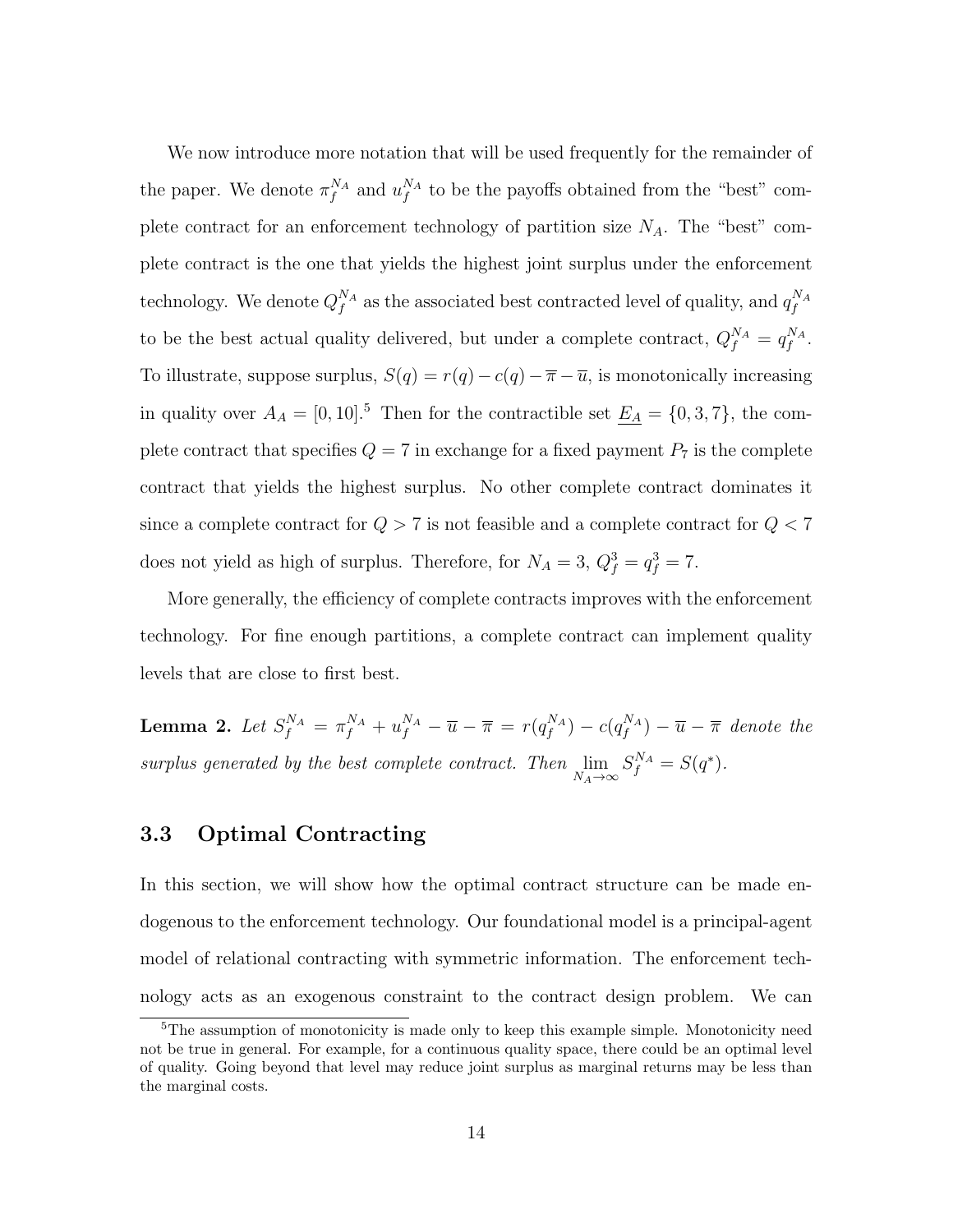We now introduce more notation that will be used frequently for the remainder of the paper. We denote  $\pi_f^{N_A}$  and  $u_f^{N_A}$  to be the payoffs obtained from the "best" complete contract for an enforcement technology of partition size  $N_A$ . The "best" complete contract is the one that yields the highest joint surplus under the enforcement technology. We denote  $Q_f^{N_A}$  as the associated best contracted level of quality, and  $q_f^{N_A}$ to be the best actual quality delivered, but under a complete contract,  $Q_f^{N_A} = q_f^{N_A}$ . To illustrate, suppose surplus,  $S(q) = r(q) - c(q) - \overline{\pi} - \overline{u}$ , is monotonically increasing in quality over  $A_A = [0, 10]$ .<sup>5</sup> Then for the contractible set  $\underline{E_A} = \{0, 3, 7\}$ , the complete contract that specifies  $Q = 7$  in exchange for a fixed payment  $P_7$  is the complete contract that yields the highest surplus. No other complete contract dominates it since a complete contract for  $Q > 7$  is not feasible and a complete contract for  $Q < 7$ does not yield as high of surplus. Therefore, for  $N_A = 3$ ,  $Q_f^3 = q_f^3 = 7$ .

More generally, the efficiency of complete contracts improves with the enforcement technology. For fine enough partitions, a complete contract can implement quality levels that are close to first best.

<span id="page-16-0"></span>**Lemma 2.** Let  $S_f^{N_A} = \pi_f^{N_A} + u_f^{N_A} - \overline{u} - \overline{\pi} = r(q_f^{N_A}) - c(q_f^{N_A}) - \overline{u} - \overline{\pi}$  denote the surplus generated by the best complete contract. Then  $\lim_{N_A \to \infty} S_f^{N_A} = S(q^*).$ 

#### 3.3 Optimal Contracting

In this section, we will show how the optimal contract structure can be made endogenous to the enforcement technology. Our foundational model is a principal-agent model of relational contracting with symmetric information. The enforcement technology acts as an exogenous constraint to the contract design problem. We can

<sup>&</sup>lt;sup>5</sup>The assumption of monotonicity is made only to keep this example simple. Monotonicity need not be true in general. For example, for a continuous quality space, there could be an optimal level of quality. Going beyond that level may reduce joint surplus as marginal returns may be less than the marginal costs.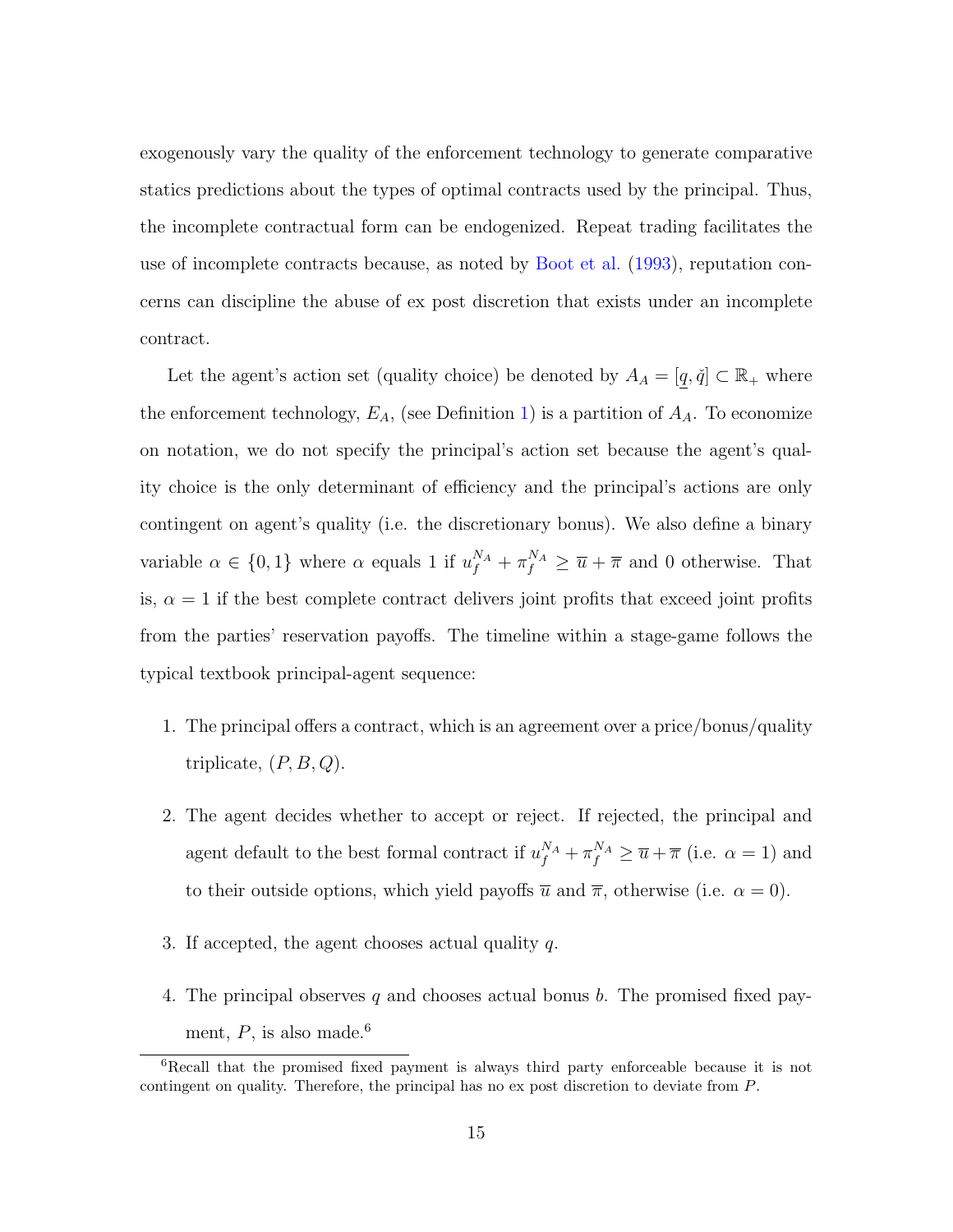exogenously vary the quality of the enforcement technology to generate comparative statics predictions about the types of optimal contracts used by the principal. Thus, the incomplete contractual form can be endogenized. Repeat trading facilitates the use of incomplete contracts because, as noted by [Boot et al.](#page-43-1) [\(1993\)](#page-43-1), reputation concerns can discipline the abuse of ex post discretion that exists under an incomplete contract.

Let the agent's action set (quality choice) be denoted by  $A_A = [q, \check{q}] \subset \mathbb{R}_+$  where the enforcement technology,  $E_A$ , (see Definition [1\)](#page-11-0) is a partition of  $A_A$ . To economize on notation, we do not specify the principal's action set because the agent's quality choice is the only determinant of efficiency and the principal's actions are only contingent on agent's quality (i.e. the discretionary bonus). We also define a binary variable  $\alpha \in \{0,1\}$  where  $\alpha$  equals 1 if  $u_f^{N_A} + \pi_f^{N_A} \geq \overline{u} + \overline{\pi}$  and 0 otherwise. That is,  $\alpha = 1$  if the best complete contract delivers joint profits that exceed joint profits from the parties' reservation payoffs. The timeline within a stage-game follows the typical textbook principal-agent sequence:

- 1. The principal offers a contract, which is an agreement over a price/bonus/quality triplicate,  $(P, B, Q)$ .
- 2. The agent decides whether to accept or reject. If rejected, the principal and agent default to the best formal contract if  $u_f^{N_A} + \pi_f^{N_A} \ge \overline{u} + \overline{\pi}$  (i.e.  $\alpha = 1$ ) and to their outside options, which yield payoffs  $\bar{u}$  and  $\bar{\pi}$ , otherwise (i.e.  $\alpha = 0$ ).
- 3. If accepted, the agent chooses actual quality  $q$ .
- 4. The principal observes q and chooses actual bonus b. The promised fixed payment,  $P$ , is also made.<sup>6</sup>

<sup>&</sup>lt;sup>6</sup>Recall that the promised fixed payment is always third party enforceable because it is not contingent on quality. Therefore, the principal has no ex post discretion to deviate from P.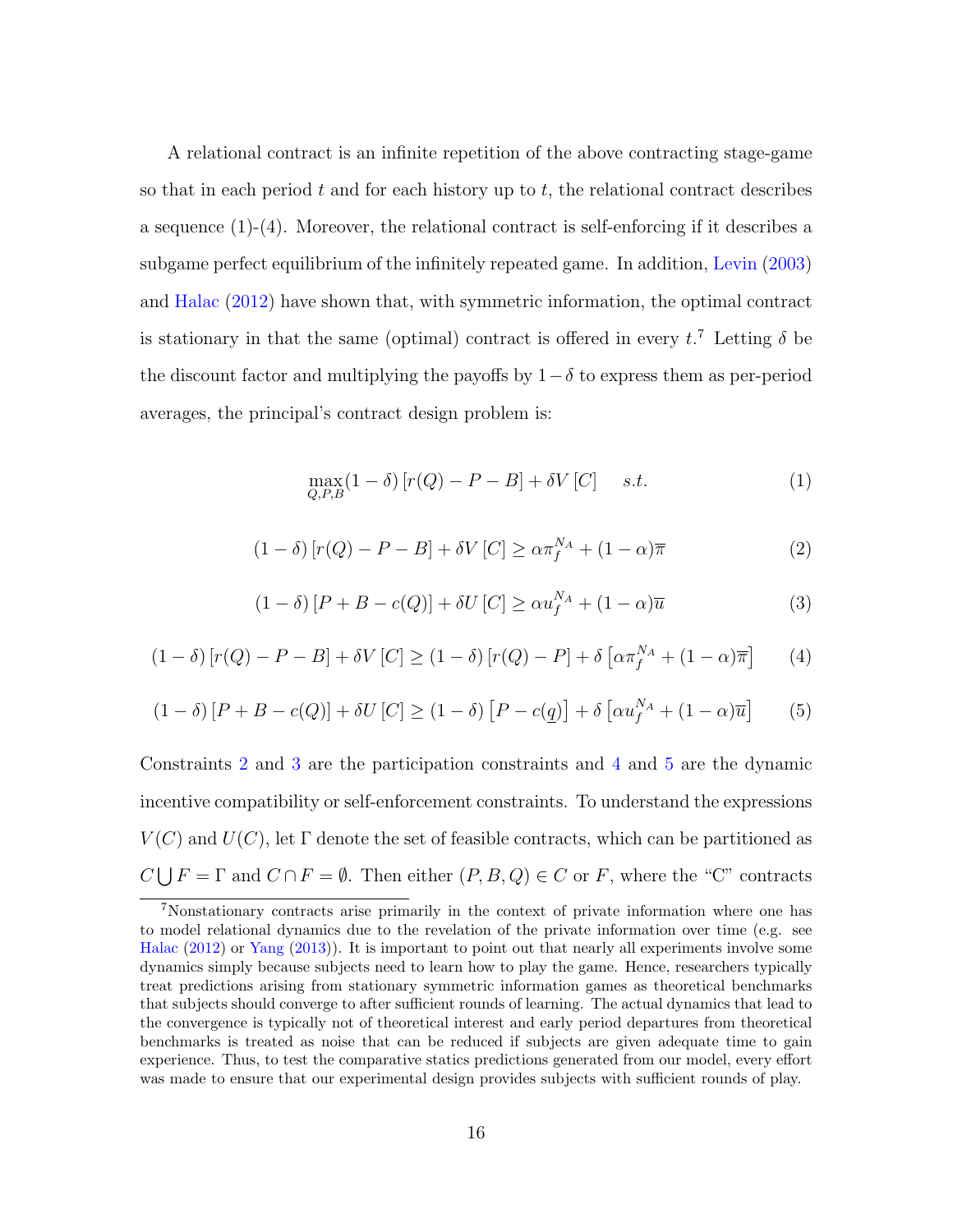A relational contract is an infinite repetition of the above contracting stage-game so that in each period  $t$  and for each history up to  $t$ , the relational contract describes a sequence (1)-(4). Moreover, the relational contract is self-enforcing if it describes a subgame perfect equilibrium of the infinitely repeated game. In addition, [Levin](#page-44-2) [\(2003\)](#page-44-2) and [Halac](#page-43-9) [\(2012\)](#page-43-9) have shown that, with symmetric information, the optimal contract is stationary in that the same (optimal) contract is offered in every  $t^2$ . Letting  $\delta$  be the discount factor and multiplying the payoffs by  $1-\delta$  to express them as per-period averages, the principal's contract design problem is:

<span id="page-18-4"></span>
$$
\max_{Q,P,B} (1 - \delta) \left[ r(Q) - P - B \right] + \delta V \left[ C \right] \quad s.t. \tag{1}
$$

<span id="page-18-0"></span>
$$
(1 - \delta) [r(Q) - P - B] + \delta V [C] \ge \alpha \pi_f^{N_A} + (1 - \alpha) \overline{\pi}
$$
 (2)

<span id="page-18-1"></span>
$$
(1 - \delta) [P + B - c(Q)] + \delta U [C] \ge \alpha u_f^{N_A} + (1 - \alpha) \overline{u}
$$
 (3)

<span id="page-18-2"></span>
$$
(1 - \delta) [r(Q) - P - B] + \delta V [C] \ge (1 - \delta) [r(Q) - P] + \delta \left[ \alpha \pi_f^{N_A} + (1 - \alpha) \overline{\pi} \right]
$$
 (4)

<span id="page-18-3"></span>
$$
(1 - \delta) [P + B - c(Q)] + \delta U [C] \ge (1 - \delta) [P - c(\underline{q})] + \delta [\alpha u_f^{N_A} + (1 - \alpha)\overline{u}] \tag{5}
$$

Constraints [2](#page-18-0) and [3](#page-18-1) are the participation constraints and [4](#page-18-2) and [5](#page-18-3) are the dynamic incentive compatibility or self-enforcement constraints. To understand the expressions  $V(C)$  and  $U(C)$ , let  $\Gamma$  denote the set of feasible contracts, which can be partitioned as  $C \bigcup F = \Gamma$  and  $C \cap F = \emptyset$ . Then either  $(P, B, Q) \in C$  or F, where the "C" contracts

<sup>7</sup>Nonstationary contracts arise primarily in the context of private information where one has to model relational dynamics due to the revelation of the private information over time (e.g. see [Halac](#page-43-9) [\(2012\)](#page-43-9) or [Yang](#page-44-8) [\(2013\)](#page-44-8)). It is important to point out that nearly all experiments involve some dynamics simply because subjects need to learn how to play the game. Hence, researchers typically treat predictions arising from stationary symmetric information games as theoretical benchmarks that subjects should converge to after sufficient rounds of learning. The actual dynamics that lead to the convergence is typically not of theoretical interest and early period departures from theoretical benchmarks is treated as noise that can be reduced if subjects are given adequate time to gain experience. Thus, to test the comparative statics predictions generated from our model, every effort was made to ensure that our experimental design provides subjects with sufficient rounds of play.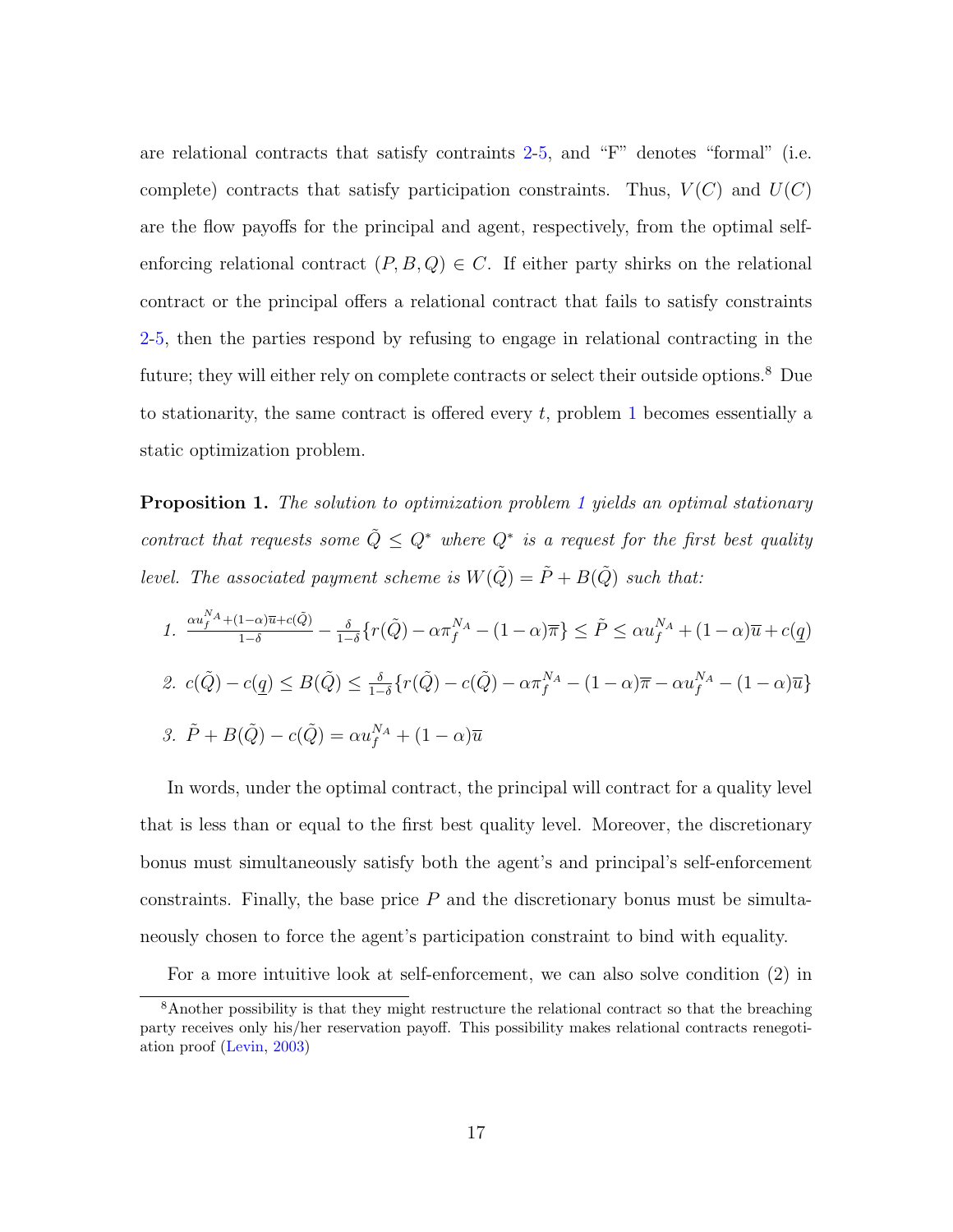are relational contracts that satisfy contraints [2-](#page-18-0)[5,](#page-18-3) and "F" denotes "formal" (i.e. complete) contracts that satisfy participation constraints. Thus,  $V(C)$  and  $U(C)$ are the flow payoffs for the principal and agent, respectively, from the optimal selfenforcing relational contract  $(P, B, Q) \in C$ . If either party shirks on the relational contract or the principal offers a relational contract that fails to satisfy constraints [2-](#page-18-0)[5,](#page-18-3) then the parties respond by refusing to engage in relational contracting in the future; they will either rely on complete contracts or select their outside options.<sup>8</sup> Due to stationarity, the same contract is offered every  $t$ , problem [1](#page-18-4) becomes essentially a static optimization problem.

<span id="page-19-0"></span>**Proposition [1](#page-18-4).** The solution to optimization problem 1 yields an optimal stationary contract that requests some  $\tilde{Q} \leq Q^*$  where  $Q^*$  is a request for the first best quality level. The associated payment scheme is  $W(\tilde{Q}) = \tilde{P} + B(\tilde{Q})$  such that:

1. 
$$
\frac{\alpha u_f^{N_A} + (1 - \alpha)\overline{u} + c(\tilde{Q})}{1 - \delta} - \frac{\delta}{1 - \delta} \{r(\tilde{Q}) - \alpha \pi_f^{N_A} - (1 - \alpha)\overline{\pi}\} \le \tilde{P} \le \alpha u_f^{N_A} + (1 - \alpha)\overline{u} + c(\underline{q})
$$
  
2. 
$$
c(\tilde{Q}) - c(\underline{q}) \le B(\tilde{Q}) \le \frac{\delta}{1 - \delta} \{r(\tilde{Q}) - c(\tilde{Q}) - \alpha \pi_f^{N_A} - (1 - \alpha)\overline{\pi} - \alpha u_f^{N_A} - (1 - \alpha)\overline{u}\}
$$
  
3. 
$$
\tilde{P} + B(\tilde{Q}) - c(\tilde{Q}) = \alpha u_f^{N_A} + (1 - \alpha)\overline{u}
$$

In words, under the optimal contract, the principal will contract for a quality level that is less than or equal to the first best quality level. Moreover, the discretionary bonus must simultaneously satisfy both the agent's and principal's self-enforcement constraints. Finally, the base price  $P$  and the discretionary bonus must be simultaneously chosen to force the agent's participation constraint to bind with equality.

For a more intuitive look at self-enforcement, we can also solve condition (2) in

<sup>&</sup>lt;sup>8</sup>Another possibility is that they might restructure the relational contract so that the breaching party receives only his/her reservation payoff. This possibility makes relational contracts renegotiation proof [\(Levin,](#page-44-2) [2003\)](#page-44-2)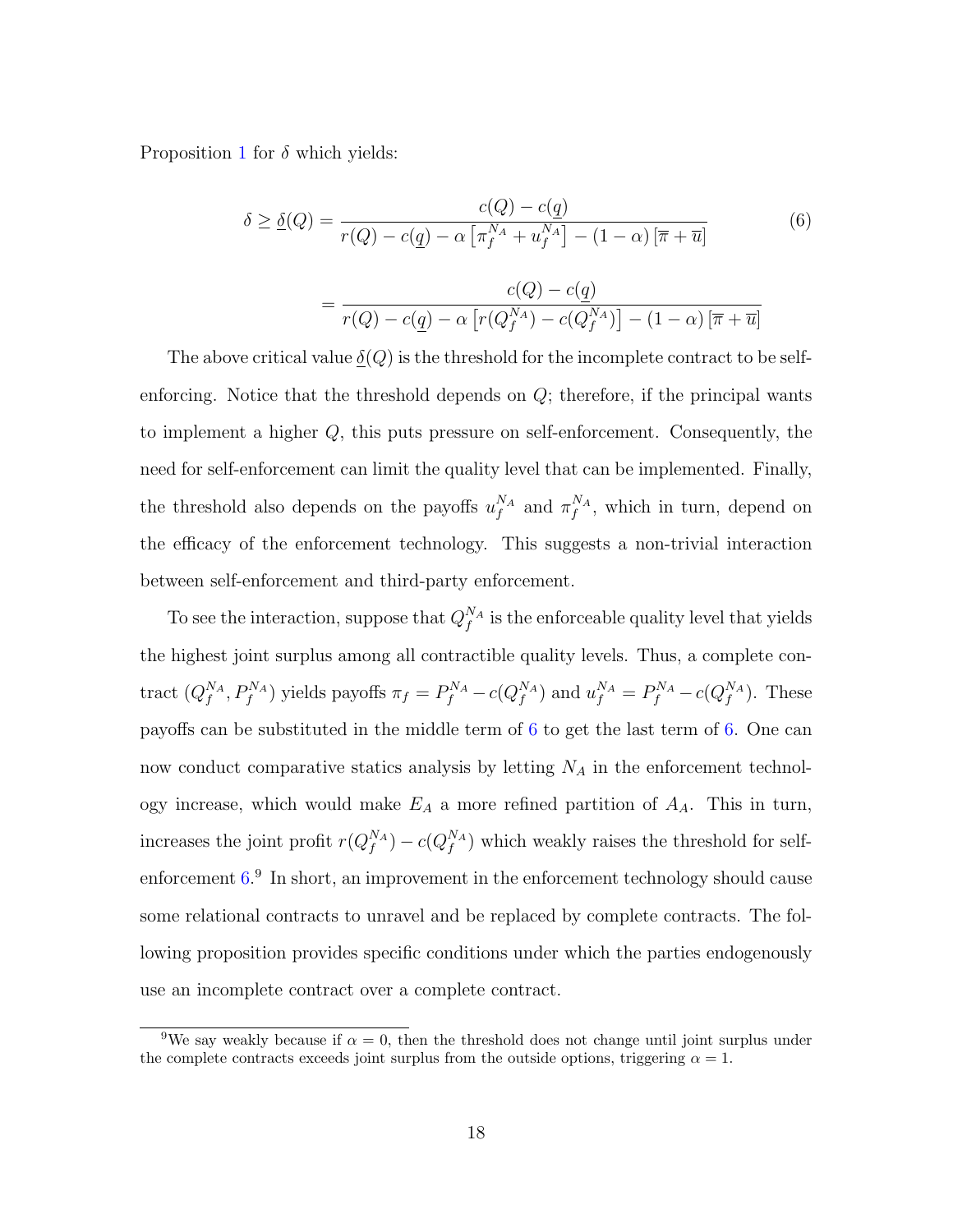Proposition [1](#page-19-0) for  $\delta$  which yields:

<span id="page-20-0"></span>
$$
\delta \ge \underline{\delta}(Q) = \frac{c(Q) - c(\underline{q})}{r(Q) - c(\underline{q}) - \alpha \left[\pi_f^{N_A} + u_f^{N_A}\right] - (1 - \alpha)\left[\overline{\pi} + \overline{u}\right]}
$$
(6)  

$$
= \frac{c(Q) - c(\underline{q})}{r(Q) - c(\underline{q}) - \alpha \left[r(Q_f^{N_A}) - c(Q_f^{N_A})\right] - (1 - \alpha)\left[\overline{\pi} + \overline{u}\right]}
$$

The above critical value  $\delta(Q)$  is the threshold for the incomplete contract to be selfenforcing. Notice that the threshold depends on  $Q$ ; therefore, if the principal wants to implement a higher Q, this puts pressure on self-enforcement. Consequently, the need for self-enforcement can limit the quality level that can be implemented. Finally, the threshold also depends on the payoffs  $u_f^{N_A}$  and  $\pi_f^{N_A}$ , which in turn, depend on the efficacy of the enforcement technology. This suggests a non-trivial interaction between self-enforcement and third-party enforcement.

To see the interaction, suppose that  $Q_f^{N_A}$  is the enforceable quality level that yields the highest joint surplus among all contractible quality levels. Thus, a complete contract  $(Q_f^{N_A}, P_f^{N_A})$  yields payoffs  $\pi_f = P_f^{N_A} - c(Q_f^{N_A})$  and  $u_f^{N_A} = P_f^{N_A} - c(Q_f^{N_A})$ . These payoffs can be substituted in the middle term of [6](#page-20-0) to get the last term of [6.](#page-20-0) One can now conduct comparative statics analysis by letting  $N_A$  in the enforcement technology increase, which would make  $E_A$  a more refined partition of  $A_A$ . This in turn, increases the joint profit  $r(Q_f^{N_A}) - c(Q_f^{N_A})$  which weakly raises the threshold for selfenforcement  $6<sup>9</sup>$ . In short, an improvement in the enforcement technology should cause some relational contracts to unravel and be replaced by complete contracts. The following proposition provides specific conditions under which the parties endogenously use an incomplete contract over a complete contract.

<sup>&</sup>lt;sup>9</sup>We say weakly because if  $\alpha = 0$ , then the threshold does not change until joint surplus under the complete contracts exceeds joint surplus from the outside options, triggering  $\alpha = 1$ .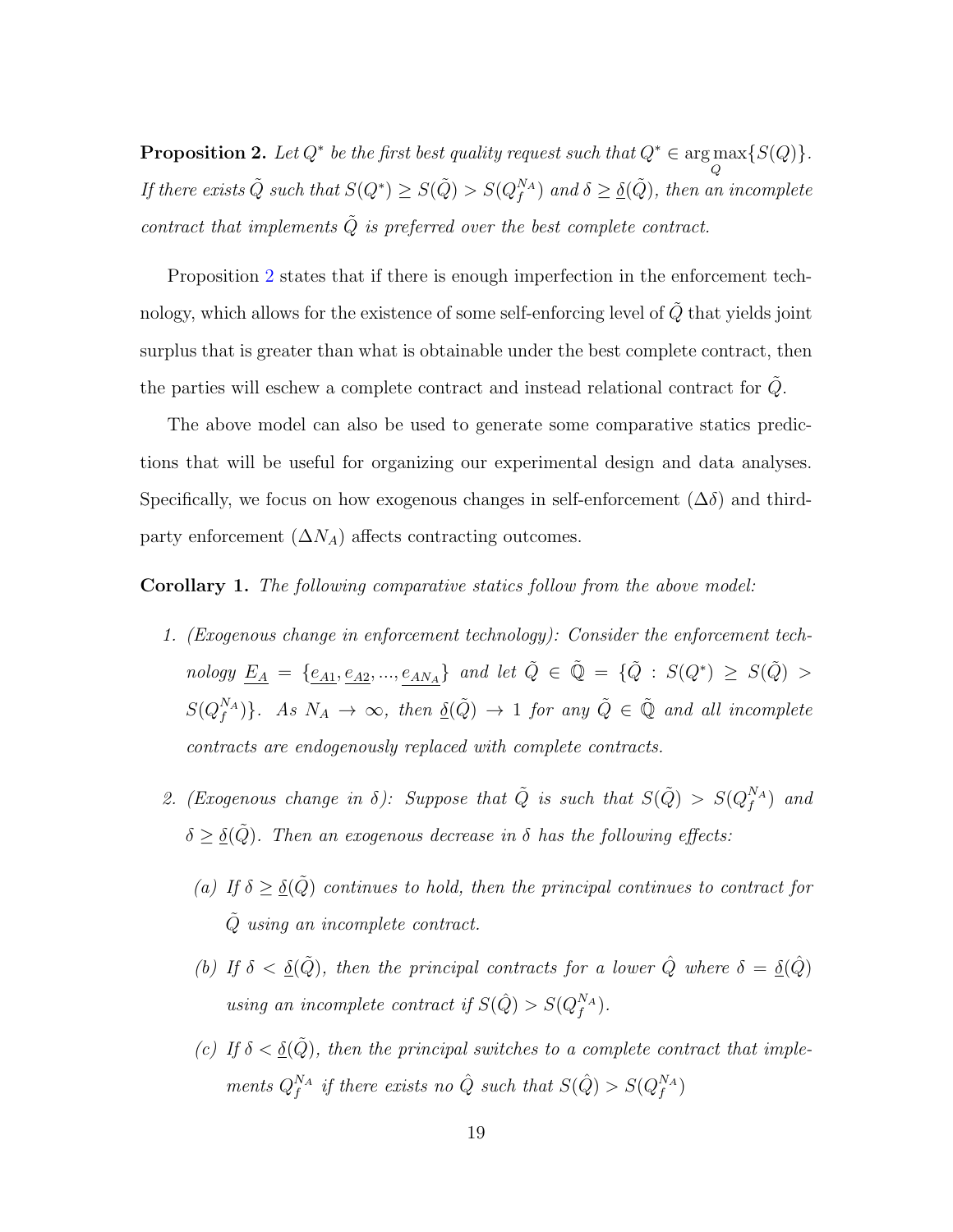<span id="page-21-0"></span>**Proposition 2.** Let  $Q^*$  be the first best quality request such that  $Q^* \in \arg \max$ Q  $\{S(Q)\}.$ If there exists  $\tilde{Q}$  such that  $S(Q^*) \geq S(\tilde{Q}) > S(Q_f^{N_A})$  and  $\delta \geq \underline{\delta}(\tilde{Q})$ , then an incomplete contract that implements  $\tilde{Q}$  is preferred over the best complete contract.

Proposition [2](#page-21-0) states that if there is enough imperfection in the enforcement technology, which allows for the existence of some self-enforcing level of  $\tilde{Q}$  that yields joint surplus that is greater than what is obtainable under the best complete contract, then the parties will eschew a complete contract and instead relational contract for  $Q$ .

The above model can also be used to generate some comparative statics predictions that will be useful for organizing our experimental design and data analyses. Specifically, we focus on how exogenous changes in self-enforcement  $(\Delta \delta)$  and thirdparty enforcement  $(\Delta N_A)$  affects contracting outcomes.

<span id="page-21-1"></span>Corollary 1. The following comparative statics follow from the above model:

- 1. (Exogenous change in enforcement technology): Consider the enforcement tech $nology \underline{E_A} = \{e_{A1}, e_{A2}, ..., e_{AN_A}\}$  and let  $\tilde{Q} \in \tilde{Q} = \{\tilde{Q} : S(Q^*) \geq S(\tilde{Q}) >$  $S(Q_f^{NA})\}$ . As  $N_A \to \infty$ , then  $\underline{\delta}(\tilde{Q}) \to 1$  for any  $\tilde{Q} \in \tilde{Q}$  and all incomplete contracts are endogenously replaced with complete contracts.
- 2. (Exogenous change in  $\delta$ ): Suppose that  $\tilde{Q}$  is such that  $S(\tilde{Q}) > S(Q_f^{N_A})$  and  $\delta \geq \underline{\delta}(\tilde{Q})$ . Then an exogenous decrease in  $\delta$  has the following effects:
	- (a) If  $\delta \geq \underline{\delta}(\tilde{Q})$  continues to hold, then the principal continues to contract for Q˜ using an incomplete contract.
	- (b) If  $\delta < \underline{\delta}(\tilde{Q})$ , then the principal contracts for a lower  $\hat{Q}$  where  $\delta = \underline{\delta}(\hat{Q})$ using an incomplete contract if  $S(\hat{Q}) > S(Q_f^{N_A})$ .
	- (c) If  $\delta < \underline{\delta}(\tilde{Q})$ , then the principal switches to a complete contract that implements  $Q_f^{N_A}$  if there exists no  $\hat{Q}$  such that  $S(\hat{Q}) > S(Q_f^{N_A})$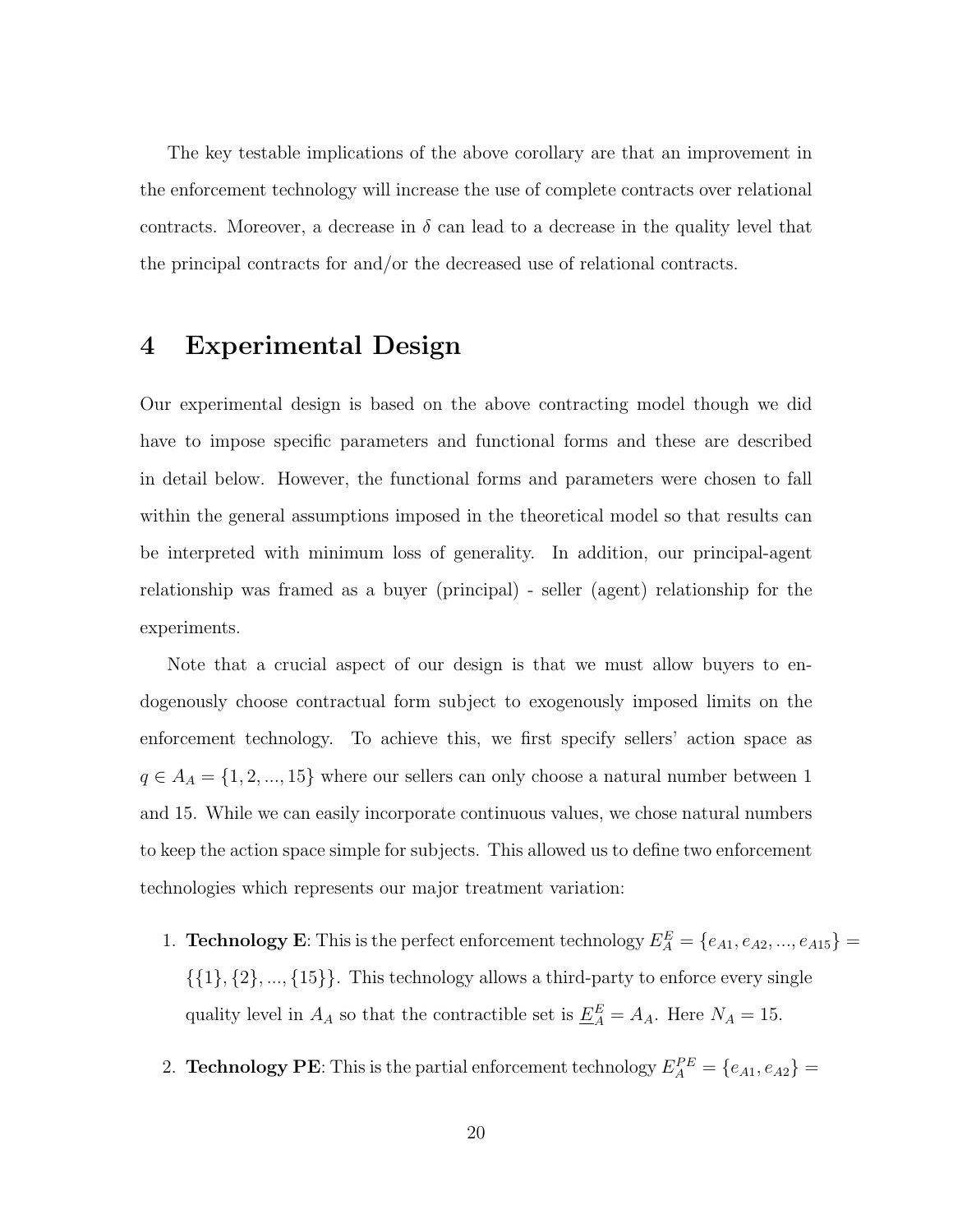The key testable implications of the above corollary are that an improvement in the enforcement technology will increase the use of complete contracts over relational contracts. Moreover, a decrease in  $\delta$  can lead to a decrease in the quality level that the principal contracts for and/or the decreased use of relational contracts.

### 4 Experimental Design

Our experimental design is based on the above contracting model though we did have to impose specific parameters and functional forms and these are described in detail below. However, the functional forms and parameters were chosen to fall within the general assumptions imposed in the theoretical model so that results can be interpreted with minimum loss of generality. In addition, our principal-agent relationship was framed as a buyer (principal) - seller (agent) relationship for the experiments.

Note that a crucial aspect of our design is that we must allow buyers to endogenously choose contractual form subject to exogenously imposed limits on the enforcement technology. To achieve this, we first specify sellers' action space as  $q \in A_A = \{1, 2, ..., 15\}$  where our sellers can only choose a natural number between 1 and 15. While we can easily incorporate continuous values, we chose natural numbers to keep the action space simple for subjects. This allowed us to define two enforcement technologies which represents our major treatment variation:

- 1. **Technology E**: This is the perfect enforcement technology  $E_A^E = \{e_{A1}, e_{A2}, ..., e_{A15}\}$  $\{\{1\},\{2\},...,\{15\}\}.$  This technology allows a third-party to enforce every single quality level in  $A_A$  so that the contractible set is  $\underline{E}_A^E = A_A$ . Here  $N_A = 15$ .
- 2. **Technology PE**: This is the partial enforcement technology  $E_A^{PE} = \{e_{A1}, e_{A2}\}$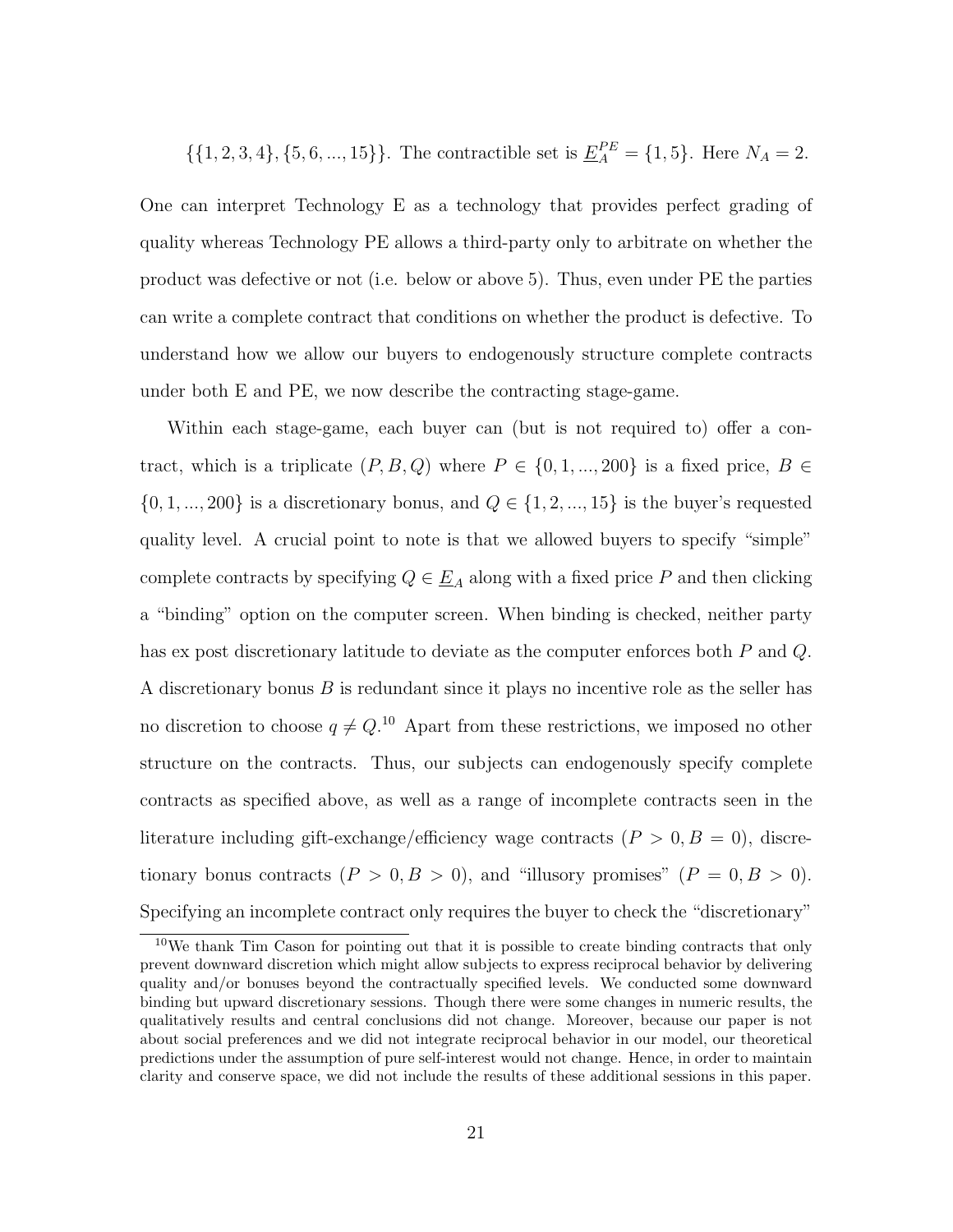$\{\{1, 2, 3, 4\}, \{5, 6, ..., 15\}\}\.$  The contractible set is  $\underline{E}_{A}^{PE} = \{1, 5\}.$  Here  $N_A = 2$ .

One can interpret Technology E as a technology that provides perfect grading of quality whereas Technology PE allows a third-party only to arbitrate on whether the product was defective or not (i.e. below or above 5). Thus, even under PE the parties can write a complete contract that conditions on whether the product is defective. To understand how we allow our buyers to endogenously structure complete contracts under both E and PE, we now describe the contracting stage-game.

Within each stage-game, each buyer can (but is not required to) offer a contract, which is a triplicate  $(P, B, Q)$  where  $P \in \{0, 1, ..., 200\}$  is a fixed price,  $B \in$  $\{0, 1, ..., 200\}$  is a discretionary bonus, and  $Q \in \{1, 2, ..., 15\}$  is the buyer's requested quality level. A crucial point to note is that we allowed buyers to specify "simple" complete contracts by specifying  $Q \in \underline{E}_A$  along with a fixed price P and then clicking a "binding" option on the computer screen. When binding is checked, neither party has ex post discretionary latitude to deviate as the computer enforces both P and Q. A discretionary bonus B is redundant since it plays no incentive role as the seller has no discretion to choose  $q \neq Q$ .<sup>10</sup> Apart from these restrictions, we imposed no other structure on the contracts. Thus, our subjects can endogenously specify complete contracts as specified above, as well as a range of incomplete contracts seen in the literature including gift-exchange/efficiency wage contracts  $(P > 0, B = 0)$ , discretionary bonus contracts  $(P > 0, B > 0)$ , and "illusory promises"  $(P = 0, B > 0)$ . Specifying an incomplete contract only requires the buyer to check the "discretionary"

<sup>&</sup>lt;sup>10</sup>We thank Tim Cason for pointing out that it is possible to create binding contracts that only prevent downward discretion which might allow subjects to express reciprocal behavior by delivering quality and/or bonuses beyond the contractually specified levels. We conducted some downward binding but upward discretionary sessions. Though there were some changes in numeric results, the qualitatively results and central conclusions did not change. Moreover, because our paper is not about social preferences and we did not integrate reciprocal behavior in our model, our theoretical predictions under the assumption of pure self-interest would not change. Hence, in order to maintain clarity and conserve space, we did not include the results of these additional sessions in this paper.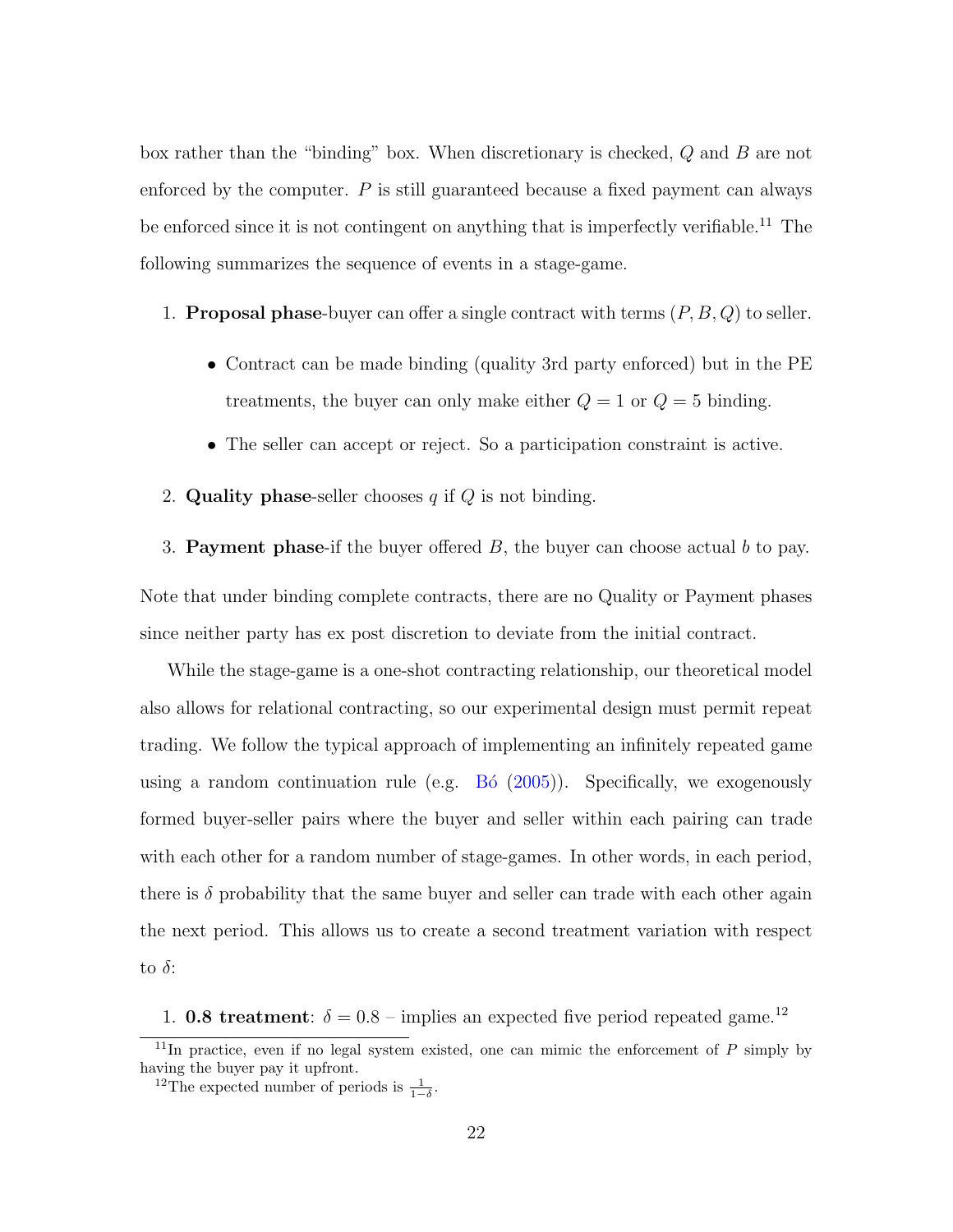box rather than the "binding" box. When discretionary is checked, Q and B are not enforced by the computer.  $P$  is still guaranteed because a fixed payment can always be enforced since it is not contingent on anything that is imperfectly verifiable.<sup>11</sup> The following summarizes the sequence of events in a stage-game.

1. **Proposal phase-**buyer can offer a single contract with terms  $(P, B, Q)$  to seller.

- Contract can be made binding (quality 3rd party enforced) but in the PE treatments, the buyer can only make either  $Q = 1$  or  $Q = 5$  binding.
- The seller can accept or reject. So a participation constraint is active.
- 2. Quality phase-seller chooses  $q$  if  $Q$  is not binding.

3. Payment phase-if the buyer offered  $B$ , the buyer can choose actual  $b$  to pay. Note that under binding complete contracts, there are no Quality or Payment phases since neither party has ex post discretion to deviate from the initial contract.

While the stage-game is a one-shot contracting relationship, our theoretical model also allows for relational contracting, so our experimental design must permit repeat trading. We follow the typical approach of implementing an infinitely repeated game using a random continuation rule (e.g.  $B_0$  [\(2005\)](#page-42-6)). Specifically, we exogenously formed buyer-seller pairs where the buyer and seller within each pairing can trade with each other for a random number of stage-games. In other words, in each period, there is  $\delta$  probability that the same buyer and seller can trade with each other again the next period. This allows us to create a second treatment variation with respect to  $\delta$ :

1. **0.8 treatment**:  $\delta = 0.8$  – implies an expected five period repeated game.<sup>12</sup>

 $11$ In practice, even if no legal system existed, one can mimic the enforcement of  $P$  simply by having the buyer pay it upfront.

<sup>&</sup>lt;sup>12</sup>The expected number of periods is  $\frac{1}{1-\delta}$ .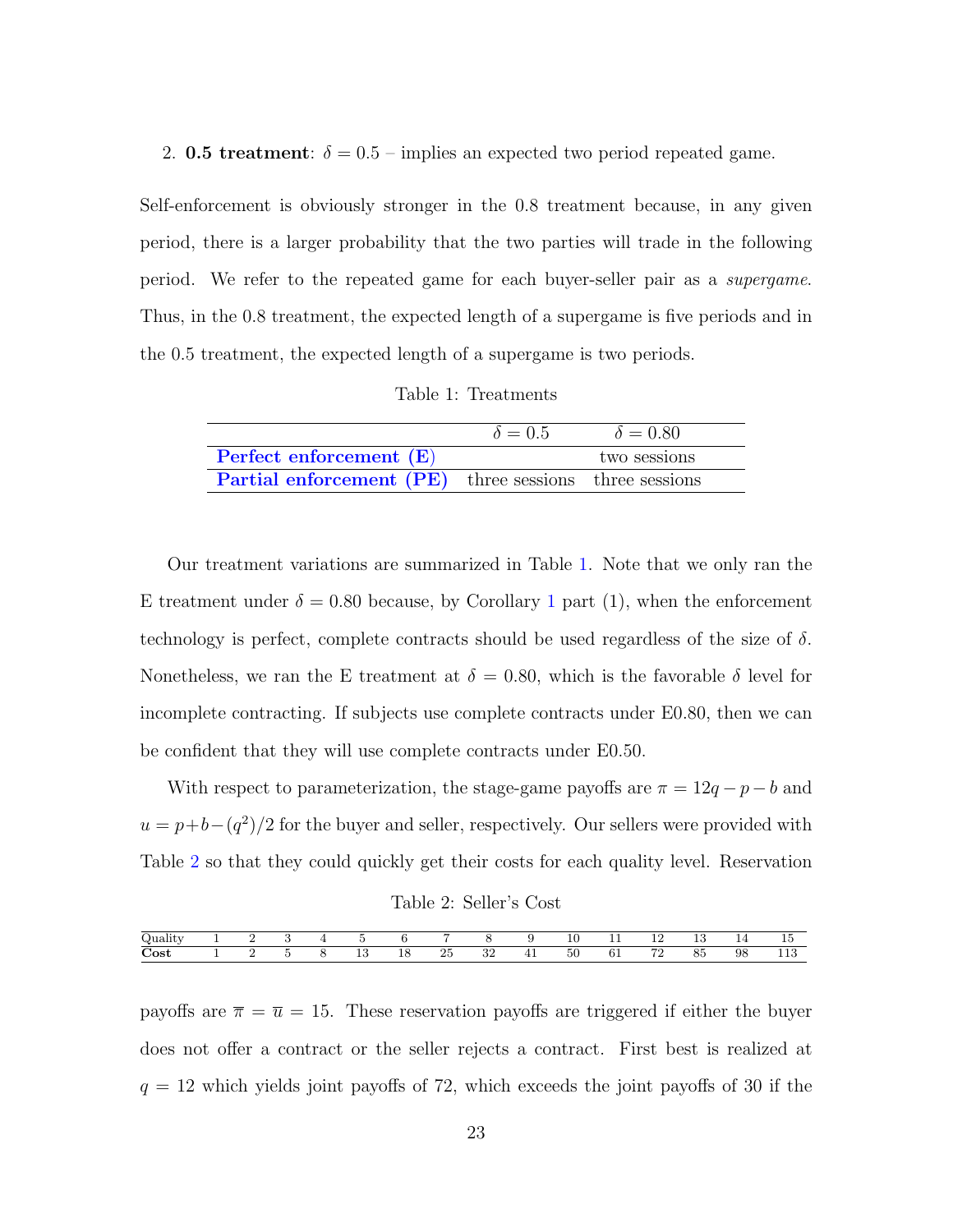2. 0.5 treatment:  $\delta = 0.5$  – implies an expected two period repeated game.

Self-enforcement is obviously stronger in the 0.8 treatment because, in any given period, there is a larger probability that the two parties will trade in the following period. We refer to the repeated game for each buyer-seller pair as a supergame. Thus, in the 0.8 treatment, the expected length of a supergame is five periods and in the 0.5 treatment, the expected length of a supergame is two periods.

Table 1: Treatments

<span id="page-25-0"></span>

|                                                               | $\delta = 0.5$ | $\delta = 0.80$ |
|---------------------------------------------------------------|----------------|-----------------|
| Perfect enforcement $(E)$                                     |                | two sessions    |
| <b>Partial enforcement (PE)</b> three sessions three sessions |                |                 |

Our treatment variations are summarized in Table [1.](#page-25-0) Note that we only ran the E treatment under  $\delta = 0.80$  because, by Corollary [1](#page-21-1) part (1), when the enforcement technology is perfect, complete contracts should be used regardless of the size of  $\delta$ . Nonetheless, we ran the E treatment at  $\delta = 0.80$ , which is the favorable  $\delta$  level for incomplete contracting. If subjects use complete contracts under E0.80, then we can be confident that they will use complete contracts under E0.50.

With respect to parameterization, the stage-game payoffs are  $\pi = 12q - p - b$  and  $u = p + b - (q^2)/2$  for the buyer and seller, respectively. Our sellers were provided with Table [2](#page-25-1) so that they could quickly get their costs for each quality level. Reservation

Table 2: Seller's Cost

<span id="page-25-1"></span>

| $\sim$<br>₩<br>uu         |  |  |                                           |           |                  |          |                   | 10                  | .<br>--    | $\sim$<br>ᆠ<br>-- | ٠<br><b>10</b> | -<br><b>. .</b> | - -<br>ΤÛ            |
|---------------------------|--|--|-------------------------------------------|-----------|------------------|----------|-------------------|---------------------|------------|-------------------|----------------|-----------------|----------------------|
| $\sim$<br>$\mathbf{Cost}$ |  |  | ∣n.<br>×.<br>1U<br>and the control of the | 1 C<br>ΙO | $\Omega$ r<br>∠ਹ | ററ<br>⊿ں | . .<br><b>. .</b> | $\sim$ $\sim$<br>ЭU | n-<br>$0+$ | $H^{\sigma}$<br>∸ | OE<br>Οü       | 98              | $\rightarrow$<br>110 |

payoffs are  $\bar{\pi} = \bar{u} = 15$ . These reservation payoffs are triggered if either the buyer does not offer a contract or the seller rejects a contract. First best is realized at  $q = 12$  which yields joint payoffs of 72, which exceeds the joint payoffs of 30 if the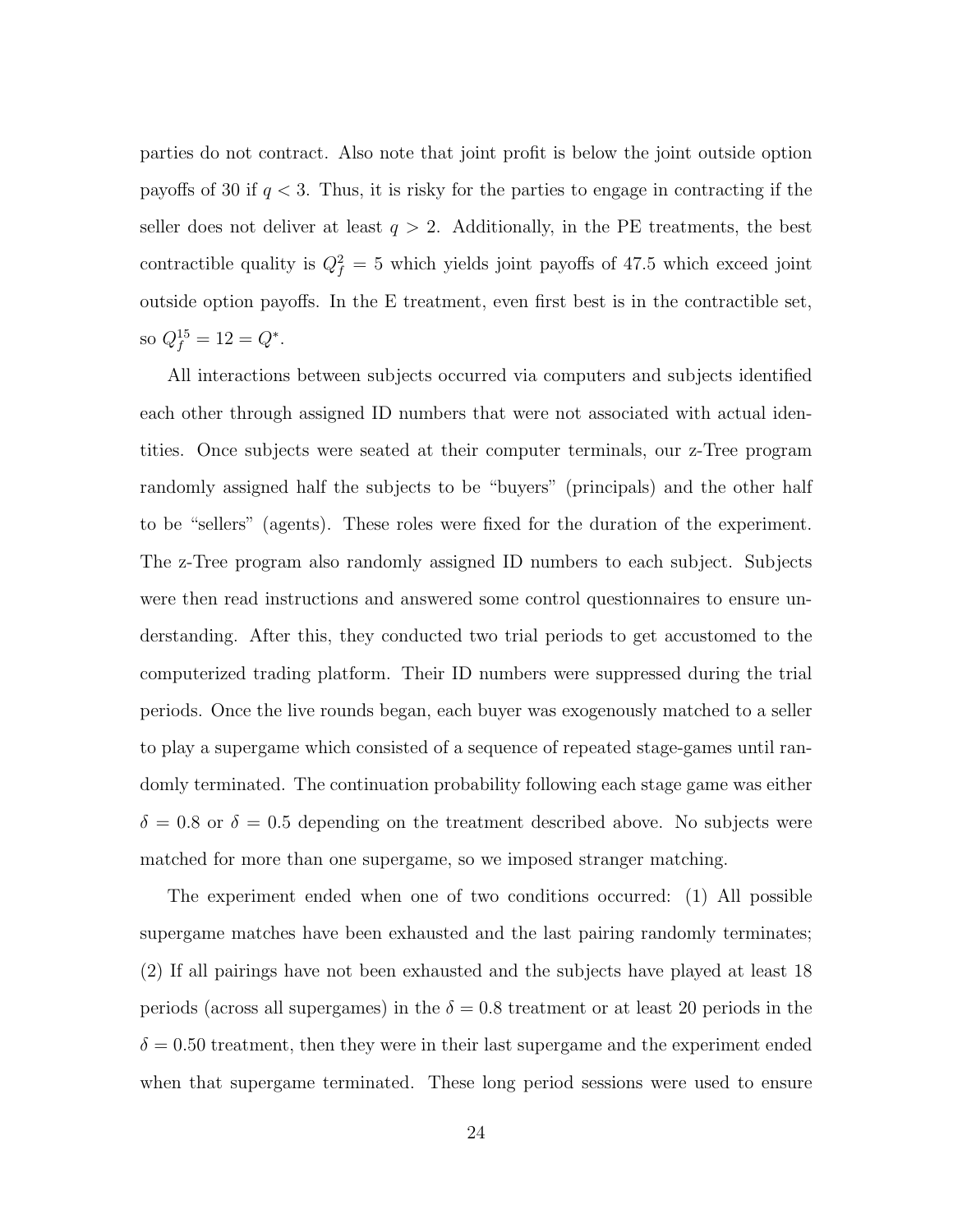parties do not contract. Also note that joint profit is below the joint outside option payoffs of 30 if  $q < 3$ . Thus, it is risky for the parties to engage in contracting if the seller does not deliver at least  $q > 2$ . Additionally, in the PE treatments, the best contractible quality is  $Q_f^2 = 5$  which yields joint payoffs of 47.5 which exceed joint outside option payoffs. In the E treatment, even first best is in the contractible set, so  $Q_f^{15} = 12 = Q^*$ .

All interactions between subjects occurred via computers and subjects identified each other through assigned ID numbers that were not associated with actual identities. Once subjects were seated at their computer terminals, our z-Tree program randomly assigned half the subjects to be "buyers" (principals) and the other half to be "sellers" (agents). These roles were fixed for the duration of the experiment. The z-Tree program also randomly assigned ID numbers to each subject. Subjects were then read instructions and answered some control questionnaires to ensure understanding. After this, they conducted two trial periods to get accustomed to the computerized trading platform. Their ID numbers were suppressed during the trial periods. Once the live rounds began, each buyer was exogenously matched to a seller to play a supergame which consisted of a sequence of repeated stage-games until randomly terminated. The continuation probability following each stage game was either  $\delta = 0.8$  or  $\delta = 0.5$  depending on the treatment described above. No subjects were matched for more than one supergame, so we imposed stranger matching.

The experiment ended when one of two conditions occurred: (1) All possible supergame matches have been exhausted and the last pairing randomly terminates; (2) If all pairings have not been exhausted and the subjects have played at least 18 periods (across all supergames) in the  $\delta = 0.8$  treatment or at least 20 periods in the  $\delta = 0.50$  treatment, then they were in their last supergame and the experiment ended when that supergame terminated. These long period sessions were used to ensure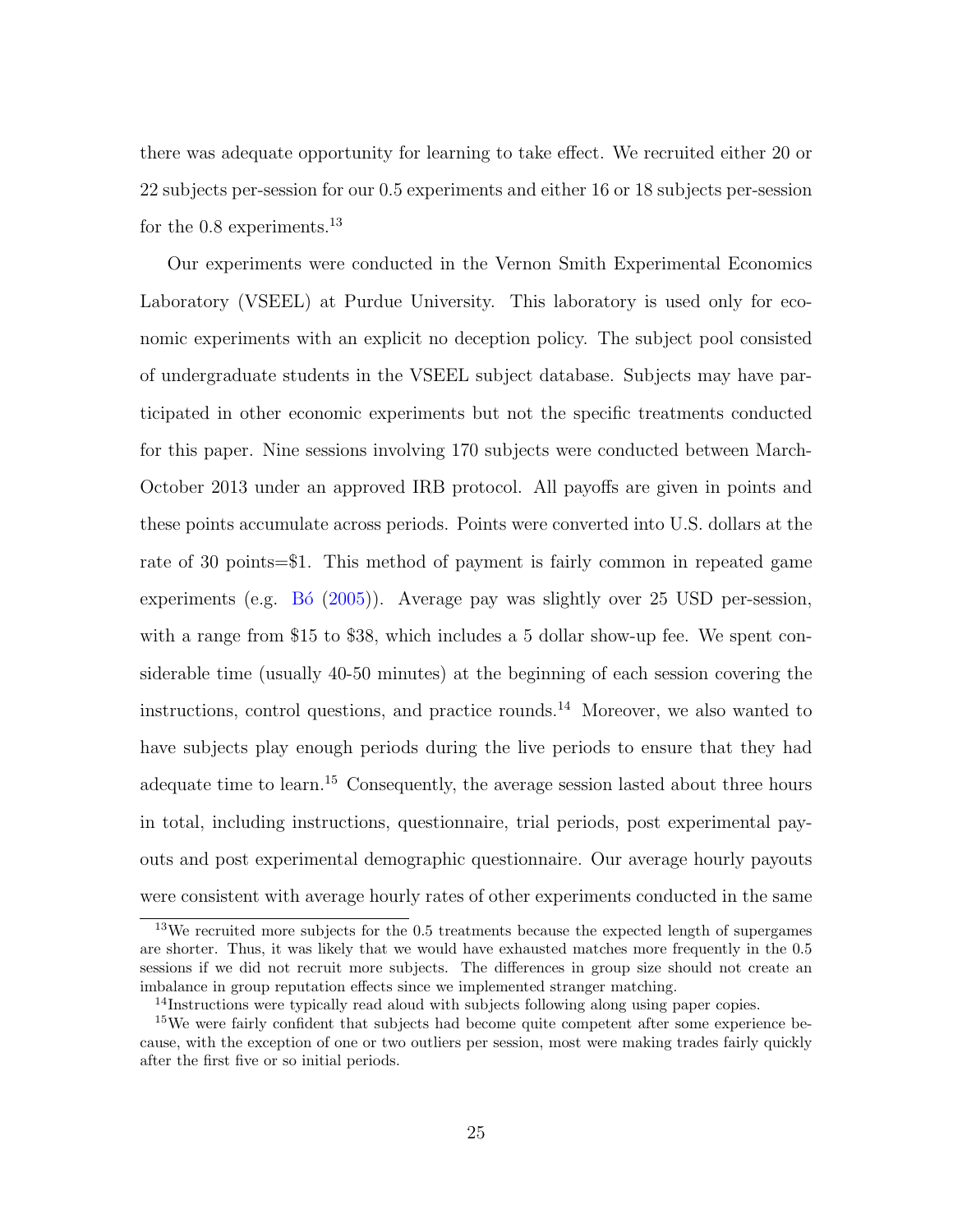there was adequate opportunity for learning to take effect. We recruited either 20 or 22 subjects per-session for our 0.5 experiments and either 16 or 18 subjects per-session for the  $0.8$  experiments.<sup>13</sup>

Our experiments were conducted in the Vernon Smith Experimental Economics Laboratory (VSEEL) at Purdue University. This laboratory is used only for economic experiments with an explicit no deception policy. The subject pool consisted of undergraduate students in the VSEEL subject database. Subjects may have participated in other economic experiments but not the specific treatments conducted for this paper. Nine sessions involving 170 subjects were conducted between March-October 2013 under an approved IRB protocol. All payoffs are given in points and these points accumulate across periods. Points were converted into U.S. dollars at the rate of 30 points=\$1. This method of payment is fairly common in repeated game experiments (e.g.  $\overline{B6}$  [\(2005\)](#page-42-6)). Average pay was slightly over 25 USD per-session, with a range from \$15 to \$38, which includes a 5 dollar show-up fee. We spent considerable time (usually 40-50 minutes) at the beginning of each session covering the instructions, control questions, and practice rounds.<sup>14</sup> Moreover, we also wanted to have subjects play enough periods during the live periods to ensure that they had adequate time to learn.<sup>15</sup> Consequently, the average session lasted about three hours in total, including instructions, questionnaire, trial periods, post experimental payouts and post experimental demographic questionnaire. Our average hourly payouts were consistent with average hourly rates of other experiments conducted in the same

<sup>13</sup>We recruited more subjects for the 0.5 treatments because the expected length of supergames are shorter. Thus, it was likely that we would have exhausted matches more frequently in the 0.5 sessions if we did not recruit more subjects. The differences in group size should not create an imbalance in group reputation effects since we implemented stranger matching.

<sup>&</sup>lt;sup>14</sup>Instructions were typically read aloud with subjects following along using paper copies.

<sup>&</sup>lt;sup>15</sup>We were fairly confident that subjects had become quite competent after some experience because, with the exception of one or two outliers per session, most were making trades fairly quickly after the first five or so initial periods.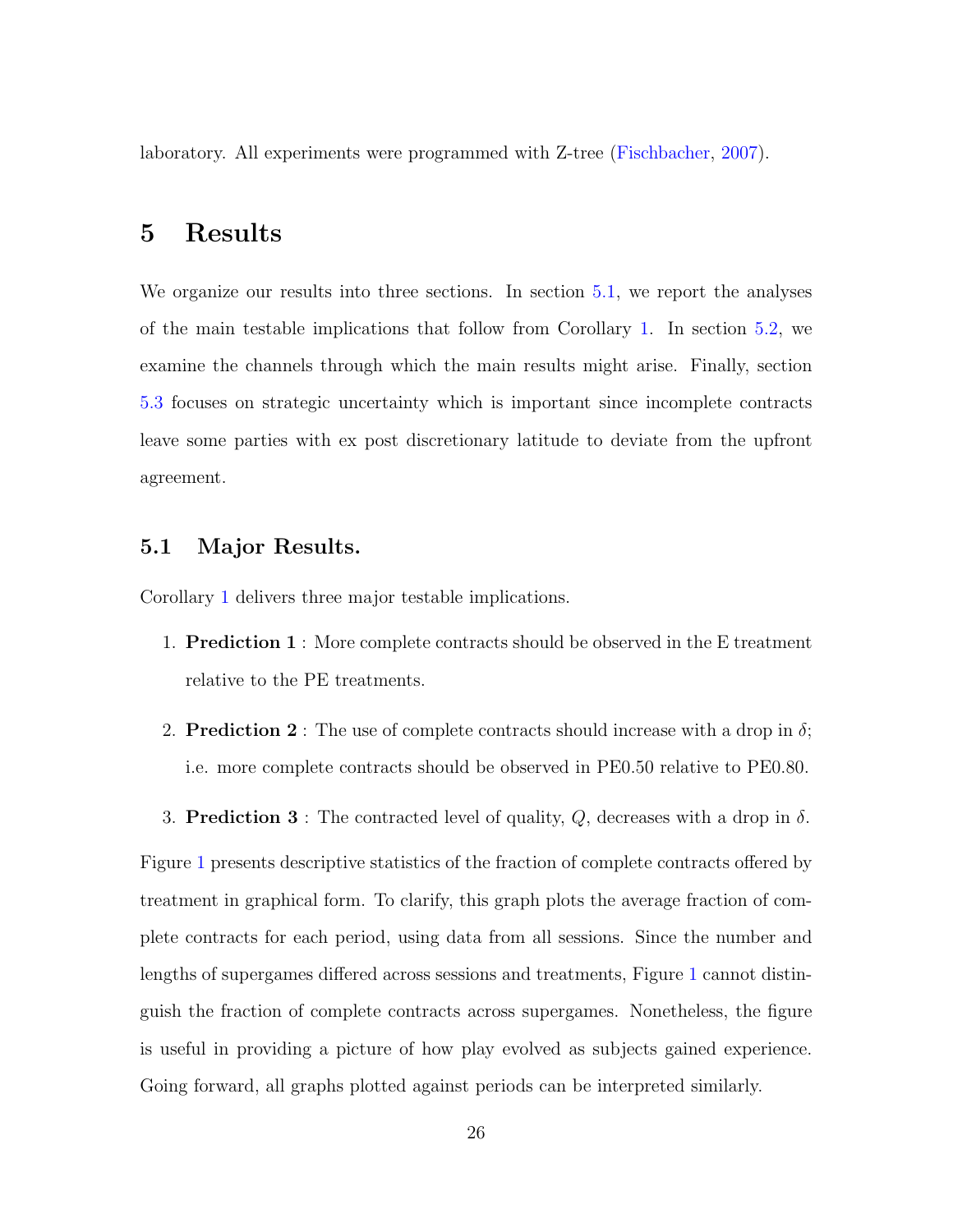laboratory. All experiments were programmed with Z-tree [\(Fischbacher,](#page-43-10) [2007\)](#page-43-10).

### 5 Results

We organize our results into three sections. In section [5.1,](#page-28-0) we report the analyses of the main testable implications that follow from Corollary [1.](#page-21-1) In section [5.2,](#page-32-0) we examine the channels through which the main results might arise. Finally, section [5.3](#page-38-0) focuses on strategic uncertainty which is important since incomplete contracts leave some parties with ex post discretionary latitude to deviate from the upfront agreement.

#### <span id="page-28-0"></span>5.1 Major Results.

<span id="page-28-1"></span>Corollary [1](#page-21-1) delivers three major testable implications.

- 1. Prediction 1 : More complete contracts should be observed in the E treatment relative to the PE treatments.
- <span id="page-28-2"></span>2. **Prediction 2** : The use of complete contracts should increase with a drop in  $\delta$ ; i.e. more complete contracts should be observed in PE0.50 relative to PE0.80.
- <span id="page-28-3"></span>3. Prediction 3 : The contracted level of quality,  $Q$ , decreases with a drop in  $\delta$ .

Figure [1](#page-29-0) presents descriptive statistics of the fraction of complete contracts offered by treatment in graphical form. To clarify, this graph plots the average fraction of complete contracts for each period, using data from all sessions. Since the number and lengths of supergames differed across sessions and treatments, Figure [1](#page-29-0) cannot distinguish the fraction of complete contracts across supergames. Nonetheless, the figure is useful in providing a picture of how play evolved as subjects gained experience. Going forward, all graphs plotted against periods can be interpreted similarly.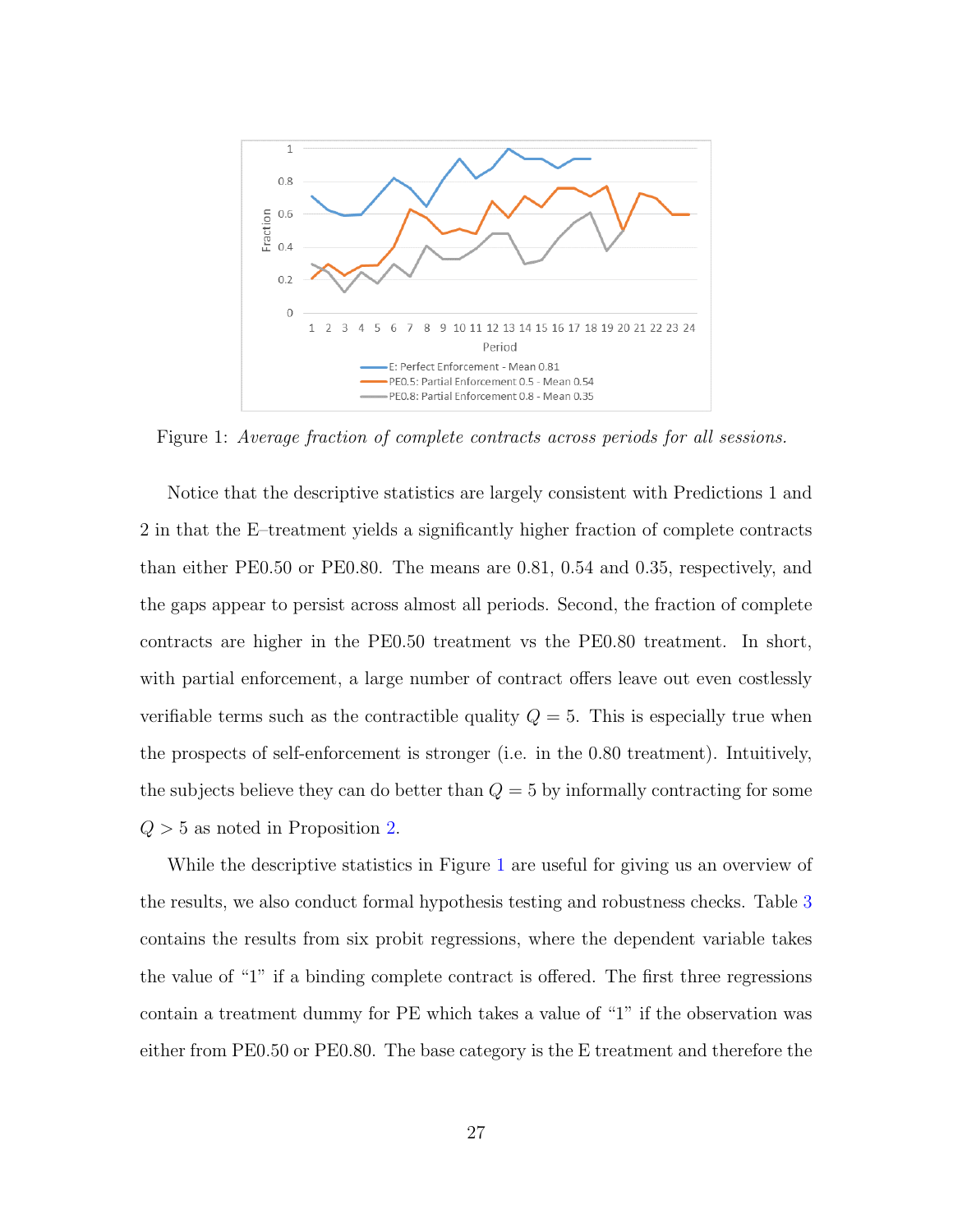<span id="page-29-0"></span>

Figure 1: Average fraction of complete contracts across periods for all sessions.

Notice that the descriptive statistics are largely consistent with Predictions 1 and 2 in that the E–treatment yields a significantly higher fraction of complete contracts than either PE0.50 or PE0.80. The means are 0.81, 0.54 and 0.35, respectively, and the gaps appear to persist across almost all periods. Second, the fraction of complete contracts are higher in the PE0.50 treatment vs the PE0.80 treatment. In short, with partial enforcement, a large number of contract offers leave out even costlessly verifiable terms such as the contractible quality  $Q = 5$ . This is especially true when the prospects of self-enforcement is stronger (i.e. in the 0.80 treatment). Intuitively, the subjects believe they can do better than  $Q = 5$  by informally contracting for some  $Q > 5$  as noted in Proposition [2.](#page-21-0)

While the descriptive statistics in Figure [1](#page-29-0) are useful for giving us an overview of the results, we also conduct formal hypothesis testing and robustness checks. Table [3](#page-30-0) contains the results from six probit regressions, where the dependent variable takes the value of "1" if a binding complete contract is offered. The first three regressions contain a treatment dummy for PE which takes a value of "1" if the observation was either from PE0.50 or PE0.80. The base category is the E treatment and therefore the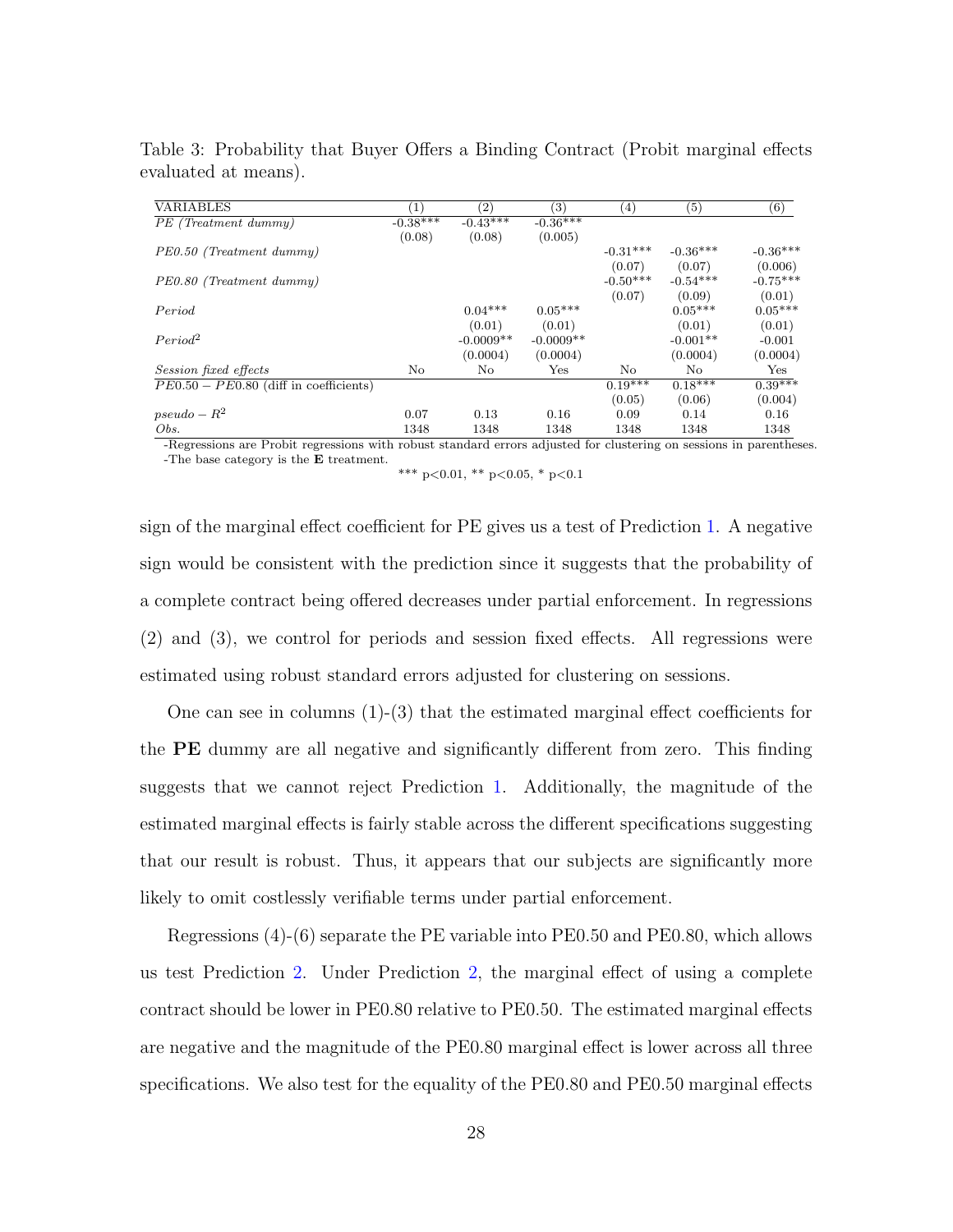|            |                              |             | (4)           | $\left( 5\right)$ | (6)        |
|------------|------------------------------|-------------|---------------|-------------------|------------|
| $-0.38***$ | $-0.43***$                   | $-0.36***$  |               |                   |            |
|            | (0.08)                       | (0.005)     |               |                   |            |
|            |                              |             | $-0.31***$    | $-0.36***$        | $-0.36***$ |
|            |                              |             | (0.07)        | (0.07)            | (0.006)    |
|            |                              |             | $-0.50***$    | $-0.54***$        | $-0.75***$ |
|            |                              |             | (0.07)        | (0.09)            | (0.01)     |
|            | $0.04***$                    | $0.05***$   |               | $0.05***$         | $0.05***$  |
|            | (0.01)                       | (0.01)      |               | (0.01)            | (0.01)     |
|            | $-0.0009**$                  | $-0.0009**$ |               | $-0.001**$        | $-0.001$   |
|            | (0.0004)                     | (0.0004)    |               | (0.0004)          | (0.0004)   |
|            | No.                          | Yes         | No            | No.               | Yes        |
|            |                              |             | $0.19***$     | $0.18***$         | $0.39***$  |
|            |                              |             | (0.05)        | (0.06)            | (0.004)    |
|            | 0.13                         | 0.16        | 0.09          | 0.14              | 0.16       |
|            | 1348                         | 1348        | 1348          | 1348              | 1348       |
|            | (0.08)<br>No<br>0.07<br>1348 |             | $\sim$ $\sim$ |                   |            |

<span id="page-30-0"></span>Table 3: Probability that Buyer Offers a Binding Contract (Probit marginal effects evaluated at means).

-Regressions are Probit regressions with robust standard errors adjusted for clustering on sessions in parentheses. -The base category is the E treatment.

\*\*\* p<0.01, \*\* p<0.05, \* p<0.1

sign of the marginal effect coefficient for PE gives us a test of Prediction [1.](#page-28-1) A negative sign would be consistent with the prediction since it suggests that the probability of a complete contract being offered decreases under partial enforcement. In regressions (2) and (3), we control for periods and session fixed effects. All regressions were estimated using robust standard errors adjusted for clustering on sessions.

One can see in columns  $(1)-(3)$  that the estimated marginal effect coefficients for the PE dummy are all negative and significantly different from zero. This finding suggests that we cannot reject Prediction [1.](#page-28-1) Additionally, the magnitude of the estimated marginal effects is fairly stable across the different specifications suggesting that our result is robust. Thus, it appears that our subjects are significantly more likely to omit costlessly verifiable terms under partial enforcement.

Regressions (4)-(6) separate the PE variable into PE0.50 and PE0.80, which allows us test Prediction [2.](#page-28-2) Under Prediction [2,](#page-28-2) the marginal effect of using a complete contract should be lower in PE0.80 relative to PE0.50. The estimated marginal effects are negative and the magnitude of the PE0.80 marginal effect is lower across all three specifications. We also test for the equality of the PE0.80 and PE0.50 marginal effects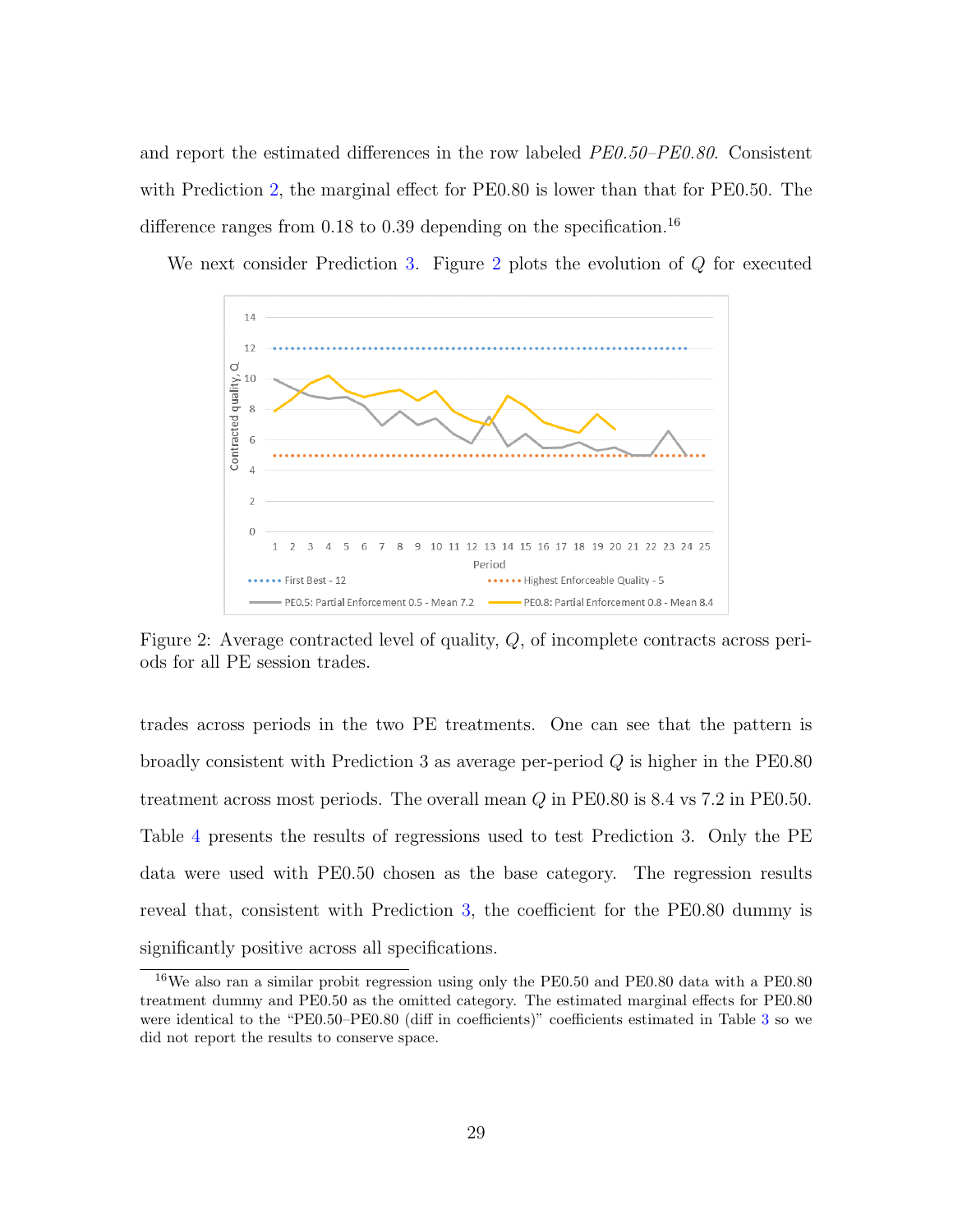and report the estimated differences in the row labeled PE0.50–PE0.80. Consistent with Prediction [2,](#page-28-2) the marginal effect for PE0.80 is lower than that for PE0.50. The difference ranges from  $0.18$  to  $0.39$  depending on the specification.<sup>16</sup>

<span id="page-31-0"></span>We next consider Prediction [3.](#page-28-3) Figure [2](#page-31-0) plots the evolution of Q for executed



Figure 2: Average contracted level of quality, Q, of incomplete contracts across periods for all PE session trades.

trades across periods in the two PE treatments. One can see that the pattern is broadly consistent with Prediction 3 as average per-period Q is higher in the PE0.80 treatment across most periods. The overall mean  $Q$  in PE0.80 is 8.4 vs 7.2 in PE0.50. Table [4](#page-32-1) presents the results of regressions used to test Prediction 3. Only the PE data were used with PE0.50 chosen as the base category. The regression results reveal that, consistent with Prediction [3,](#page-28-3) the coefficient for the PE0.80 dummy is significantly positive across all specifications.

<sup>16</sup>We also ran a similar probit regression using only the PE0.50 and PE0.80 data with a PE0.80 treatment dummy and PE0.50 as the omitted category. The estimated marginal effects for PE0.80 were identical to the "PE0.50–PE0.80 (diff in coefficients)" coefficients estimated in Table [3](#page-30-0) so we did not report the results to conserve space.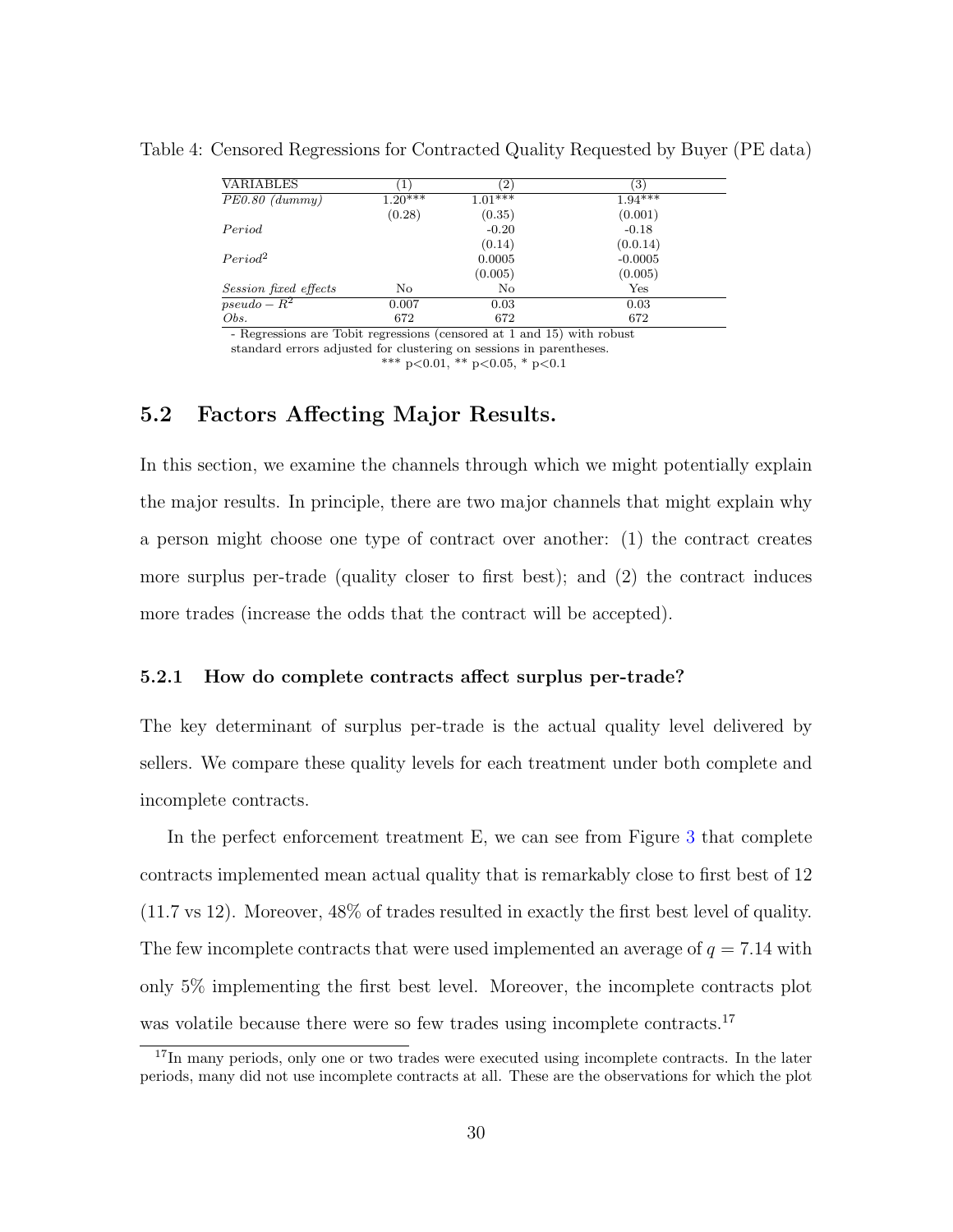| <b>VARIABLES</b>      | $\perp$   | $\left( 2\right)$ | $\left( 3\right)$ |
|-----------------------|-----------|-------------------|-------------------|
| $PE0.80$ (dummy)      | $1.20***$ | $1.01***$         | $1.94***$         |
|                       | (0.28)    | (0.35)            | (0.001)           |
| Period                |           | $-0.20$           | $-0.18$           |
|                       |           | (0.14)            | (0.0.14)          |
| Period <sup>2</sup>   |           | 0.0005            | $-0.0005$         |
|                       |           | (0.005)           | (0.005)           |
| Session fixed effects | No        | No                | $_{\rm Yes}$      |
| $pseudo - R^2$        | 0.007     | 0.03              | 0.03              |
| Obs.                  | 672       | 672               | 672               |

<span id="page-32-1"></span>Table 4: Censored Regressions for Contracted Quality Requested by Buyer (PE data)

- Regressions are Tobit regressions (censored at 1 and 15) with robust standard errors adjusted for clustering on sessions in parentheses.

\*\*\* p<0.01, \*\* p<0.05, \* p<0.1

#### <span id="page-32-0"></span>5.2 Factors Affecting Major Results.

In this section, we examine the channels through which we might potentially explain the major results. In principle, there are two major channels that might explain why a person might choose one type of contract over another: (1) the contract creates more surplus per-trade (quality closer to first best); and (2) the contract induces more trades (increase the odds that the contract will be accepted).

#### 5.2.1 How do complete contracts affect surplus per-trade?

The key determinant of surplus per-trade is the actual quality level delivered by sellers. We compare these quality levels for each treatment under both complete and incomplete contracts.

In the perfect enforcement treatment E, we can see from Figure [3](#page-33-0) that complete contracts implemented mean actual quality that is remarkably close to first best of 12 (11.7 vs 12). Moreover, 48% of trades resulted in exactly the first best level of quality. The few incomplete contracts that were used implemented an average of  $q = 7.14$  with only 5% implementing the first best level. Moreover, the incomplete contracts plot was volatile because there were so few trades using incomplete contracts.<sup>17</sup>

<sup>&</sup>lt;sup>17</sup>In many periods, only one or two trades were executed using incomplete contracts. In the later periods, many did not use incomplete contracts at all. These are the observations for which the plot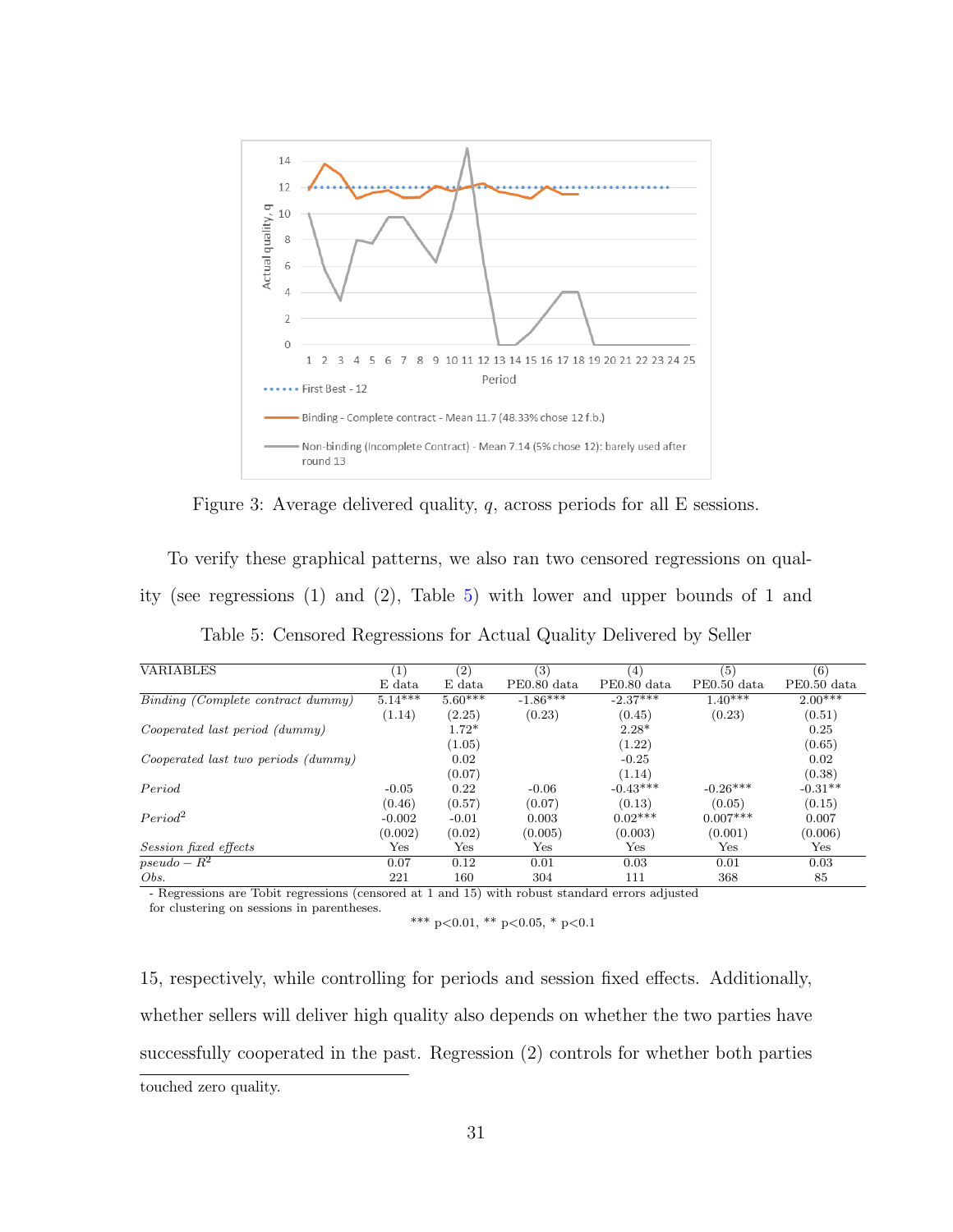<span id="page-33-0"></span>

Figure 3: Average delivered quality, q, across periods for all E sessions.

To verify these graphical patterns, we also ran two censored regressions on quality (see regressions (1) and (2), Table [5\)](#page-33-1) with lower and upper bounds of 1 and

<span id="page-33-1"></span>

| <b>VARIABLES</b>                                                                                | $\left( 1\right)$ | $\left( 2\right)$ | (3)         | (4)         | (5)          | (6)         |
|-------------------------------------------------------------------------------------------------|-------------------|-------------------|-------------|-------------|--------------|-------------|
|                                                                                                 | E data            | E data            | PE0.80 data | PE0.80 data | PE0.50 data  | PE0.50 data |
| Binding (Complete contract dummy)                                                               | $5.14***$         | $5.60***$         | $-1.86***$  | $-2.37***$  | $1.40***$    | $2.00***$   |
|                                                                                                 | (1.14)            | (2.25)            | (0.23)      | (0.45)      | (0.23)       | (0.51)      |
| Cooperated last period (dummy)                                                                  |                   | $1.72*$           |             | $2.28*$     |              | 0.25        |
|                                                                                                 |                   | (1.05)            |             | (1.22)      |              | (0.65)      |
| Cooperated last two periods (dummy)                                                             |                   | 0.02              |             | $-0.25$     |              | 0.02        |
|                                                                                                 |                   | (0.07)            |             | (1.14)      |              | (0.38)      |
| Period                                                                                          | $-0.05$           | 0.22              | $-0.06$     | $-0.43***$  | $-0.26***$   | $-0.31**$   |
|                                                                                                 | (0.46)            | (0.57)            | (0.07)      | (0.13)      | (0.05)       | (0.15)      |
| Period <sup>2</sup>                                                                             | $-0.002$          | $-0.01$           | 0.003       | $0.02***$   | $0.007***$   | 0.007       |
|                                                                                                 | (0.002)           | (0.02)            | (0.005)     | (0.003)     | (0.001)      | (0.006)     |
| <i>Session fixed effects</i>                                                                    | $_{\rm Yes}$      | Yes               | Yes         | Yes         | $_{\rm Yes}$ | Yes         |
| $pseudo - R^2$                                                                                  | 0.07              | 0.12              | 0.01        | 0.03        | 0.01         | 0.03        |
| Obs.                                                                                            | 221               | 160               | 304         | 111         | 368          | 85          |
| - Regressions are Tobit regressions (censored at 1 and 15) with robust standard errors adjusted |                   |                   |             |             |              |             |

Table 5: Censored Regressions for Actual Quality Delivered by Seller

for clustering on sessions in parentheses.

15, respectively, while controlling for periods and session fixed effects. Additionally, whether sellers will deliver high quality also depends on whether the two parties have successfully cooperated in the past. Regression (2) controls for whether both parties touched zero quality.

<sup>\*\*\*</sup> p<0.01, \*\* p<0.05, \* p<0.1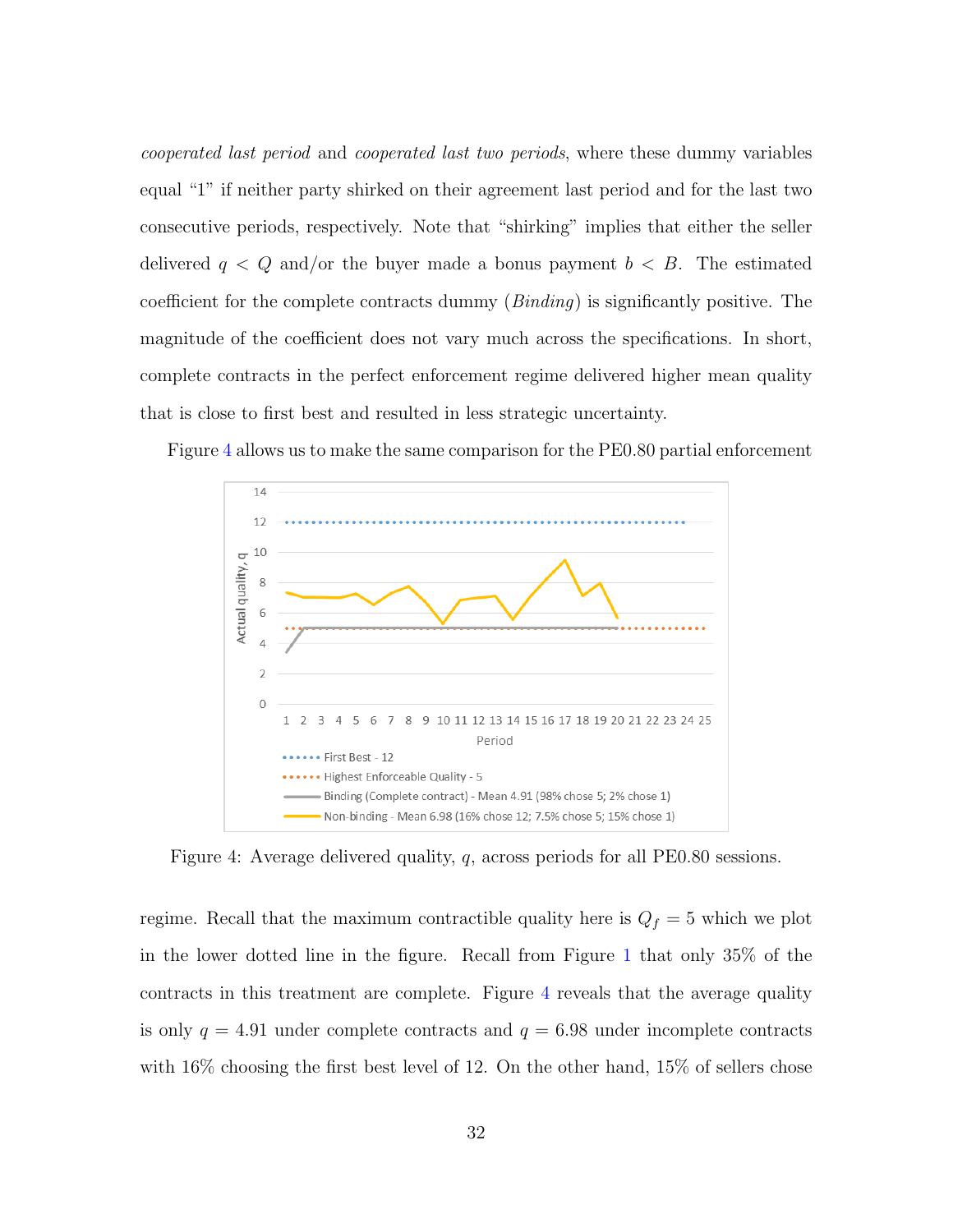cooperated last period and cooperated last two periods, where these dummy variables equal "1" if neither party shirked on their agreement last period and for the last two consecutive periods, respectively. Note that "shirking" implies that either the seller delivered  $q < Q$  and/or the buyer made a bonus payment  $b < B$ . The estimated coefficient for the complete contracts dummy  $(Binding)$  is significantly positive. The magnitude of the coefficient does not vary much across the specifications. In short, complete contracts in the perfect enforcement regime delivered higher mean quality that is close to first best and resulted in less strategic uncertainty.

> $14$  $12$ 10 Actual quality, q 8 6  $\Delta$  $\overline{\phantom{a}}$  $\overline{O}$ 10 11 12 13 14 15 16 17 18 19 20 21 22 23 24 25  $\overline{3}$  $\Delta$ 5 6  $\mathsf{R}$  $\mathbf{q}$ Period First Best - 12 Highest Enforceable Quality - 5 Binding (Complete contract) - Mean 4.91 (98% chose 5; 2% chose 1) Non-binding - Mean 6.98 (16% chose 12; 7.5% chose 5; 15% chose 1)

<span id="page-34-0"></span>Figure [4](#page-34-0) allows us to make the same comparison for the PE0.80 partial enforcement

Figure 4: Average delivered quality, q, across periods for all PE0.80 sessions.

regime. Recall that the maximum contractible quality here is  $Q_f = 5$  which we plot in the lower dotted line in the figure. Recall from Figure [1](#page-29-0) that only 35% of the contracts in this treatment are complete. Figure [4](#page-34-0) reveals that the average quality is only  $q = 4.91$  under complete contracts and  $q = 6.98$  under incomplete contracts with 16% choosing the first best level of 12. On the other hand, 15% of sellers chose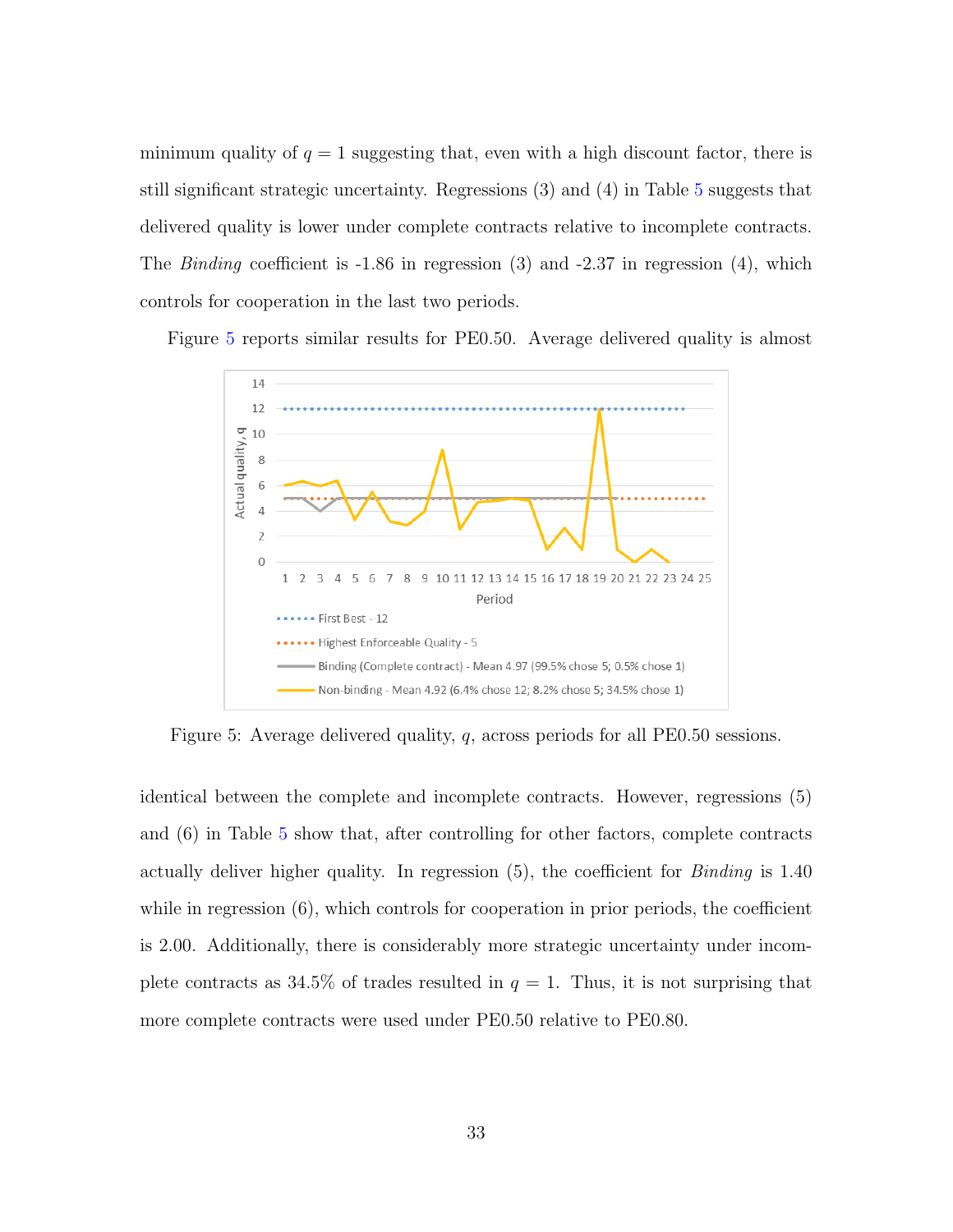minimum quality of  $q = 1$  suggesting that, even with a high discount factor, there is still significant strategic uncertainty. Regressions (3) and (4) in Table [5](#page-33-1) suggests that delivered quality is lower under complete contracts relative to incomplete contracts. The *Binding* coefficient is -1.86 in regression (3) and -2.37 in regression (4), which controls for cooperation in the last two periods.

<span id="page-35-0"></span>Figure [5](#page-35-0) reports similar results for PE0.50. Average delivered quality is almost



Figure 5: Average delivered quality, q, across periods for all PE0.50 sessions.

identical between the complete and incomplete contracts. However, regressions (5) and (6) in Table [5](#page-33-1) show that, after controlling for other factors, complete contracts actually deliver higher quality. In regression  $(5)$ , the coefficient for *Binding* is 1.40 while in regression  $(6)$ , which controls for cooperation in prior periods, the coefficient is 2.00. Additionally, there is considerably more strategic uncertainty under incomplete contracts as 34.5% of trades resulted in  $q = 1$ . Thus, it is not surprising that more complete contracts were used under PE0.50 relative to PE0.80.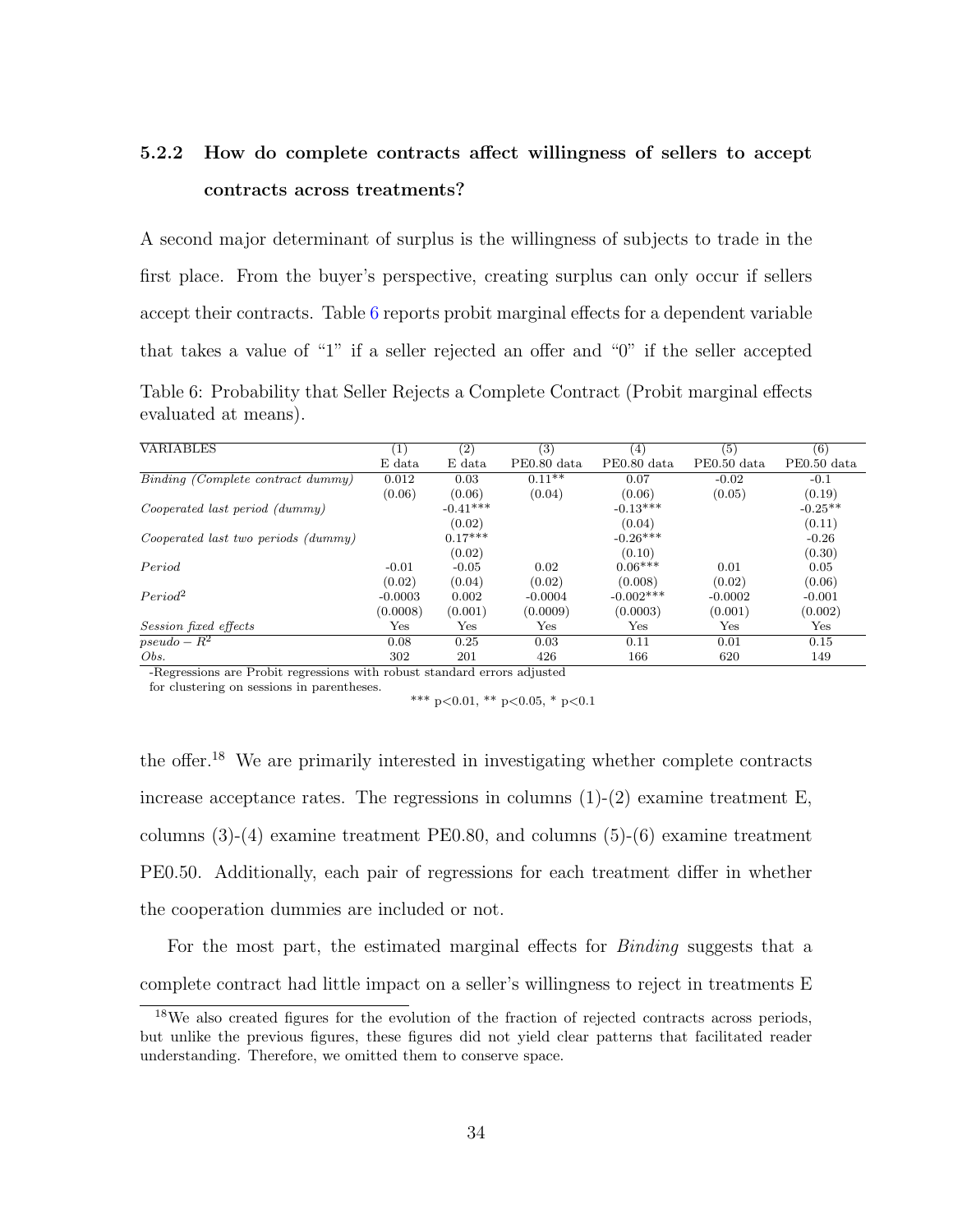### 5.2.2 How do complete contracts affect willingness of sellers to accept contracts across treatments?

A second major determinant of surplus is the willingness of subjects to trade in the first place. From the buyer's perspective, creating surplus can only occur if sellers accept their contracts. Table [6](#page-36-0) reports probit marginal effects for a dependent variable that takes a value of "1" if a seller rejected an offer and "0" if the seller accepted Table 6: Probability that Seller Rejects a Complete Contract (Probit marginal effects evaluated at means).

<span id="page-36-0"></span>

| <b>VARIABLES</b>                    | $\left( 1\right)$ | (2)        | (3)         | (4)          | (5)         | (6)          |
|-------------------------------------|-------------------|------------|-------------|--------------|-------------|--------------|
|                                     | E data            | E data     | PE0.80 data | PE0.80 data  | PE0.50 data | PE0.50 data  |
| Binding (Complete contract dummy)   | 0.012             | 0.03       | $0.11**$    | 0.07         | $-0.02$     | $-0.1$       |
|                                     | (0.06)            | (0.06)     | (0.04)      | (0.06)       | (0.05)      | (0.19)       |
| Cooperated last period (dummy)      |                   | $-0.41***$ |             | $-0.13***$   |             | $-0.25**$    |
|                                     |                   | (0.02)     |             | (0.04)       |             | (0.11)       |
| Cooperated last two periods (dummy) |                   | $0.17***$  |             | $-0.26***$   |             | $-0.26$      |
|                                     |                   | (0.02)     |             | (0.10)       |             | (0.30)       |
| Period                              | $-0.01$           | $-0.05$    | 0.02        | $0.06***$    | 0.01        | 0.05         |
|                                     | (0.02)            | (0.04)     | (0.02)      | (0.008)      | (0.02)      | (0.06)       |
| Period <sup>2</sup>                 | $-0.0003$         | 0.002      | $-0.0004$   | $-0.002***$  | $-0.0002$   | $-0.001$     |
|                                     | (0.0008)          | (0.001)    | (0.0009)    | (0.0003)     | (0.001)     | (0.002)      |
| <i>Session fixed effects</i>        | Yes               | Yes        | Yes         | $_{\rm Yes}$ | Yes         | $_{\rm Yes}$ |
| $pseudo - R^2$                      | 0.08              | 0.25       | 0.03        | 0.11         | 0.01        | 0.15         |
| Obs.                                | 302               | 201        | 426         | 166          | 620         | 149          |

-Regressions are Probit regressions with robust standard errors adjusted

for clustering on sessions in parentheses.

\*\*\* p<0.01, \*\* p<0.05, \* p<0.1

the offer.<sup>18</sup> We are primarily interested in investigating whether complete contracts increase acceptance rates. The regressions in columns  $(1)-(2)$  examine treatment E, columns (3)-(4) examine treatment PE0.80, and columns (5)-(6) examine treatment PE0.50. Additionally, each pair of regressions for each treatment differ in whether the cooperation dummies are included or not.

For the most part, the estimated marginal effects for *Binding* suggests that a complete contract had little impact on a seller's willingness to reject in treatments E

<sup>18</sup>We also created figures for the evolution of the fraction of rejected contracts across periods, but unlike the previous figures, these figures did not yield clear patterns that facilitated reader understanding. Therefore, we omitted them to conserve space.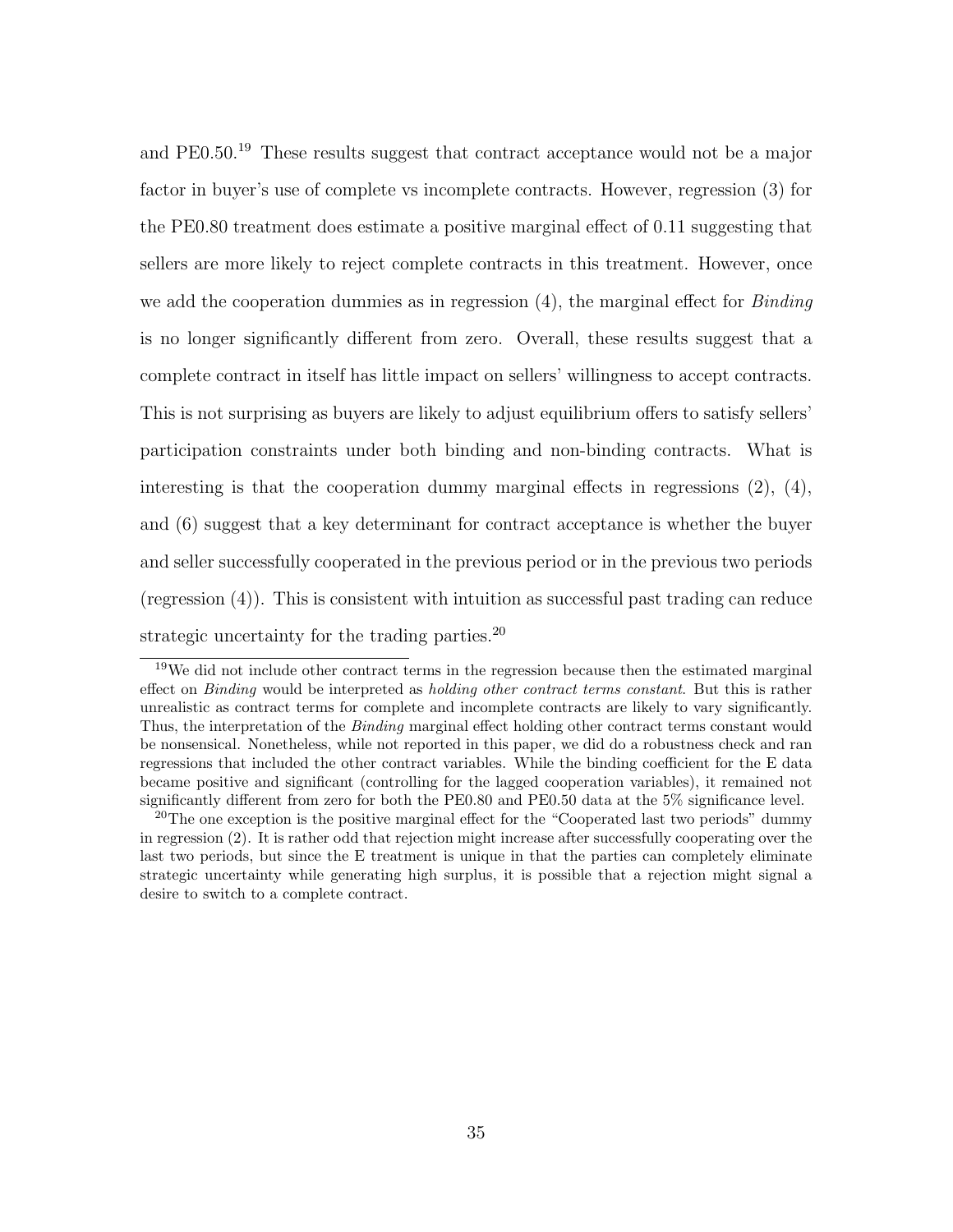and PE0.50.<sup>19</sup> These results suggest that contract acceptance would not be a major factor in buyer's use of complete vs incomplete contracts. However, regression (3) for the PE0.80 treatment does estimate a positive marginal effect of 0.11 suggesting that sellers are more likely to reject complete contracts in this treatment. However, once we add the cooperation dummies as in regression  $(4)$ , the marginal effect for *Binding* is no longer significantly different from zero. Overall, these results suggest that a complete contract in itself has little impact on sellers' willingness to accept contracts. This is not surprising as buyers are likely to adjust equilibrium offers to satisfy sellers' participation constraints under both binding and non-binding contracts. What is interesting is that the cooperation dummy marginal effects in regressions  $(2)$ ,  $(4)$ , and (6) suggest that a key determinant for contract acceptance is whether the buyer and seller successfully cooperated in the previous period or in the previous two periods (regression (4)). This is consistent with intuition as successful past trading can reduce strategic uncertainty for the trading parties. $^{20}$ 

<sup>&</sup>lt;sup>19</sup>We did not include other contract terms in the regression because then the estimated marginal effect on *Binding* would be interpreted as *holding other contract terms constant*. But this is rather unrealistic as contract terms for complete and incomplete contracts are likely to vary significantly. Thus, the interpretation of the *Binding* marginal effect holding other contract terms constant would be nonsensical. Nonetheless, while not reported in this paper, we did do a robustness check and ran regressions that included the other contract variables. While the binding coefficient for the E data became positive and significant (controlling for the lagged cooperation variables), it remained not significantly different from zero for both the PE0.80 and PE0.50 data at the 5% significance level.

<sup>&</sup>lt;sup>20</sup>The one exception is the positive marginal effect for the "Cooperated last two periods" dummy in regression (2). It is rather odd that rejection might increase after successfully cooperating over the last two periods, but since the E treatment is unique in that the parties can completely eliminate strategic uncertainty while generating high surplus, it is possible that a rejection might signal a desire to switch to a complete contract.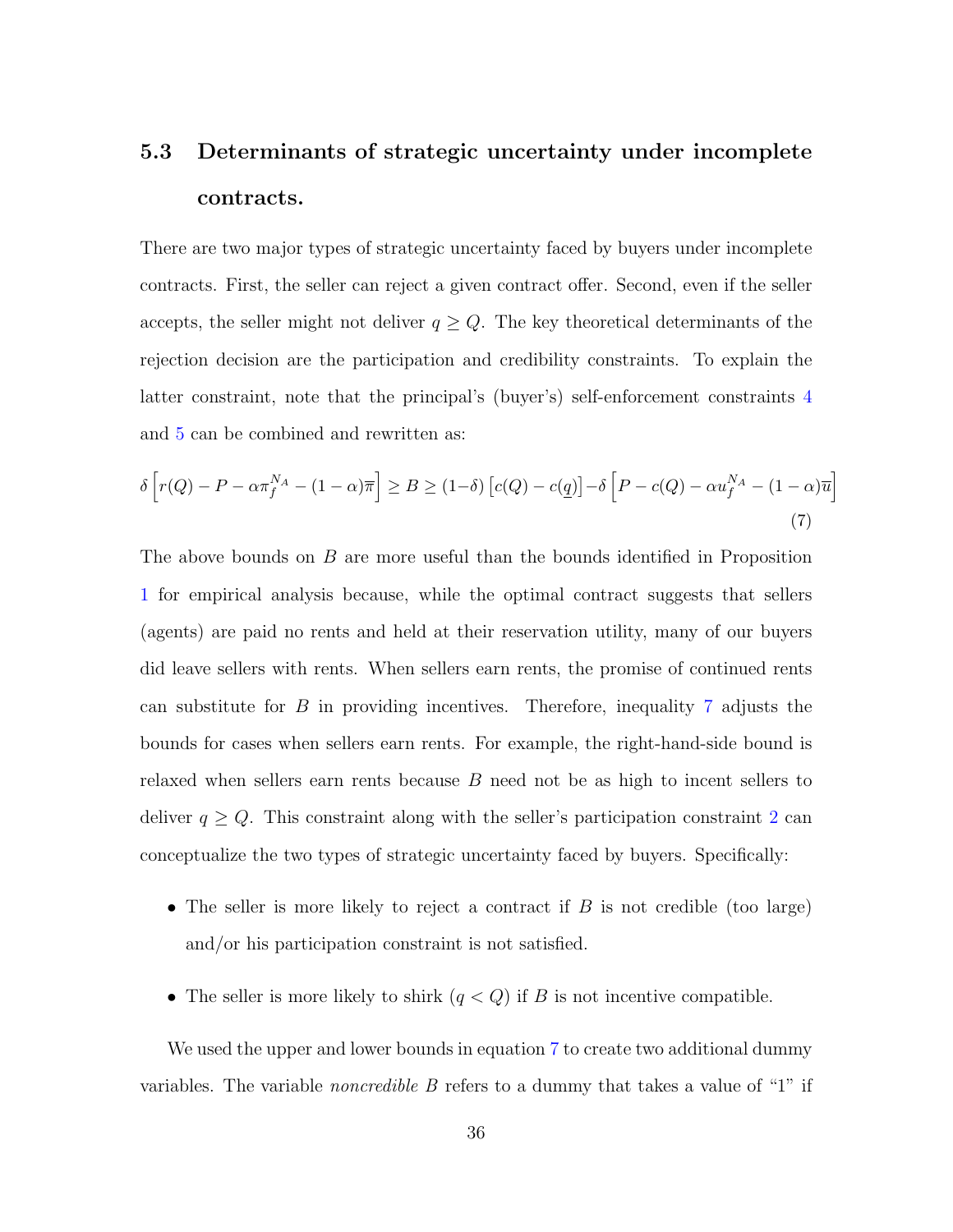## <span id="page-38-0"></span>5.3 Determinants of strategic uncertainty under incomplete contracts.

There are two major types of strategic uncertainty faced by buyers under incomplete contracts. First, the seller can reject a given contract offer. Second, even if the seller accepts, the seller might not deliver  $q \geq Q$ . The key theoretical determinants of the rejection decision are the participation and credibility constraints. To explain the latter constraint, note that the principal's (buyer's) self-enforcement constraints [4](#page-18-2) and [5](#page-18-3) can be combined and rewritten as:

<span id="page-38-1"></span>
$$
\delta \left[ r(Q) - P - \alpha \pi_f^{N_A} - (1 - \alpha) \overline{\pi} \right] \ge B \ge (1 - \delta) \left[ c(Q) - c(q) \right] - \delta \left[ P - c(Q) - \alpha u_f^{N_A} - (1 - \alpha) \overline{u} \right]
$$
\n(7)

The above bounds on B are more useful than the bounds identified in Proposition [1](#page-19-0) for empirical analysis because, while the optimal contract suggests that sellers (agents) are paid no rents and held at their reservation utility, many of our buyers did leave sellers with rents. When sellers earn rents, the promise of continued rents can substitute for  $B$  in providing incentives. Therefore, inequality [7](#page-38-1) adjusts the bounds for cases when sellers earn rents. For example, the right-hand-side bound is relaxed when sellers earn rents because B need not be as high to incent sellers to deliver  $q \geq Q$ . This constraint along with the seller's participation constraint [2](#page-18-0) can conceptualize the two types of strategic uncertainty faced by buyers. Specifically:

- The seller is more likely to reject a contract if  $B$  is not credible (too large) and/or his participation constraint is not satisfied.
- The seller is more likely to shirk  $(q < Q)$  if B is not incentive compatible.

We used the upper and lower bounds in equation [7](#page-38-1) to create two additional dummy variables. The variable *noncredible*  $B$  refers to a dummy that takes a value of "1" if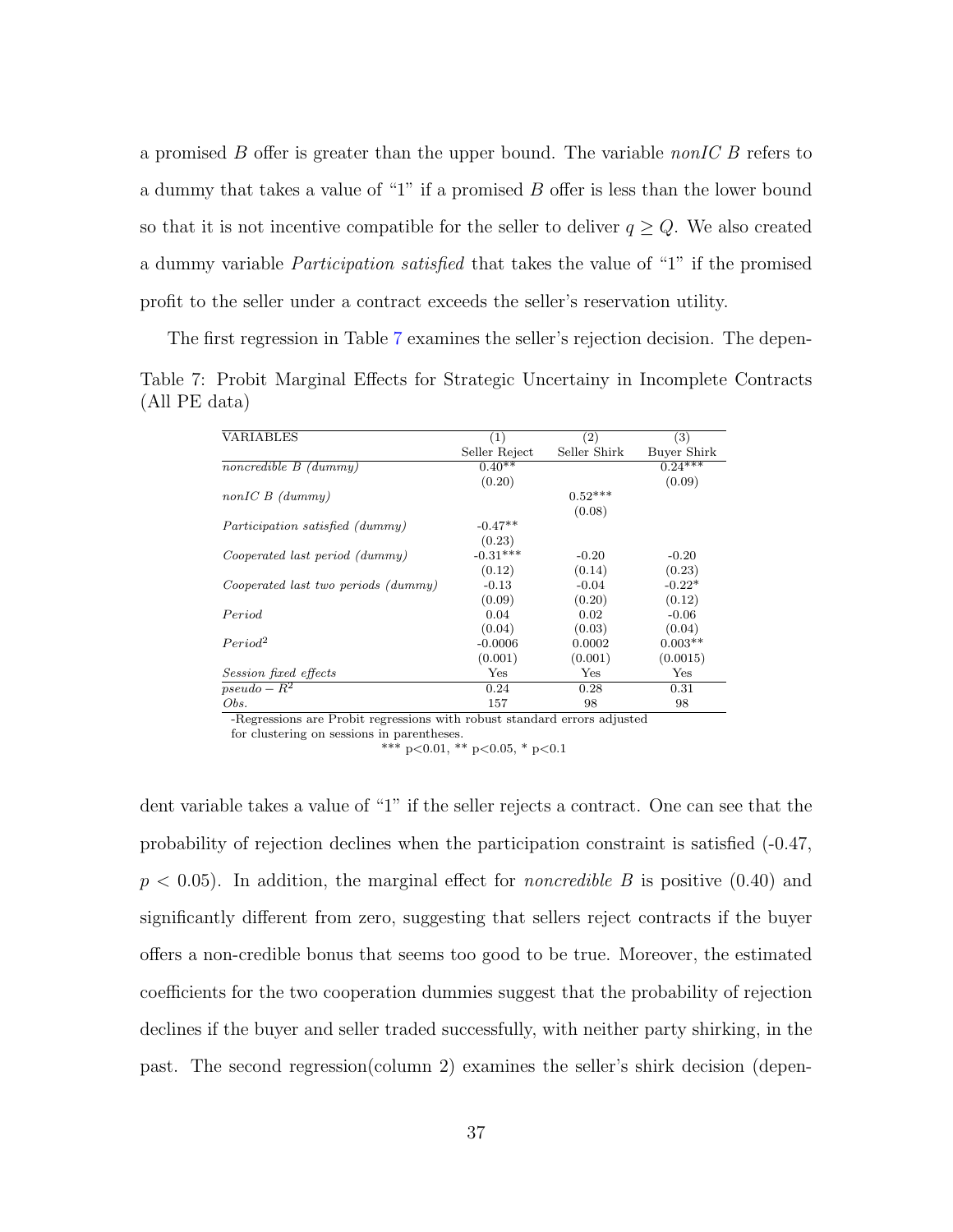a promised  $B$  offer is greater than the upper bound. The variable nonIC  $B$  refers to a dummy that takes a value of "1" if a promised B offer is less than the lower bound so that it is not incentive compatible for the seller to deliver  $q \ge Q$ . We also created a dummy variable Participation satisfied that takes the value of "1" if the promised profit to the seller under a contract exceeds the seller's reservation utility.

<span id="page-39-0"></span>The first regression in Table [7](#page-39-0) examines the seller's rejection decision. The depen-Table 7: Probit Marginal Effects for Strategic Uncertainy in Incomplete Contracts (All PE data)

| VARIABLES                           | (1)           | (2)          | $\left( 3\right)$ |
|-------------------------------------|---------------|--------------|-------------------|
|                                     | Seller Reject | Seller Shirk | Buyer Shirk       |
| noncredible $B$ (dummy)             | $0.40**$      |              | $0.24***$         |
|                                     | (0.20)        |              | (0.09)            |
| $nonICB$ (dummy)                    |               | $0.52***$    |                   |
|                                     |               | (0.08)       |                   |
| Participation satisfied (dummy)     | $-0.47**$     |              |                   |
|                                     | (0.23)        |              |                   |
| Cooperated last period (dummy)      | $-0.31***$    | $-0.20$      | $-0.20$           |
|                                     | (0.12)        | (0.14)       | (0.23)            |
| Cooperated last two periods (dummy) | $-0.13$       | $-0.04$      | $-0.22*$          |
|                                     | (0.09)        | (0.20)       | (0.12)            |
| Period                              | 0.04          | 0.02         | $-0.06$           |
|                                     | (0.04)        | (0.03)       | (0.04)            |
| Period <sup>2</sup>                 | $-0.0006$     | 0.0002       | $0.003**$         |
|                                     | (0.001)       | (0.001)      | (0.0015)          |
| Session fixed effects               | Yes           | Yes          | Yes               |
| $pseudo - R^2$                      | 0.24          | 0.28         | 0.31              |
| Obs.                                | 157           | 98           | 98                |

-Regressions are Probit regressions with robust standard errors adjusted

for clustering on sessions in parentheses.

\*\*\* p<0.01, \*\* p<0.05, \* p<0.1

dent variable takes a value of "1" if the seller rejects a contract. One can see that the probability of rejection declines when the participation constraint is satisfied (-0.47,  $p < 0.05$ ). In addition, the marginal effect for *noncredible B* is positive  $(0.40)$  and significantly different from zero, suggesting that sellers reject contracts if the buyer offers a non-credible bonus that seems too good to be true. Moreover, the estimated coefficients for the two cooperation dummies suggest that the probability of rejection declines if the buyer and seller traded successfully, with neither party shirking, in the past. The second regression(column 2) examines the seller's shirk decision (depen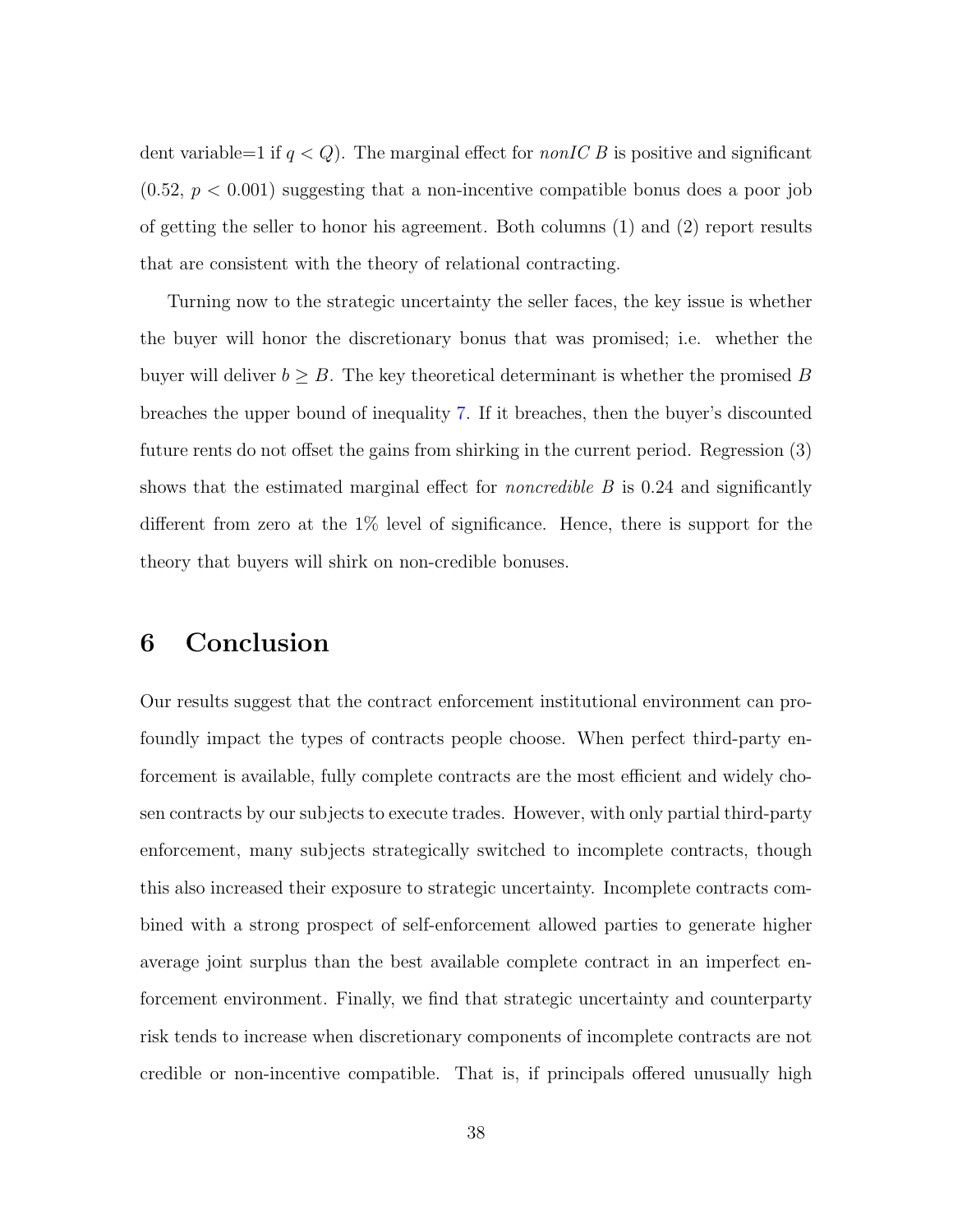dent variable=1 if  $q < Q$ ). The marginal effect for *nonIC B* is positive and significant  $(0.52, p < 0.001)$  suggesting that a non-incentive compatible bonus does a poor job of getting the seller to honor his agreement. Both columns (1) and (2) report results that are consistent with the theory of relational contracting.

Turning now to the strategic uncertainty the seller faces, the key issue is whether the buyer will honor the discretionary bonus that was promised; i.e. whether the buyer will deliver  $b \geq B$ . The key theoretical determinant is whether the promised B breaches the upper bound of inequality [7.](#page-38-1) If it breaches, then the buyer's discounted future rents do not offset the gains from shirking in the current period. Regression (3) shows that the estimated marginal effect for *noncredible B* is 0.24 and significantly different from zero at the 1% level of significance. Hence, there is support for the theory that buyers will shirk on non-credible bonuses.

### 6 Conclusion

Our results suggest that the contract enforcement institutional environment can profoundly impact the types of contracts people choose. When perfect third-party enforcement is available, fully complete contracts are the most efficient and widely chosen contracts by our subjects to execute trades. However, with only partial third-party enforcement, many subjects strategically switched to incomplete contracts, though this also increased their exposure to strategic uncertainty. Incomplete contracts combined with a strong prospect of self-enforcement allowed parties to generate higher average joint surplus than the best available complete contract in an imperfect enforcement environment. Finally, we find that strategic uncertainty and counterparty risk tends to increase when discretionary components of incomplete contracts are not credible or non-incentive compatible. That is, if principals offered unusually high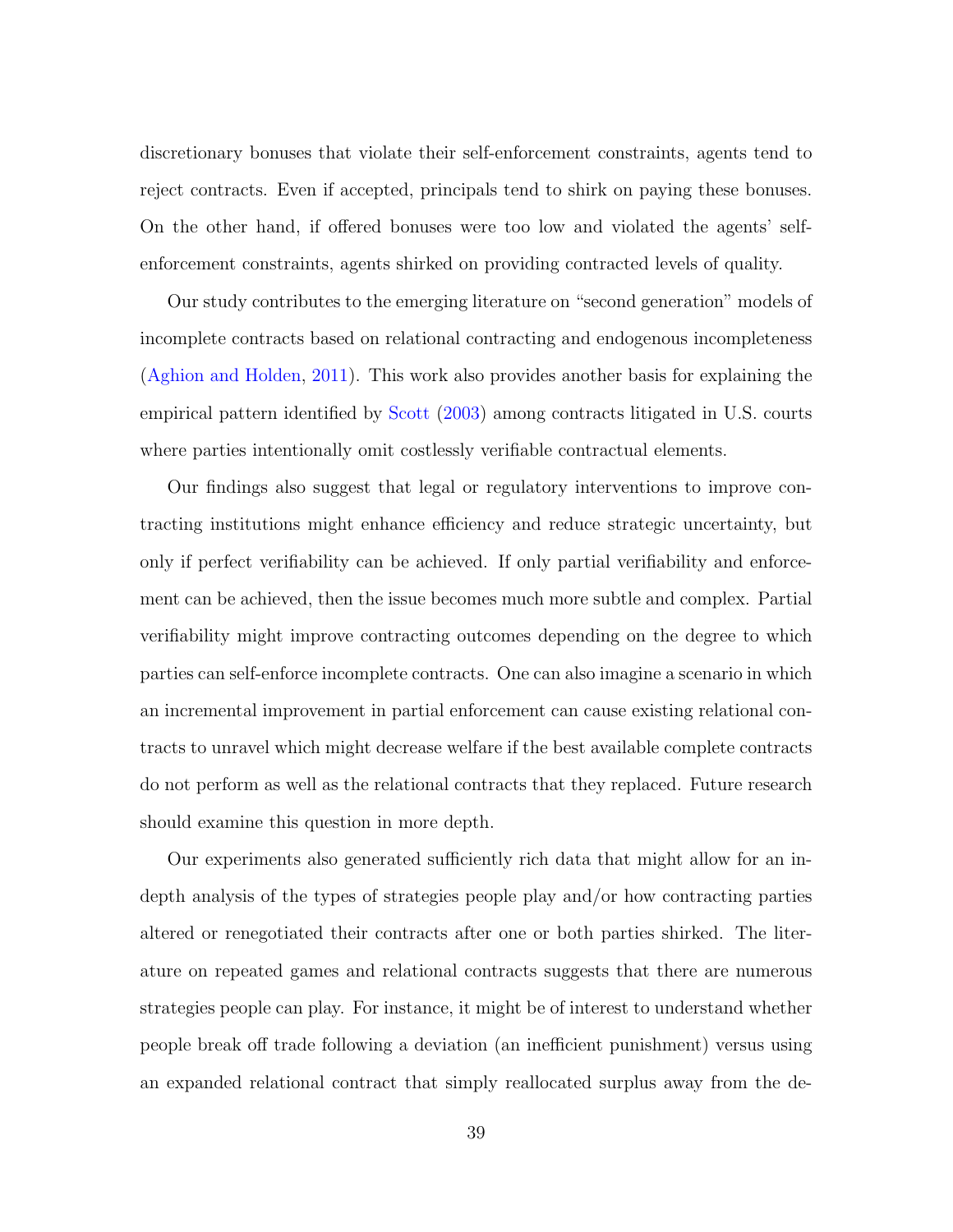discretionary bonuses that violate their self-enforcement constraints, agents tend to reject contracts. Even if accepted, principals tend to shirk on paying these bonuses. On the other hand, if offered bonuses were too low and violated the agents' selfenforcement constraints, agents shirked on providing contracted levels of quality.

Our study contributes to the emerging literature on "second generation" models of incomplete contracts based on relational contracting and endogenous incompleteness [\(Aghion and Holden,](#page-42-1) [2011\)](#page-42-1). This work also provides another basis for explaining the empirical pattern identified by [Scott](#page-44-0) [\(2003\)](#page-44-0) among contracts litigated in U.S. courts where parties intentionally omit costlessly verifiable contractual elements.

Our findings also suggest that legal or regulatory interventions to improve contracting institutions might enhance efficiency and reduce strategic uncertainty, but only if perfect verifiability can be achieved. If only partial verifiability and enforcement can be achieved, then the issue becomes much more subtle and complex. Partial verifiability might improve contracting outcomes depending on the degree to which parties can self-enforce incomplete contracts. One can also imagine a scenario in which an incremental improvement in partial enforcement can cause existing relational contracts to unravel which might decrease welfare if the best available complete contracts do not perform as well as the relational contracts that they replaced. Future research should examine this question in more depth.

Our experiments also generated sufficiently rich data that might allow for an indepth analysis of the types of strategies people play and/or how contracting parties altered or renegotiated their contracts after one or both parties shirked. The literature on repeated games and relational contracts suggests that there are numerous strategies people can play. For instance, it might be of interest to understand whether people break off trade following a deviation (an inefficient punishment) versus using an expanded relational contract that simply reallocated surplus away from the de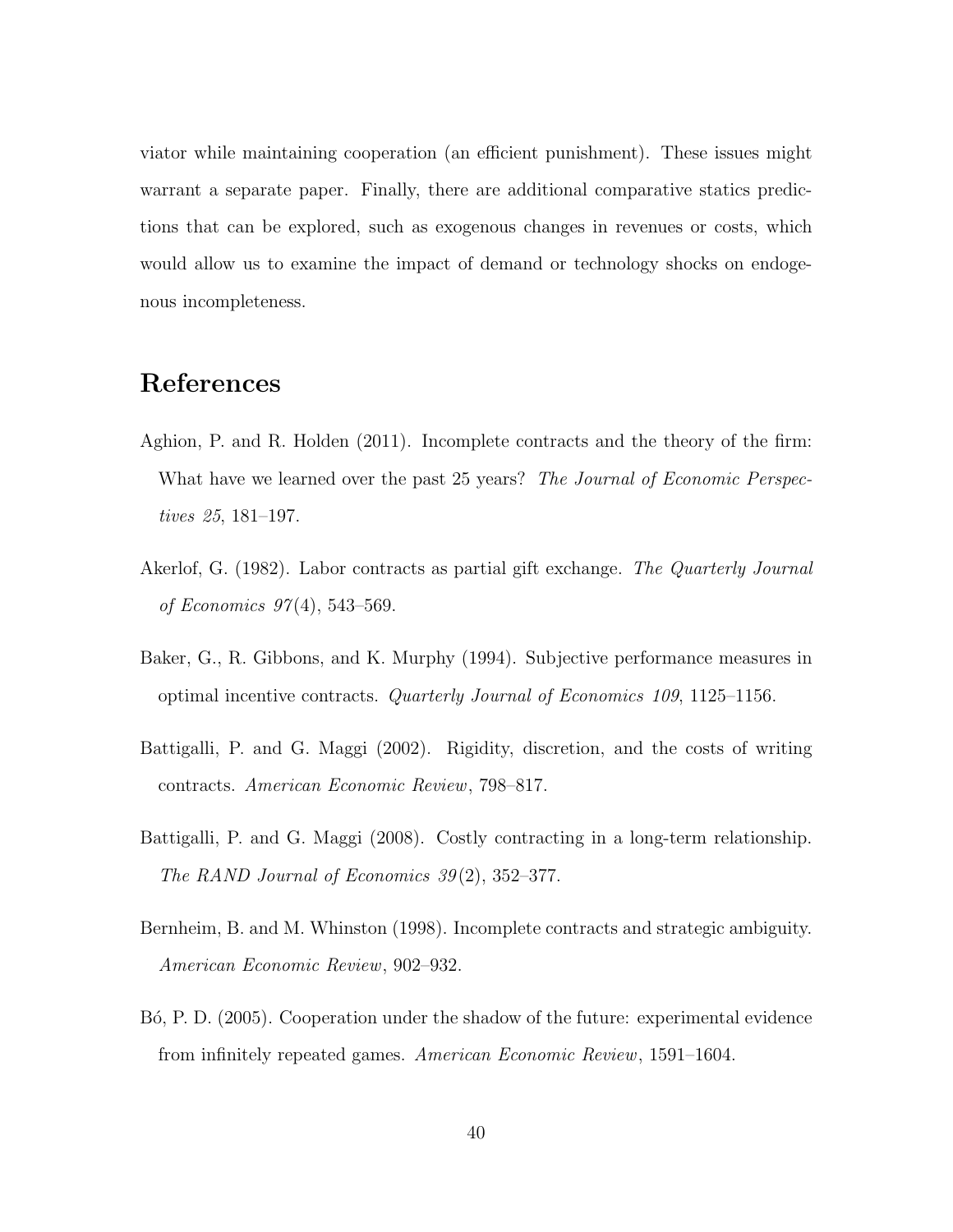viator while maintaining cooperation (an efficient punishment). These issues might warrant a separate paper. Finally, there are additional comparative statics predictions that can be explored, such as exogenous changes in revenues or costs, which would allow us to examine the impact of demand or technology shocks on endogenous incompleteness.

### References

- <span id="page-42-1"></span>Aghion, P. and R. Holden (2011). Incomplete contracts and the theory of the firm: What have we learned over the past 25 years? The Journal of Economic Perspectives 25, 181–197.
- <span id="page-42-0"></span>Akerlof, G. (1982). Labor contracts as partial gift exchange. The Quarterly Journal of Economics 97 (4), 543–569.
- <span id="page-42-5"></span>Baker, G., R. Gibbons, and K. Murphy (1994). Subjective performance measures in optimal incentive contracts. Quarterly Journal of Economics 109, 1125–1156.
- <span id="page-42-2"></span>Battigalli, P. and G. Maggi (2002). Rigidity, discretion, and the costs of writing contracts. American Economic Review, 798–817.
- <span id="page-42-3"></span>Battigalli, P. and G. Maggi (2008). Costly contracting in a long-term relationship. The RAND Journal of Economics  $39(2)$ ,  $352-377$ .
- <span id="page-42-4"></span>Bernheim, B. and M. Whinston (1998). Incomplete contracts and strategic ambiguity. American Economic Review, 902–932.
- <span id="page-42-6"></span>B<sub>0</sub>, P. D. (2005). Cooperation under the shadow of the future: experimental evidence from infinitely repeated games. American Economic Review, 1591–1604.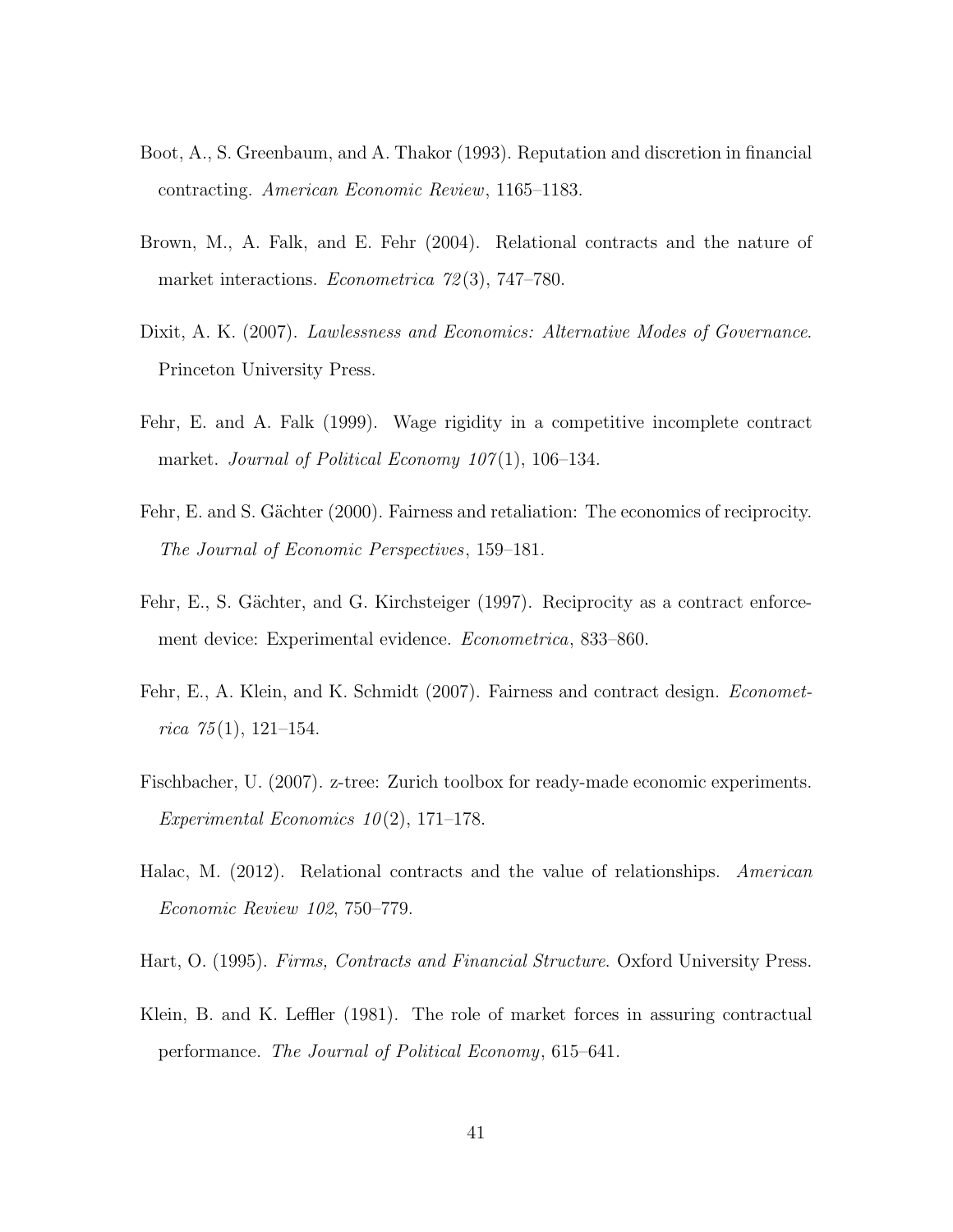- <span id="page-43-1"></span>Boot, A., S. Greenbaum, and A. Thakor (1993). Reputation and discretion in financial contracting. American Economic Review, 1165–1183.
- <span id="page-43-6"></span>Brown, M., A. Falk, and E. Fehr (2004). Relational contracts and the nature of market interactions. *Econometrica* 72(3), 747–780.
- <span id="page-43-8"></span>Dixit, A. K. (2007). Lawlessness and Economics: Alternative Modes of Governance. Princeton University Press.
- <span id="page-43-4"></span>Fehr, E. and A. Falk (1999). Wage rigidity in a competitive incomplete contract market. Journal of Political Economy  $107(1)$ , 106–134.
- <span id="page-43-5"></span>Fehr, E. and S. Gächter (2000). Fairness and retaliation: The economics of reciprocity. The Journal of Economic Perspectives, 159–181.
- <span id="page-43-3"></span>Fehr, E., S. Gächter, and G. Kirchsteiger (1997). Reciprocity as a contract enforcement device: Experimental evidence. Econometrica, 833–860.
- <span id="page-43-7"></span>Fehr, E., A. Klein, and K. Schmidt (2007). Fairness and contract design. *Economet*rica  $75(1)$ , 121–154.
- <span id="page-43-10"></span>Fischbacher, U. (2007). z-tree: Zurich toolbox for ready-made economic experiments. Experimental Economics  $10(2)$ , 171–178.
- <span id="page-43-9"></span>Halac, M. (2012). Relational contracts and the value of relationships. American Economic Review 102, 750–779.
- <span id="page-43-2"></span>Hart, O. (1995). Firms, Contracts and Financial Structure. Oxford University Press.
- <span id="page-43-0"></span>Klein, B. and K. Leffler (1981). The role of market forces in assuring contractual performance. The Journal of Political Economy, 615–641.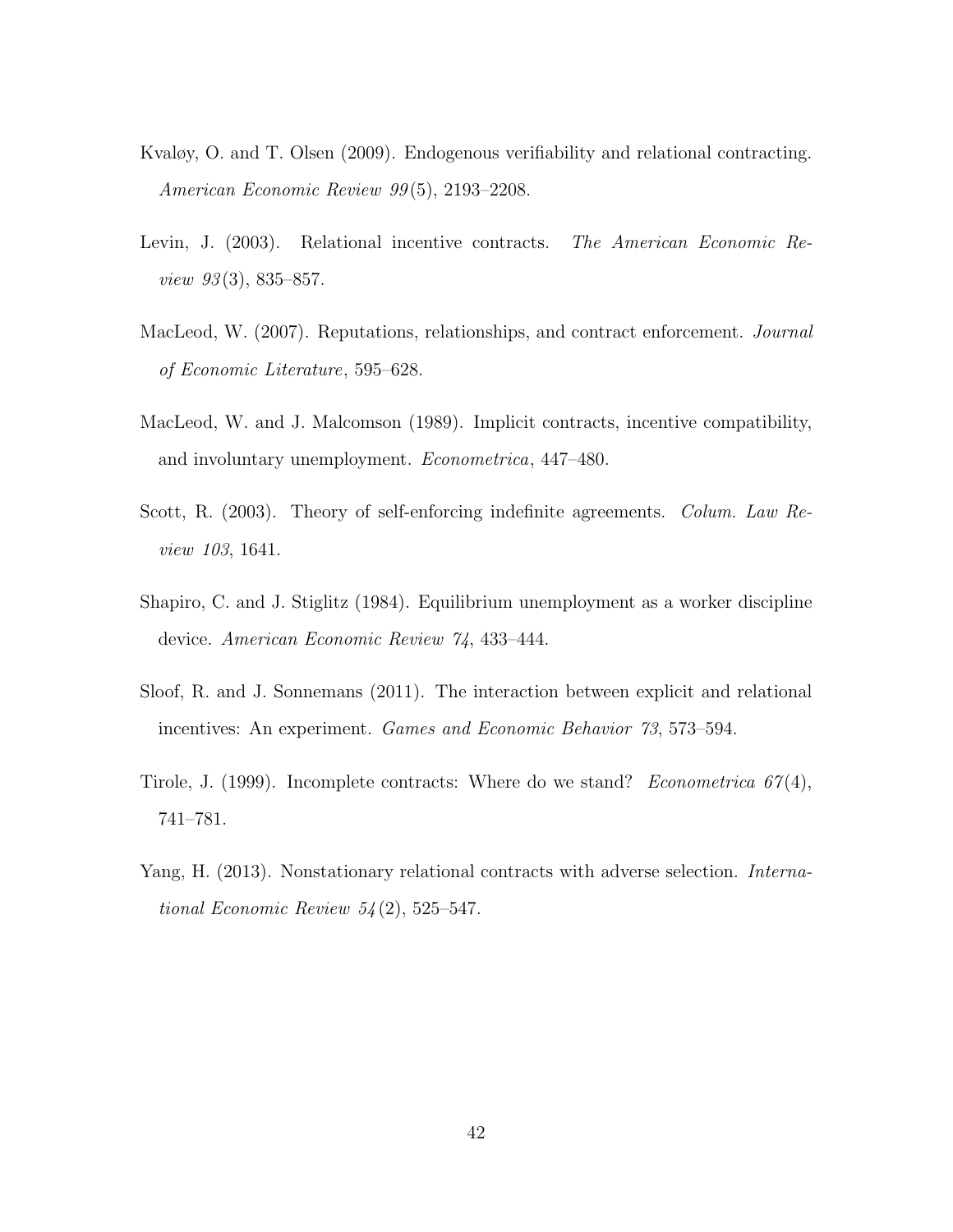- <span id="page-44-4"></span>Kvaløy, O. and T. Olsen (2009). Endogenous verifiability and relational contracting. American Economic Review 99 (5), 2193–2208.
- <span id="page-44-2"></span>Levin, J. (2003). Relational incentive contracts. The American Economic Re*view 93* $(3)$ , 835–857.
- <span id="page-44-6"></span>MacLeod, W. (2007). Reputations, relationships, and contract enforcement. *Journal* of Economic Literature, 595–628.
- <span id="page-44-3"></span>MacLeod, W. and J. Malcomson (1989). Implicit contracts, incentive compatibility, and involuntary unemployment. Econometrica, 447–480.
- <span id="page-44-0"></span>Scott, R. (2003). Theory of self-enforcing indefinite agreements. *Colum. Law Re*view 103, 1641.
- <span id="page-44-1"></span>Shapiro, C. and J. Stiglitz (1984). Equilibrium unemployment as a worker discipline device. American Economic Review 74, 433–444.
- <span id="page-44-7"></span>Sloof, R. and J. Sonnemans (2011). The interaction between explicit and relational incentives: An experiment. Games and Economic Behavior 73, 573–594.
- <span id="page-44-5"></span>Tirole, J. (1999). Incomplete contracts: Where do we stand? Econometrica  $67(4)$ , 741–781.
- <span id="page-44-8"></span>Yang, H. (2013). Nonstationary relational contracts with adverse selection. International Economic Review  $54(2)$ , 525–547.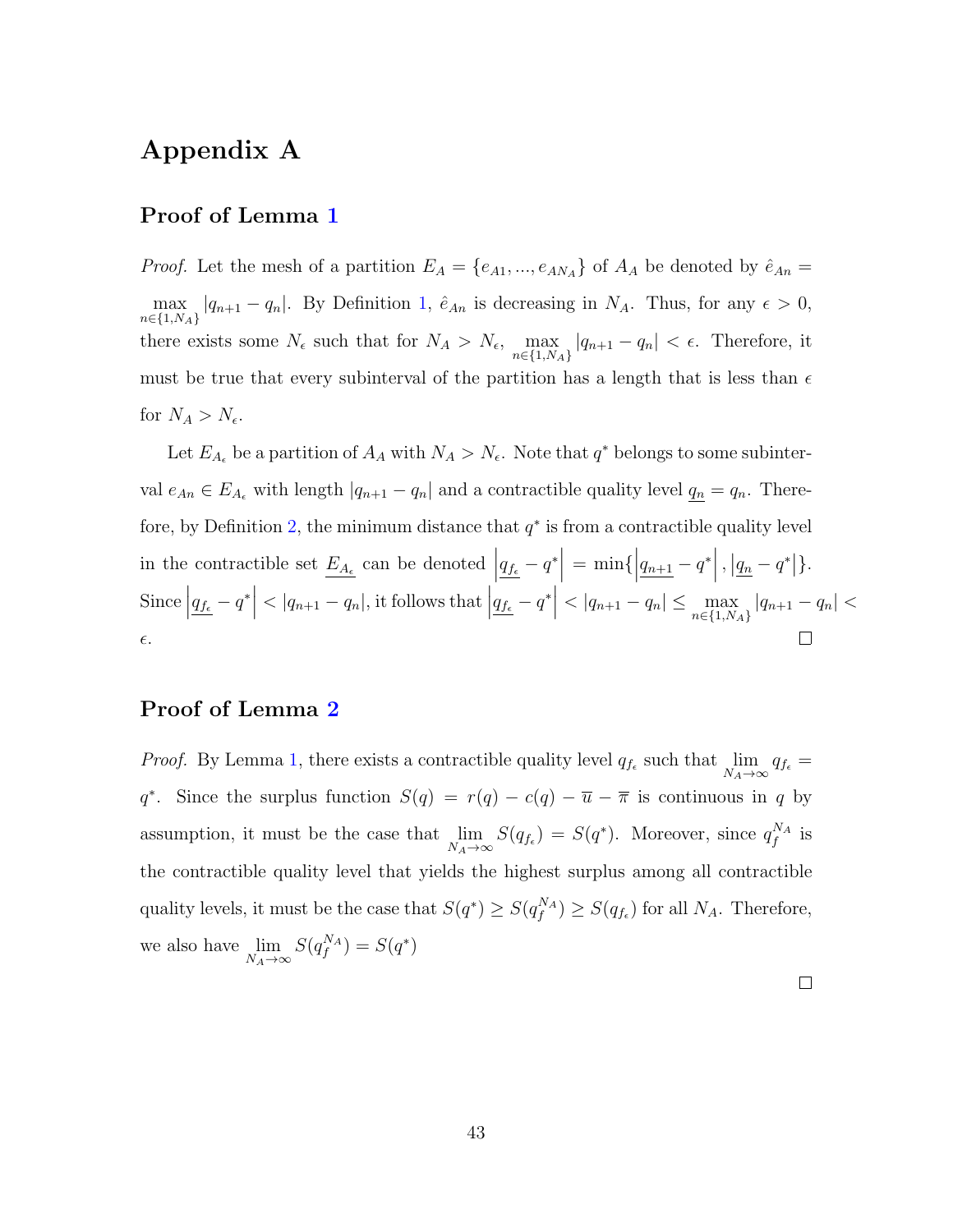### Appendix A

#### Proof of Lemma [1](#page-13-0)

*Proof.* Let the mesh of a partition  $E_A = \{e_{A1}, ..., e_{AN_A}\}\$  of  $A_A$  be denoted by  $\hat{e}_{An} =$ max  $\max_{n\in\{1,N_A\}} |q_{n+1}-q_n|$  $\max_{n\in\{1,N_A\}} |q_{n+1}-q_n|$  $\max_{n\in\{1,N_A\}} |q_{n+1}-q_n|$ . By Definition 1,  $\hat{e}_{An}$  is decreasing in  $N_A$ . Thus, for any  $\epsilon > 0$ , there exists some  $N_{\epsilon}$  such that for  $N_A > N_{\epsilon}$ , max  $\max_{n \in \{1, N_A\}} |q_{n+1} - q_n| < \epsilon$ . Therefore, it must be true that every subinterval of the partition has a length that is less than  $\epsilon$ for  $N_A > N_{\epsilon}$ .

Let  $E_{A_{\epsilon}}$  be a partition of  $A_A$  with  $N_A > N_{\epsilon}$ . Note that  $q^*$  belongs to some subinterval  $e_{An} \in E_{A_{\epsilon}}$  with length  $|q_{n+1} - q_n|$  and a contractible quality level  $q_n = q_n$ . There-fore, by Definition [2,](#page-12-0) the minimum distance that  $q^*$  is from a contractible quality level in the contractible set  $\underline{E_{A_{\epsilon}}}$  can be denoted  $\left| \underline{q_{f_{\epsilon}}} - \underline{q}^* \right|$  $= \min\{\left| \frac{q_{n+1}}{q_n} - q^* \right|, \left| \frac{q_n}{q_n} - q^* \right| \}.$ Since  $q_{f_{\epsilon}} - q^*$  $<$  | $q_{n+1} - q_n$ |, it follows that  $\left| \underline{q_{f_{\epsilon}}}-\underline{q}^* \right|$  $< |q_{n+1} - q_n| \leq \max_{n \in \{1, N_A\}} |q_{n+1} - q_n| <$  $\epsilon$ .

#### Proof of Lemma [2](#page-16-0)

*Proof.* By Lemma [1,](#page-13-0) there exists a contractible quality level  $q_{f_{\epsilon}}$  such that  $\lim_{N_A \to \infty} q_{f_{\epsilon}} =$ q<sup>\*</sup>. Since the surplus function  $S(q) = r(q) - c(q) - \overline{u} - \overline{\pi}$  is continuous in q by assumption, it must be the case that  $\lim_{N_A \to \infty} S(q_{f_{\epsilon}}) = S(q^*)$ . Moreover, since  $q_f^{N_A}$  is the contractible quality level that yields the highest surplus among all contractible quality levels, it must be the case that  $S(q^*) \geq S(q_f^{\{N_A\}}) \geq S(q_{f_{\epsilon}})$  for all  $N_A$ . Therefore, we also have  $\lim_{N_A \to \infty} S(q_f^{N_A}) = S(q^*)$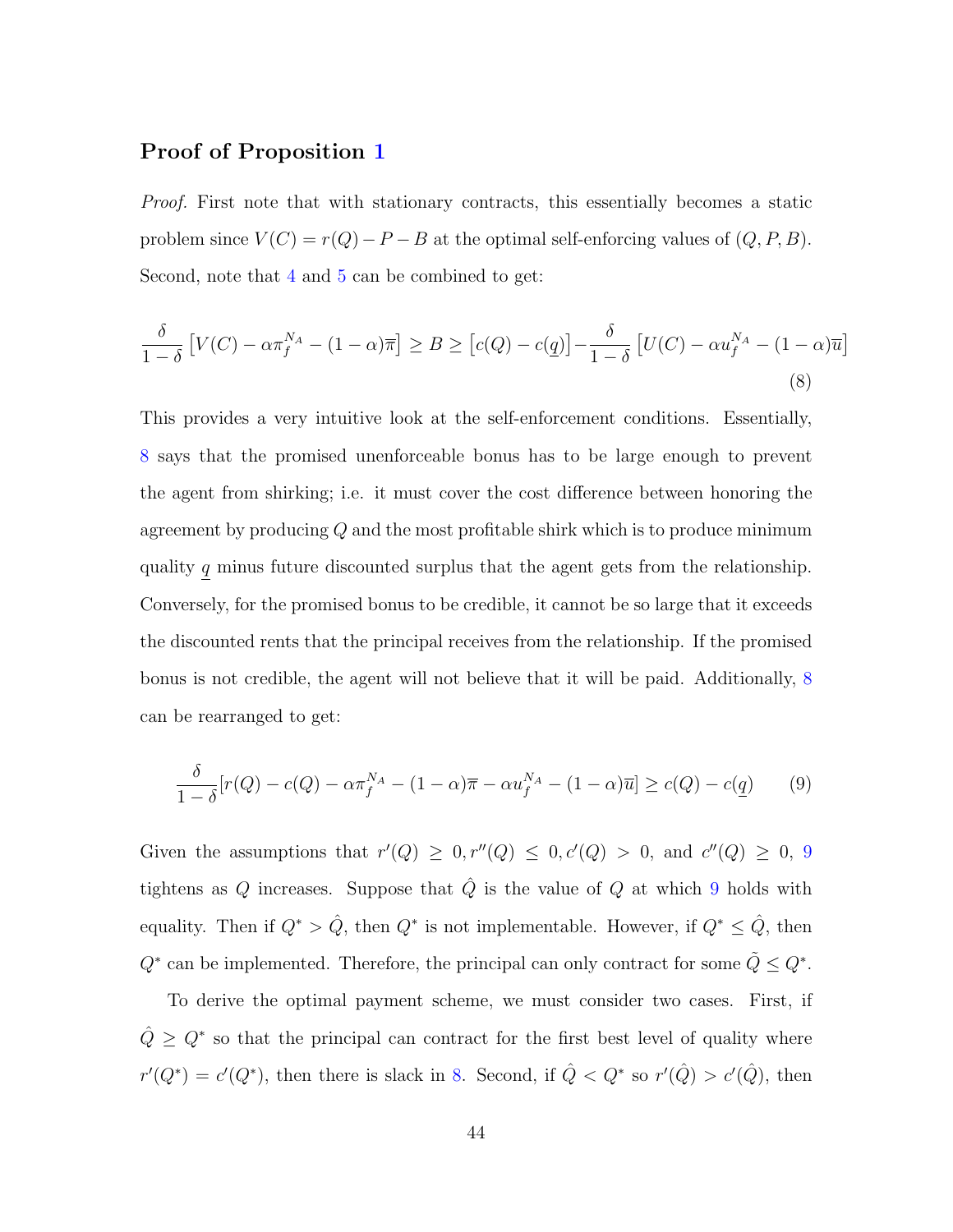#### Proof of Proposition [1](#page-19-0)

Proof. First note that with stationary contracts, this essentially becomes a static problem since  $V(C) = r(Q) - P - B$  at the optimal self-enforcing values of  $(Q, P, B)$ . Second, note that [4](#page-18-2) and [5](#page-18-3) can be combined to get:

<span id="page-46-0"></span>
$$
\frac{\delta}{1-\delta} \left[ V(C) - \alpha \pi_f^{N_A} - (1-\alpha)\overline{\pi} \right] \ge B \ge \left[ c(Q) - c(\underline{q}) \right] - \frac{\delta}{1-\delta} \left[ U(C) - \alpha u_f^{N_A} - (1-\alpha)\overline{u} \right]
$$
\n(8)

This provides a very intuitive look at the self-enforcement conditions. Essentially, [8](#page-46-0) says that the promised unenforceable bonus has to be large enough to prevent the agent from shirking; i.e. it must cover the cost difference between honoring the agreement by producing Q and the most profitable shirk which is to produce minimum quality  $\underline{q}$  minus future discounted surplus that the agent gets from the relationship. Conversely, for the promised bonus to be credible, it cannot be so large that it exceeds the discounted rents that the principal receives from the relationship. If the promised bonus is not credible, the agent will not believe that it will be paid. Additionally, [8](#page-46-0) can be rearranged to get:

<span id="page-46-1"></span>
$$
\frac{\delta}{1-\delta}[r(Q) - c(Q) - \alpha \pi_f^{N_A} - (1-\alpha)\overline{\pi} - \alpha u_f^{N_A} - (1-\alpha)\overline{u}] \ge c(Q) - c(\underline{q}) \tag{9}
$$

Given the assumptions that  $r'(Q) \geq 0, r''(Q) \leq 0, c'(Q) > 0$ , and  $c''(Q) \geq 0, 9$  $c''(Q) \geq 0, 9$ tightens as Q increases. Suppose that  $\hat{Q}$  is the value of Q at which [9](#page-46-1) holds with equality. Then if  $Q^* > \hat{Q}$ , then  $Q^*$  is not implementable. However, if  $Q^* \leq \hat{Q}$ , then  $Q^*$  can be implemented. Therefore, the principal can only contract for some  $\tilde{Q} \leq Q^*$ .

To derive the optimal payment scheme, we must consider two cases. First, if  $\hat{Q} \geq Q^*$  so that the principal can contract for the first best level of quality where  $r'(Q^*) = c'(Q^*)$ , then there is slack in [8.](#page-46-0) Second, if  $\hat{Q} < Q^*$  so  $r'(\hat{Q}) > c'(\hat{Q})$ , then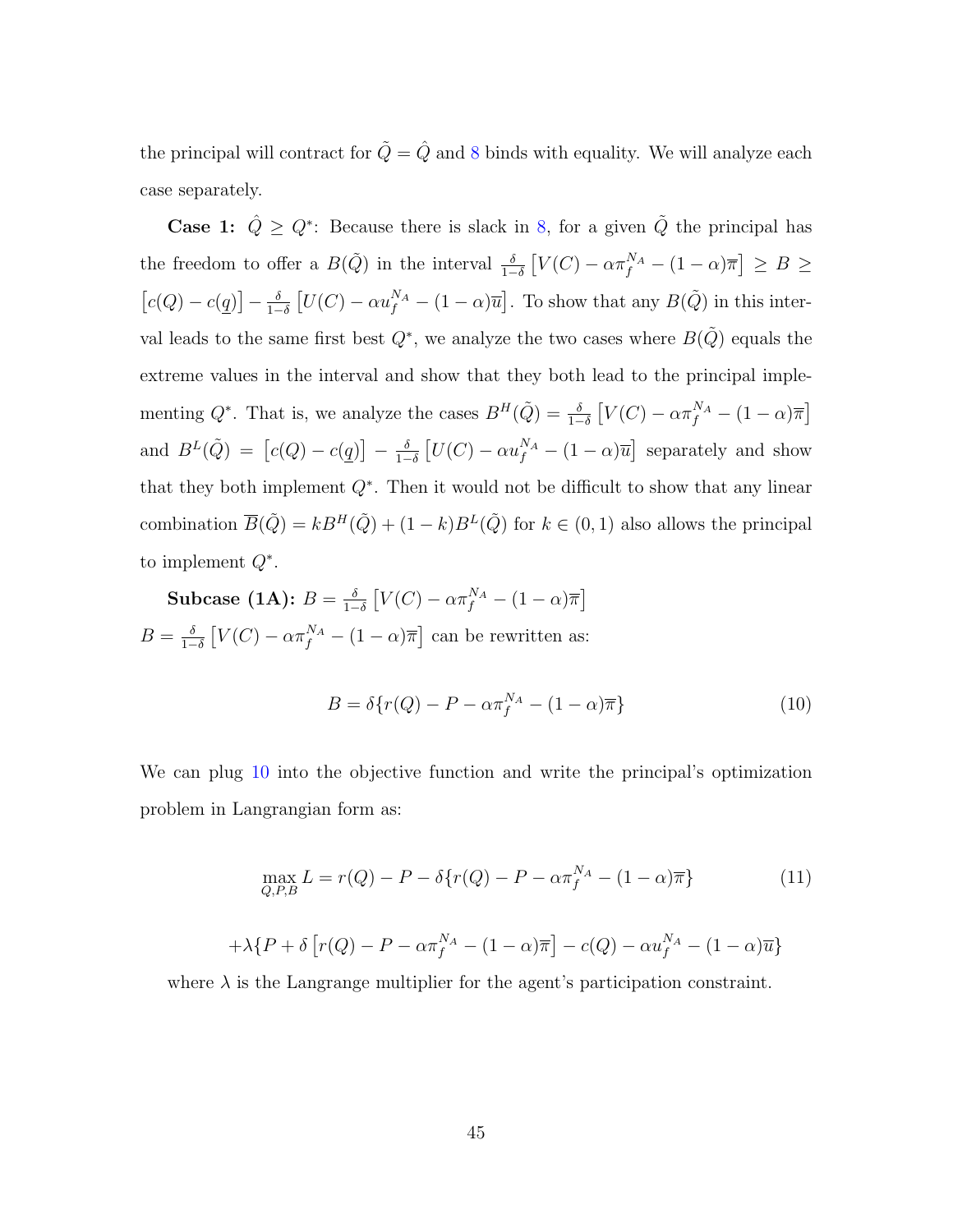the principal will contract for  $\tilde{Q}=\hat{Q}$  and [8](#page-46-0) binds with equality. We will analyze each case separately.

**Case 1:**  $\hat{Q} \geq Q^*$ : Because there is slack in [8,](#page-46-0) for a given  $\tilde{Q}$  the principal has the freedom to offer a  $B(\tilde{Q})$  in the interval  $\frac{\delta}{1-\delta}\left[V(C) - \alpha \pi_f^{N_A} - (1-\alpha)\overline{\pi}\right] \ge B \ge$  $\lceil c(Q) - c(q) \rceil - \frac{\delta}{1-\delta}$  $\frac{\delta}{1-\delta} [U(C) - \alpha u_f^{N_A} - (1-\alpha)\overline{u}]$ . To show that any  $B(\tilde{Q})$  in this interval leads to the same first best  $Q^*$ , we analyze the two cases where  $B(\tilde{Q})$  equals the extreme values in the interval and show that they both lead to the principal implementing  $Q^*$ . That is, we analyze the cases  $B^H(\tilde{Q}) = \frac{\delta}{1-\delta} \left[ V(C) - \alpha \pi_f^{N_A} - (1-\alpha)\overline{\pi} \right]$ and  $B^{L}(\tilde{Q}) = [c(Q) - c(q)] - \frac{\delta}{1-z}$  $\frac{\delta}{1-\delta} \left[ U(C) - \alpha u_f^{N_A} - (1-\alpha) \overline{u} \right]$  separately and show that they both implement  $Q^*$ . Then it would not be difficult to show that any linear combination  $\overline{B}(\tilde{Q}) = kB^H(\tilde{Q}) + (1 - k)B^L(\tilde{Q})$  for  $k \in (0, 1)$  also allows the principal to implement  $Q^*$ .

Subcase (1A):  $B = \frac{\delta}{1}$  $\frac{\delta}{1-\delta}\left[V(C) - \alpha \pi_f^{N_A} - (1-\alpha)\overline{\pi}\right]$  $B=\frac{\delta}{1-\delta}$  $\frac{\delta}{1-\delta}\left[V(C) - \alpha \pi_f^{N_A} - (1-\alpha)\overline{\pi}\right]$  can be rewritten as:

<span id="page-47-0"></span>
$$
B = \delta\{r(Q) - P - \alpha \pi_f^{N_A} - (1 - \alpha)\overline{\pi}\}\tag{10}
$$

We can plug [10](#page-47-0) into the objective function and write the principal's optimization problem in Langrangian form as:

$$
\max_{Q, P, B} L = r(Q) - P - \delta \{ r(Q) - P - \alpha \pi_f^{N_A} - (1 - \alpha) \overline{\pi} \}
$$
 (11)

$$
+\lambda\{P+\delta\left[r(Q)-P-\alpha\pi_f^{N_A}-(1-\alpha)\overline{\pi}\right]-c(Q)-\alpha u_f^{N_A}-(1-\alpha)\overline{u}\}
$$

where  $\lambda$  is the Langrange multiplier for the agent's participation constraint.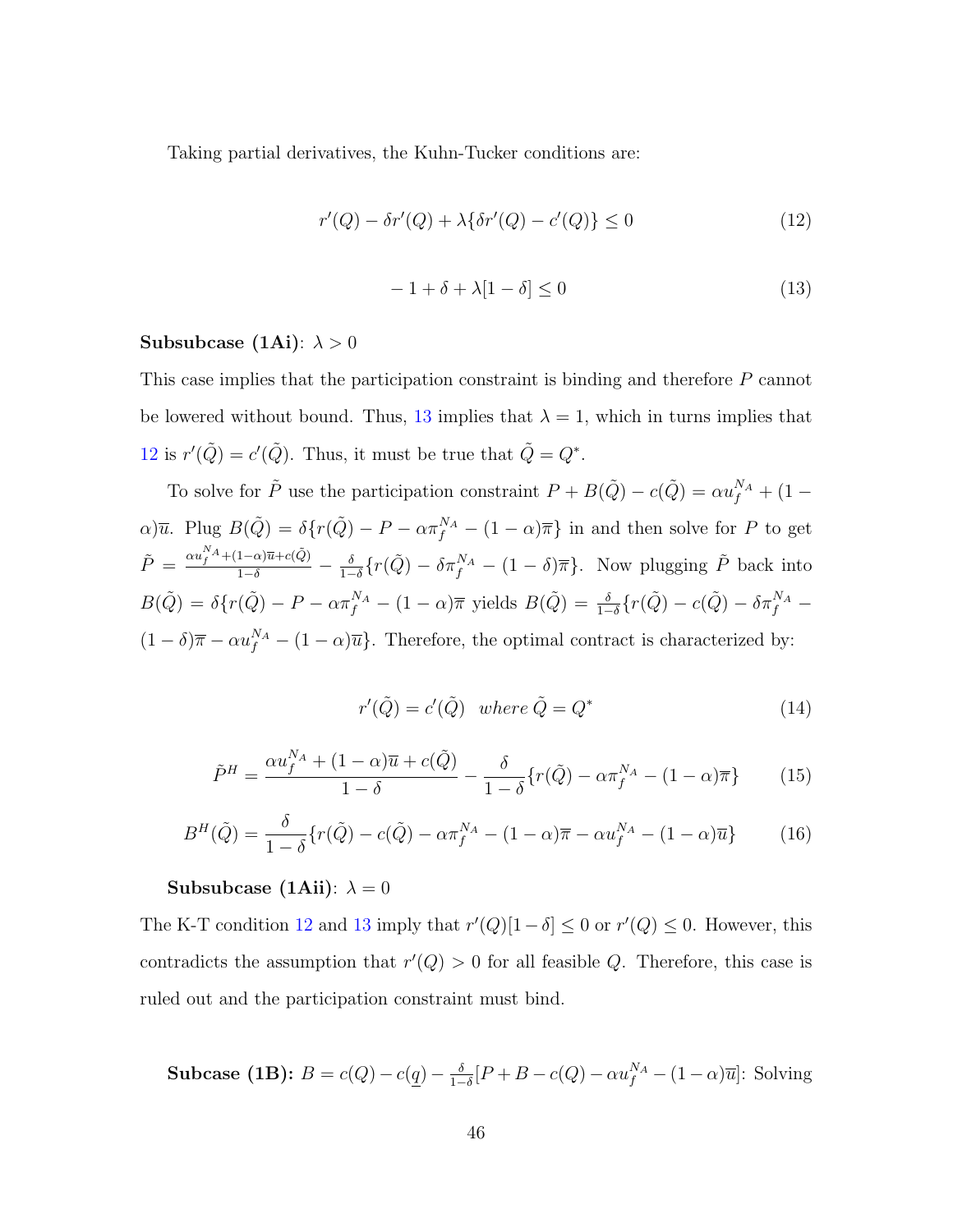Taking partial derivatives, the Kuhn-Tucker conditions are:

<span id="page-48-1"></span>
$$
r'(Q) - \delta r'(Q) + \lambda \{\delta r'(Q) - c'(Q)\} \le 0
$$
\n(12)

<span id="page-48-0"></span>
$$
-1 + \delta + \lambda[1 - \delta] \le 0 \tag{13}
$$

#### Subsubcase (1Ai):  $\lambda > 0$

This case implies that the participation constraint is binding and therefore P cannot be lowered without bound. Thus, [13](#page-48-0) implies that  $\lambda = 1$ , which in turns implies that [12](#page-48-1) is  $r'(\tilde{Q}) = c'(\tilde{Q})$ . Thus, it must be true that  $\tilde{Q} = Q^*$ .

To solve for  $\tilde{P}$  use the participation constraint  $P + B(\tilde{Q}) - c(\tilde{Q}) = \alpha u_f^{N_A} + (1 - \alpha)$  $\alpha$ ) $\overline{u}$ . Plug  $B(\tilde{Q}) = \delta\{r(\tilde{Q}) - P - \alpha \pi_f^{N_A} - (1 - \alpha)\overline{\pi}\}\$ in and then solve for P to get  $\tilde{P} \,=\, \frac{\alpha u_f^{N_A} + (1-\alpha)\overline{u} + c(\tilde{Q})}{1-\delta} \,-\, \frac{\delta}{1-\delta}$  $\frac{\delta}{1-\delta}\left\{r(\tilde{Q}) - \delta\pi_f^{N_A} - (1-\delta)\overline{\pi}\right\}$ . Now plugging  $\tilde{P}$  back into  $B(\tilde{Q}) = \delta\{r(\tilde{Q}) - P - \alpha\pi_f^{N_A} - (1-\alpha)\overline{\pi} \text{ yields } B(\tilde{Q}) = \frac{\delta}{1-\delta}\{r(\tilde{Q}) - c(\tilde{Q}) - \delta\pi_f^{N_A} - \sigma\}$  $(1 - \delta)\overline{\pi} - \alpha u_f^{N_A} - (1 - \alpha)\overline{u}$ . Therefore, the optimal contract is characterized by:

$$
r'(\tilde{Q}) = c'(\tilde{Q}) \quad where \quad \tilde{Q} = Q^* \tag{14}
$$

$$
\tilde{P}^H = \frac{\alpha u_f^{N_A} + (1 - \alpha)\overline{u} + c(\tilde{Q})}{1 - \delta} - \frac{\delta}{1 - \delta} \{r(\tilde{Q}) - \alpha \pi_f^{N_A} - (1 - \alpha)\overline{\pi}\}
$$
(15)

$$
B^{H}(\tilde{Q}) = \frac{\delta}{1-\delta} \{ r(\tilde{Q}) - c(\tilde{Q}) - \alpha \pi_{f}^{N_{A}} - (1-\alpha)\overline{\pi} - \alpha u_{f}^{N_{A}} - (1-\alpha)\overline{u} \}
$$
(16)

#### Subsubcase (1Aii):  $\lambda = 0$

The K-T condition [12](#page-48-1) and [13](#page-48-0) imply that  $r'(Q)[1 - \delta] \leq 0$  or  $r'(Q) \leq 0$ . However, this contradicts the assumption that  $r'(Q) > 0$  for all feasible Q. Therefore, this case is ruled out and the participation constraint must bind.

Subcase (1B):  $B = c(Q) - c(q) - \frac{\delta}{1-z}$  $\frac{\delta}{1-\delta}[P+B-c(Q)-\alpha u_f^{N_A}-(1-\alpha)\overline{u}]$ : Solving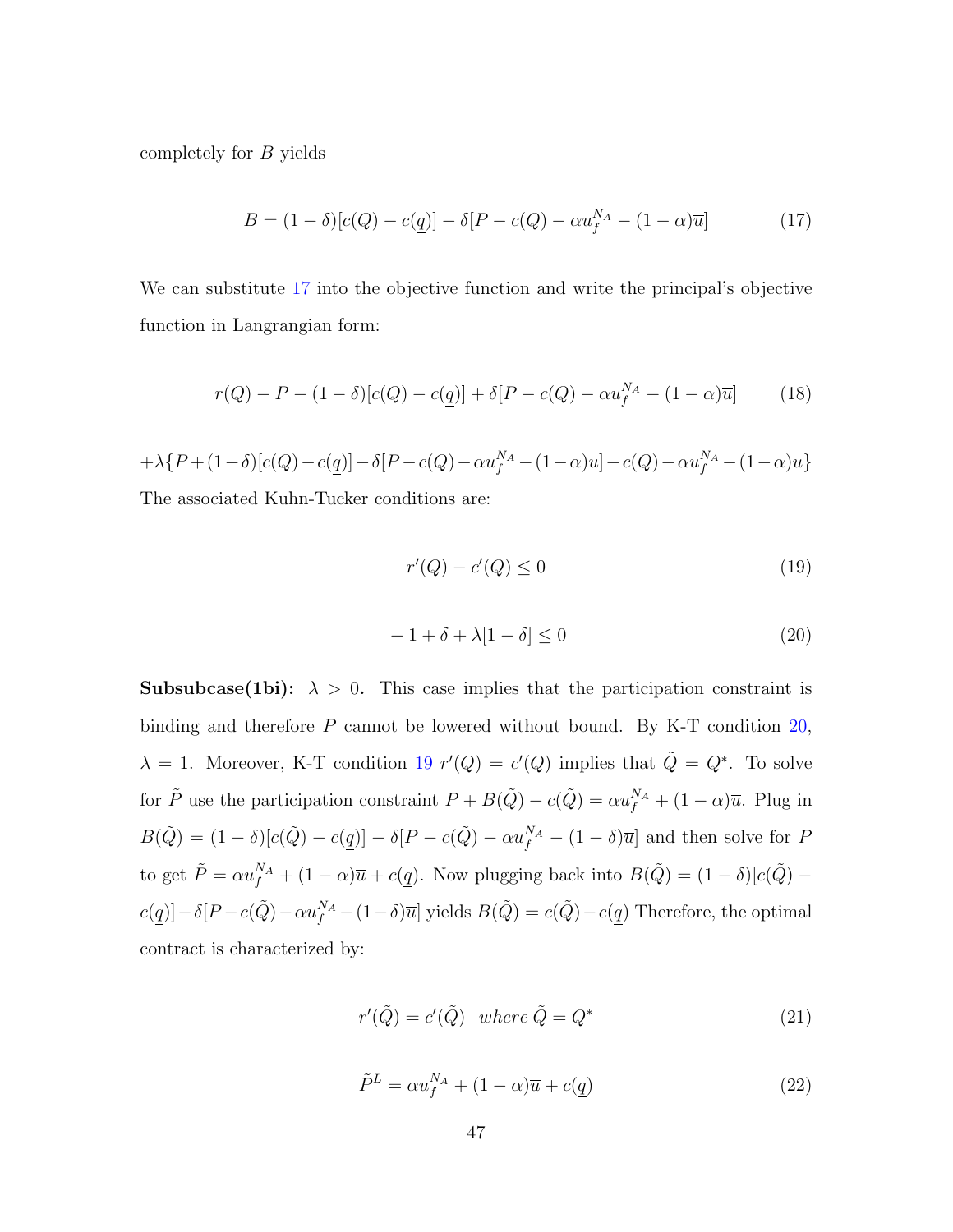completely for B yields

<span id="page-49-0"></span>
$$
B = (1 - \delta)[c(Q) - c(\underline{q})] - \delta[P - c(Q) - \alpha u_f^{N_A} - (1 - \alpha)\overline{u}]
$$
 (17)

We can substitute [17](#page-49-0) into the objective function and write the principal's objective function in Langrangian form:

$$
r(Q) - P - (1 - \delta)[c(Q) - c(\underline{q})] + \delta[P - c(Q) - \alpha u_f^{N_A} - (1 - \alpha)\overline{u}] \tag{18}
$$

$$
+\lambda \{P+(1-\delta)[c(Q)-c(\underline{q})]-\delta[P-c(Q)-\alpha u_f^{N_A}-(1-\alpha)\overline{u}]-c(Q)-\alpha u_f^{N_A}-(1-\alpha)\overline{u}\}
$$
  
The associated Kuhn-Tucker conditions are:

The associated Kuhn-Tucker conditions are:

<span id="page-49-2"></span>
$$
r'(Q) - c'(Q) \le 0\tag{19}
$$

<span id="page-49-1"></span>
$$
-1 + \delta + \lambda [1 - \delta] \le 0 \tag{20}
$$

**Subsubcase(1bi):**  $\lambda > 0$ . This case implies that the participation constraint is binding and therefore P cannot be lowered without bound. By K-T condition [20,](#page-49-1)  $\lambda = 1$ . Moreover, K-T condition [19](#page-49-2)  $r'(Q) = c'(Q)$  implies that  $\tilde{Q} = Q^*$ . To solve for  $\tilde{P}$  use the participation constraint  $P + B(\tilde{Q}) - c(\tilde{Q}) = \alpha u_f^{N_A} + (1 - \alpha)\overline{u}$ . Plug in  $B(\tilde{Q}) = (1 - \delta)[c(\tilde{Q}) - c(q)] - \delta[P - c(\tilde{Q}) - \alpha u_f^{N_A} - (1 - \delta)\overline{u}]$  and then solve for P to get  $\tilde{P} = \alpha u_f^{N_A} + (1 - \alpha)\overline{u} + c(q)$ . Now plugging back into  $B(\tilde{Q}) = (1 - \delta)[c(\tilde{Q})$  $c(q)$ ] –  $\delta[P-c(\tilde{Q}) - \alpha u_f^{N_A} - (1-\delta)\overline{u}]$  yields  $B(\tilde{Q}) = c(\tilde{Q}) - c(q)$  Therefore, the optimal contract is characterized by:

$$
r'(\tilde{Q}) = c'(\tilde{Q}) \quad where \quad \tilde{Q} = Q^* \tag{21}
$$

$$
\tilde{P}^L = \alpha u_f^{N_A} + (1 - \alpha)\overline{u} + c(\underline{q})
$$
\n(22)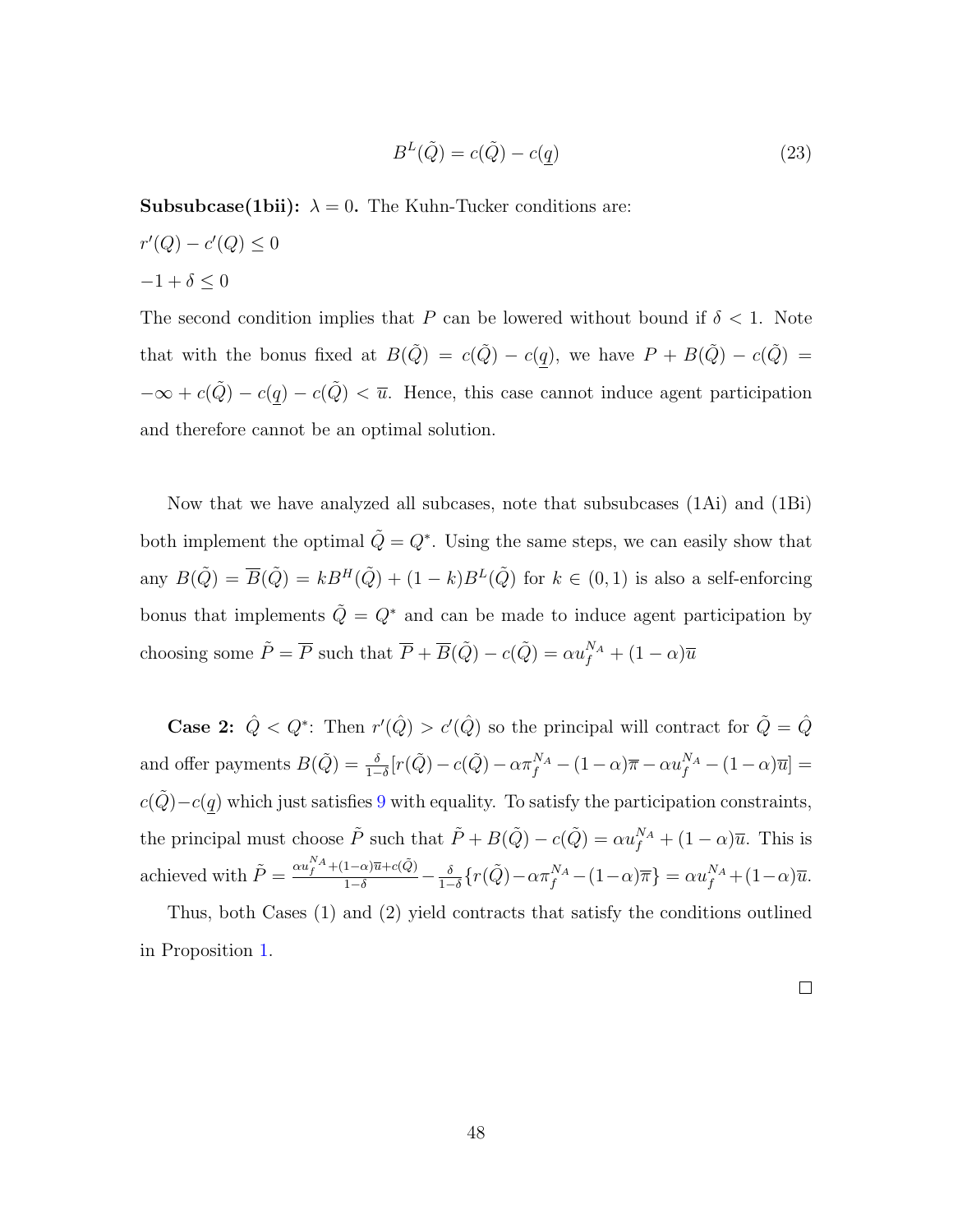$$
B^{L}(\tilde{Q}) = c(\tilde{Q}) - c(q)
$$
\n(23)

**Subsubcase(1bii):**  $\lambda = 0$ . The Kuhn-Tucker conditions are:

 $r'(Q) - c'(Q) \leq 0$  $-1+\delta\leq 0$ 

The second condition implies that P can be lowered without bound if  $\delta < 1$ . Note that with the bonus fixed at  $B(\tilde{Q}) = c(\tilde{Q}) - c(\underline{q})$ , we have  $P + B(\tilde{Q}) - c(\tilde{Q}) =$  $-\infty + c(\tilde{Q}) - c(\underline{q}) - c(\tilde{Q}) < \overline{u}$ . Hence, this case cannot induce agent participation and therefore cannot be an optimal solution.

Now that we have analyzed all subcases, note that subsubcases (1Ai) and (1Bi) both implement the optimal  $\tilde{Q} = Q^*$ . Using the same steps, we can easily show that any  $B(\tilde{Q}) = \overline{B}(\tilde{Q}) = kB^H(\tilde{Q}) + (1 - k)B^L(\tilde{Q})$  for  $k \in (0, 1)$  is also a self-enforcing bonus that implements  $\tilde{Q} = Q^*$  and can be made to induce agent participation by choosing some  $\tilde{P} = \overline{P}$  such that  $\overline{P} + \overline{B}(\tilde{Q}) - c(\tilde{Q}) = \alpha u_f^{N_A} + (1 - \alpha)\overline{u}$ 

**Case 2:**  $\hat{Q} < Q^*$ : Then  $r'(\hat{Q}) > c'(\hat{Q})$  so the principal will contract for  $\tilde{Q} = \hat{Q}$ and offer payments  $B(\tilde{Q}) = \frac{\delta}{1-\delta} [r(\tilde{Q}) - c(\tilde{Q}) - \alpha \pi_f^{N_A} - (1-\alpha)\overline{\pi} - \alpha u_f^{N_A} - (1-\alpha)\overline{u}] =$  $c(\tilde{Q})-c(q)$  which just satisfies [9](#page-46-1) with equality. To satisfy the participation constraints, the principal must choose  $\tilde{P}$  such that  $\tilde{P} + B(\tilde{Q}) - c(\tilde{Q}) = \alpha u_f^{N_A} + (1 - \alpha)\overline{u}$ . This is achieved with  $\tilde{P} = \frac{\alpha u_f^{N_A} + (1-\alpha)\overline{u} + c(\tilde{Q})}{1-\delta} - \frac{\delta}{1-\delta}$  $\frac{\delta}{1-\delta}\left\{r(\tilde{Q})-\alpha\pi_{f}^{N_{A}}-(1-\alpha)\overline{\pi}\right\}=\alpha u_{f}^{N_{A}}+(1-\alpha)\overline{u}.$ 

Thus, both Cases (1) and (2) yield contracts that satisfy the conditions outlined in Proposition [1.](#page-19-0)

 $\Box$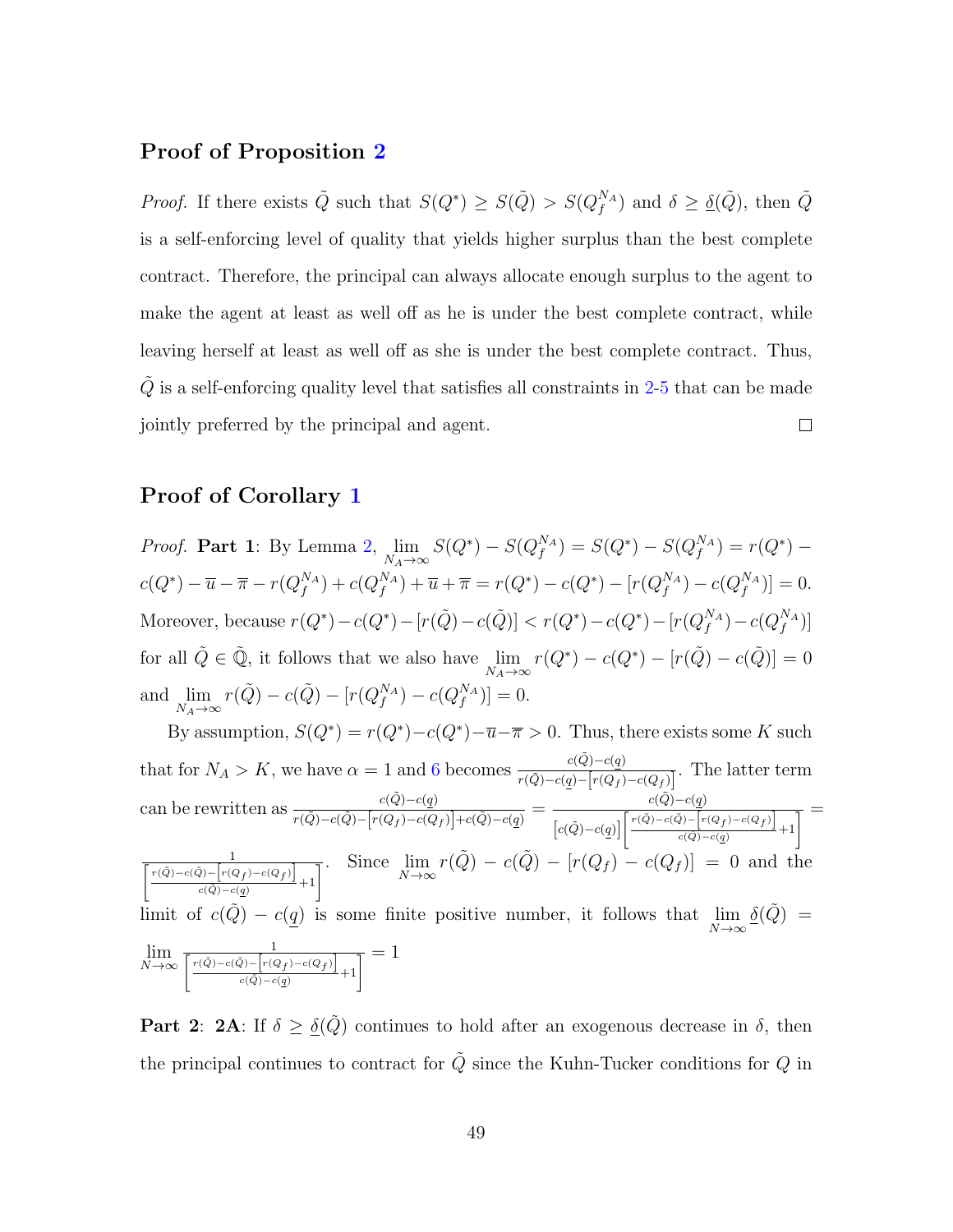#### Proof of Proposition [2](#page-21-0)

*Proof.* If there exists  $\tilde{Q}$  such that  $S(Q^*) \geq S(\tilde{Q}) > S(Q_f^{N_A})$  and  $\delta \geq \underline{\delta}(\tilde{Q})$ , then  $\tilde{Q}$ is a self-enforcing level of quality that yields higher surplus than the best complete contract. Therefore, the principal can always allocate enough surplus to the agent to make the agent at least as well off as he is under the best complete contract, while leaving herself at least as well off as she is under the best complete contract. Thus,  $\tilde{Q}$  is a self-enforcing quality level that satisfies all constraints in [2-](#page-18-0)[5](#page-18-3) that can be made jointly preferred by the principal and agent.  $\Box$ 

#### Proof of Corollary [1](#page-21-1)

*Proof.* Part 1: By Lemma [2,](#page-16-0)  $\lim_{N_A \to \infty} S(Q^*) - S(Q_f^{N_A}) = S(Q^*) - S(Q_f^{N_A}) = r(Q^*) - r(Q^*)$  $c(Q^*) - \overline{u} - \overline{\pi} - r(Q_f^{N_A}) + c(Q_f^{N_A}) + \overline{u} + \overline{\pi} = r(Q^*) - c(Q^*) - [r(Q_f^{N_A}) - c(Q_f^{N_A})] = 0.$ Moreover, because  $r(Q^*) - c(Q^*) - [r(\tilde{Q}) - c(\tilde{Q})] < r(Q^*) - c(Q^*) - [r(Q_f^{NA}) - c(Q_f^{NA})]$ for all  $\tilde{Q} \in \tilde{Q}$ , it follows that we also have  $\lim_{N_A \to \infty} r(Q^*) - c(Q^*) - [r(\tilde{Q}) - c(\tilde{Q})] = 0$ and  $\lim_{N_A \to \infty} r(\tilde{Q}) - c(\tilde{Q}) - [r(Q_f^{N_A}) - c(Q_f^{N_A})] = 0.$ By assumption,  $S(Q^*) = r(Q^*) - c(Q^*) - \overline{u} - \overline{\pi} > 0$ . Thus, there exists some K such that for  $N_A > K$ , we have  $\alpha = 1$  and [6](#page-20-0) becomes  $\frac{c(\tilde{Q}) - c(q)}{r(\tilde{Q}) - c(q) - [r(Q_f) - c(Q_f)]}$ . The latter term can be rewritten as  $\frac{c(\tilde{Q})-c(q)}{r(\tilde{Q})-c(\tilde{Q})-\left[r(Q_f)-c(Q_f)\right]+c(\tilde{Q})-c(q)}} = \frac{c(\tilde{Q})-c(q)}{\left[c(\tilde{Q})-c(\tilde{Q})-\left[r(Q_f)-c(Q_f)\right]\right]}\frac{c(\tilde{Q})-c(q)}{\left[c(\tilde{Q})-c(\tilde{Q})-\left[r(Q_f)-c(Q_f)\right]\right]}\frac{c(\tilde{Q})-c(q)}{\left[c(\tilde{Q})-c(Q_f)-c(Q_f)\right]}\frac{c(\tilde{Q})-c(q)}{\left[c(\tilde{Q$  $\left[c(\tilde{Q})-c(q)\right]\left[\frac{r(\tilde{Q})-c(\tilde{Q})-\left[r(Q_f)-c(Q_f)\right]}{c(\tilde{Q})-c(q)}\right]$  $\frac{\sum_{c(q)}^{\infty}c(q)}{c(\tilde{Q})-c(q)}$ 1  $\label{eq:reduced} \Biggl[ \, r(\tilde{Q}) \!-\! c(\tilde{Q}) \!-\! \Bigl[ r(Q_f) \!-\! c(Q_f) \Bigr]$  $\frac{1}{\left[\overline{\phi}\right]-\left[r(Q_f)-c(Q_f)\right]}$ . Since  $\lim_{N\to\infty}r(\tilde{Q})-c(\tilde{Q})-\left[r(Q_f)-c(Q_f)\right]=0$  and the limit of  $c(\tilde{Q}) - c(\underline{q})$  is some finite positive number, it follows that  $\lim_{N \to \infty} \underline{\delta}(\tilde{Q}) =$  $\lim_{N\to\infty}$ 1  $\lceil r(\tilde{Q})-c(\tilde{Q})-r(Q_f)-c(Q_f) \rceil$  $\frac{1}{\tilde{\omega}-\left[r(Q_f)-c(Q_f)\right]}_{\substack{c(\tilde{Q})-c(q)}}=1$ 

**Part 2: 2A:** If  $\delta \geq \underline{\delta}(\tilde{Q})$  continues to hold after an exogenous decrease in  $\delta$ , then the principal continues to contract for  $\tilde{Q}$  since the Kuhn-Tucker conditions for  $Q$  in